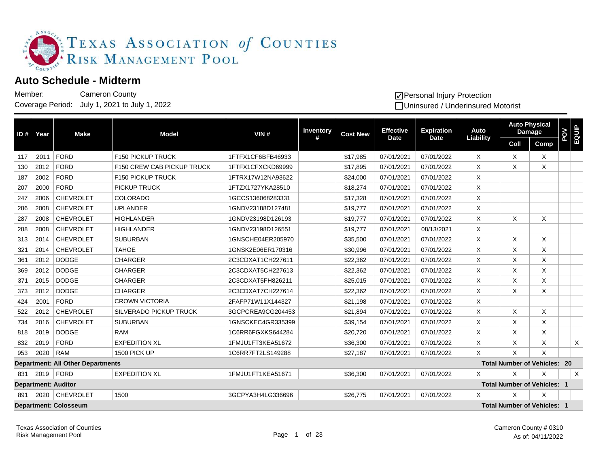

## **Auto Schedule - Midterm**

Member: Coverage Period: July 1, 2021 to July 1, 2022 Cameron County

| ID# | Year | <b>Make</b>                              | <b>Model</b>                      | VIN#              | Inventory                                      | <b>Cost New</b> | <b>Effective</b> | <b>Expiration</b> | Auto             |          | <b>Auto Physical</b><br><b>Damage</b> | <b>POY</b> | EQUP    |
|-----|------|------------------------------------------|-----------------------------------|-------------------|------------------------------------------------|-----------------|------------------|-------------------|------------------|----------|---------------------------------------|------------|---------|
|     |      |                                          |                                   |                   | #                                              |                 | <b>Date</b>      | <b>Date</b>       | <b>Liability</b> | Coll     | Comp                                  |            |         |
| 117 | 2011 | <b>FORD</b>                              | <b>F150 PICKUP TRUCK</b>          | 1FTFX1CF6BFB46933 |                                                | \$17,985        | 07/01/2021       | 07/01/2022        | X                | X        | X                                     |            |         |
| 130 | 2012 | <b>FORD</b>                              | <b>F150 CREW CAB PICKUP TRUCK</b> | 1FTFX1CFXCKD69999 |                                                | \$17,895        | 07/01/2021       | 07/01/2022        | X                | X        | X                                     |            |         |
| 187 | 2002 | <b>FORD</b>                              | F150 PICKUP TRUCK                 | 1FTRX17W12NA93622 |                                                | \$24,000        | 07/01/2021       | 07/01/2022        | X                |          |                                       |            |         |
| 207 | 2000 | <b>FORD</b>                              | PICKUP TRUCK                      | 1FTZX1727YKA28510 |                                                | \$18,274        | 07/01/2021       | 07/01/2022        | X                |          |                                       |            |         |
| 247 | 2006 | <b>CHEVROLET</b>                         | <b>COLORADO</b>                   | 1GCCS136068283331 |                                                | \$17,328        | 07/01/2021       | 07/01/2022        | X                |          |                                       |            |         |
| 286 | 2008 | <b>CHEVROLET</b>                         | <b>UPLANDER</b>                   | 1GNDV23188D127481 |                                                | \$19,777        | 07/01/2021       | 07/01/2022        | X                |          |                                       |            |         |
| 287 | 2008 | <b>CHEVROLET</b>                         | <b>HIGHLANDER</b>                 | 1GNDV23198D126193 |                                                | \$19,777        | 07/01/2021       | 07/01/2022        | X                | X        | X                                     |            |         |
| 288 | 2008 | <b>CHEVROLET</b>                         | <b>HIGHLANDER</b>                 | 1GNDV23198D126551 |                                                | \$19,777        | 07/01/2021       | 08/13/2021        | X                |          |                                       |            |         |
| 313 | 2014 | <b>CHEVROLET</b>                         | <b>SUBURBAN</b>                   | 1GNSCHE04ER205970 |                                                | \$35,500        | 07/01/2021       | 07/01/2022        | X                | $\times$ | X                                     |            |         |
| 321 | 2014 | <b>CHEVROLET</b>                         | <b>TAHOE</b>                      | 1GNSK2E06ER170316 |                                                | \$30,996        | 07/01/2021       | 07/01/2022        | X                | X        | X.                                    |            |         |
| 361 | 2012 | <b>DODGE</b>                             | <b>CHARGER</b>                    | 2C3CDXAT1CH227611 |                                                | \$22,362        | 07/01/2021       | 07/01/2022        | X                | X        | X.                                    |            |         |
| 369 | 2012 | <b>DODGE</b>                             | <b>CHARGER</b>                    | 2C3CDXAT5CH227613 |                                                | \$22,362        | 07/01/2021       | 07/01/2022        | X                | Χ        | X                                     |            |         |
| 371 | 2015 | <b>DODGE</b>                             | <b>CHARGER</b>                    | 2C3CDXAT5FH826211 |                                                | \$25,015        | 07/01/2021       | 07/01/2022        | Χ                | Χ        | X                                     |            |         |
| 373 | 2012 | <b>DODGE</b>                             | <b>CHARGER</b>                    | 2C3CDXAT7CH227614 |                                                | \$22,362        | 07/01/2021       | 07/01/2022        | X                | $\times$ | X                                     |            |         |
| 424 | 2001 | <b>FORD</b>                              | <b>CROWN VICTORIA</b>             | 2FAFP71W11X144327 |                                                | \$21,198        | 07/01/2021       | 07/01/2022        | X                |          |                                       |            |         |
| 522 | 2012 | <b>CHEVROLET</b>                         | <b>SILVERADO PICKUP TRUCK</b>     | 3GCPCREA9CG204453 |                                                | \$21,894        | 07/01/2021       | 07/01/2022        | X                | Χ        | X                                     |            |         |
| 734 | 2016 | <b>CHEVROLET</b>                         | <b>SUBURBAN</b>                   | 1GNSCKEC4GR335399 |                                                | \$39,154        | 07/01/2021       | 07/01/2022        | X                | X        | X                                     |            |         |
| 818 | 2019 | <b>DODGE</b>                             | <b>RAM</b>                        | 1C6RR6FGXKS644284 |                                                | \$20,720        | 07/01/2021       | 07/01/2022        | X                | X        | X                                     |            |         |
| 832 | 2019 | <b>FORD</b>                              | <b>EXPEDITION XL</b>              | 1FMJU1FT3KEA51672 |                                                | \$36,300        | 07/01/2021       | 07/01/2022        | X                | X        | X.                                    |            | X       |
| 953 | 2020 | <b>RAM</b>                               | 1500 PICK UP                      | 1C6RR7FT2LS149288 |                                                | \$27,187        | 07/01/2021       | 07/01/2022        | X                | $\times$ | X                                     |            |         |
|     |      | <b>Department: All Other Departments</b> |                                   |                   |                                                |                 |                  |                   |                  |          | <b>Total Number of Vehicles: 20</b>   |            |         |
| 831 | 2019 | FORD                                     | <b>EXPEDITION XL</b>              | 1FMJU1FT1KEA51671 |                                                | \$36,300        | 07/01/2021       | 07/01/2022        | X                | X        | X                                     |            | $\sf X$ |
|     |      | <b>Department: Auditor</b>               |                                   |                   | <b>Total Number of Vehicles: 1</b>             |                 |                  |                   |                  |          |                                       |            |         |
| 891 |      | 2020 CHEVROLET                           | 1500                              | 3GCPYA3H4LG336696 | X<br>\$26,775<br>07/01/2021<br>07/01/2022<br>X |                 |                  |                   | X                |          |                                       |            |         |
|     |      | <b>Department: Colosseum</b>             |                                   |                   | <b>Total Number of Vehicles: 1</b>             |                 |                  |                   |                  |          |                                       |            |         |

 $\sqrt{}$  Personal Injury Protection

Uninsured / Underinsured Motorist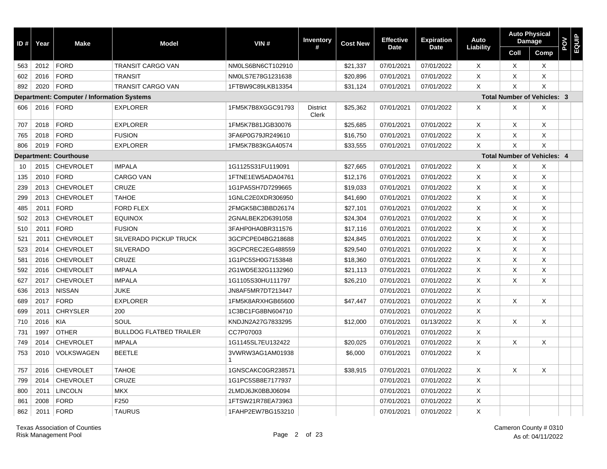| ID# | Year | <b>Make</b>                                       | <b>Model</b>                   | VIN#              | <b>Inventory</b><br>#           | <b>Cost New</b> | <b>Effective</b> | <b>Expiration</b><br><b>Date</b> | Auto           |                | <b>Auto Physical</b><br><b>Damage</b> | <b>POV</b><br>EQUIP |  |
|-----|------|---------------------------------------------------|--------------------------------|-------------------|---------------------------------|-----------------|------------------|----------------------------------|----------------|----------------|---------------------------------------|---------------------|--|
|     |      |                                                   |                                |                   |                                 |                 | <b>Date</b>      |                                  | Liability      | Coll           | Comp                                  |                     |  |
| 563 | 2012 | <b>FORD</b>                                       | <b>TRANSIT CARGO VAN</b>       | NM0LS6BN6CT102910 |                                 | \$21,337        | 07/01/2021       | 07/01/2022                       | $\times$       | X              | $\times$                              |                     |  |
| 602 | 2016 | <b>FORD</b>                                       | <b>TRANSIT</b>                 | NM0LS7E78G1231638 |                                 | \$20,896        | 07/01/2021       | 07/01/2022                       | X              | X              | X                                     |                     |  |
| 892 | 2020 | <b>FORD</b>                                       | <b>TRANSIT CARGO VAN</b>       | 1FTBW9C89LKB13354 |                                 | \$31,124        | 07/01/2021       | 07/01/2022                       | X              | X              | X                                     |                     |  |
|     |      | <b>Department: Computer / Information Systems</b> |                                |                   |                                 |                 |                  |                                  |                |                | <b>Total Number of Vehicles: 3</b>    |                     |  |
| 606 | 2016 | <b>FORD</b>                                       | <b>EXPLORER</b>                | 1FM5K7B8XGGC91793 | <b>District</b><br><b>Clerk</b> | \$25,362        | 07/01/2021       | 07/01/2022                       | Χ              | X              | X                                     |                     |  |
| 707 | 2018 | <b>FORD</b>                                       | <b>EXPLORER</b>                | 1FM5K7B81JGB30076 |                                 | \$25,685        | 07/01/2021       | 07/01/2022                       | $\times$       | X              | $\times$                              |                     |  |
| 765 | 2018 | <b>FORD</b>                                       | <b>FUSION</b>                  | 3FA6P0G79JR249610 |                                 | \$16,750        | 07/01/2021       | 07/01/2022                       | X              | X              | X                                     |                     |  |
| 806 | 2019 | <b>FORD</b>                                       | <b>EXPLORER</b>                | 1FM5K7B83KGA40574 |                                 | \$33,555        | 07/01/2021       | 07/01/2022                       | $\pmb{\times}$ | $\pmb{\times}$ | $\mathsf{X}$                          |                     |  |
|     |      | <b>Department: Courthouse</b>                     |                                |                   |                                 |                 |                  |                                  |                |                | <b>Total Number of Vehicles: 4</b>    |                     |  |
| 10  | 2015 | <b>CHEVROLET</b>                                  | <b>IMPALA</b>                  | 1G1125S31FU119091 |                                 | \$27,665        | 07/01/2021       | 07/01/2022                       | Χ              | X              | Χ                                     |                     |  |
| 135 | 2010 | <b>FORD</b>                                       | CARGO VAN                      | 1FTNE1EW5ADA04761 |                                 | \$12,176        | 07/01/2021       | 07/01/2022                       | X              | X              | $\boldsymbol{\mathsf{X}}$             |                     |  |
| 239 | 2013 | <b>CHEVROLET</b>                                  | CRUZE                          | 1G1PA5SH7D7299665 |                                 | \$19,033        | 07/01/2021       | 07/01/2022                       | $\mathsf{X}$   | X              | $\times$                              |                     |  |
| 299 | 2013 | <b>CHEVROLET</b>                                  | <b>TAHOE</b>                   | 1GNLC2E0XDR306950 |                                 | \$41,690        | 07/01/2021       | 07/01/2022                       | X              | X              | $\boldsymbol{\mathsf{X}}$             |                     |  |
| 485 | 2011 | <b>FORD</b>                                       | <b>FORD FLEX</b>               | 2FMGK5BC3BBD26174 |                                 | \$27,101        | 07/01/2021       | 07/01/2022                       | X              | X              | $\times$                              |                     |  |
| 502 | 2013 | <b>CHEVROLET</b>                                  | <b>EQUINOX</b>                 | 2GNALBEK2D6391058 |                                 | \$24,304        | 07/01/2021       | 07/01/2022                       | $\mathsf{X}$   | X              | $\times$                              |                     |  |
| 510 | 2011 | <b>FORD</b>                                       | <b>FUSION</b>                  | 3FAHP0HA0BR311576 |                                 | \$17,116        | 07/01/2021       | 07/01/2022                       | X              | X              | $\times$                              |                     |  |
| 521 | 2011 | <b>CHEVROLET</b>                                  | SILVERADO PICKUP TRUCK         | 3GCPCPE04BG218688 |                                 | \$24,845        | 07/01/2021       | 07/01/2022                       | X              | X              | $\times$                              |                     |  |
| 523 | 2014 | <b>CHEVROLET</b>                                  | <b>SILVERADO</b>               | 3GCPCREC2EG488559 |                                 | \$29,540        | 07/01/2021       | 07/01/2022                       | X              | X              | $\boldsymbol{\mathsf{X}}$             |                     |  |
| 581 | 2016 | <b>CHEVROLET</b>                                  | CRUZE                          | 1G1PC5SH0G7153848 |                                 | \$18,360        | 07/01/2021       | 07/01/2022                       | X              | X              | $\times$                              |                     |  |
| 592 | 2016 | <b>CHEVROLET</b>                                  | <b>IMPALA</b>                  | 2G1WD5E32G1132960 |                                 | \$21,113        | 07/01/2021       | 07/01/2022                       | X              | X              | $\times$                              |                     |  |
| 627 | 2017 | <b>CHEVROLET</b>                                  | <b>IMPALA</b>                  | 1G1105S30HU111797 |                                 | \$26,210        | 07/01/2021       | 07/01/2022                       | X              | X              | X                                     |                     |  |
| 636 | 2013 | <b>NISSAN</b>                                     | <b>JUKE</b>                    | JN8AF5MR7DT213447 |                                 |                 | 07/01/2021       | 07/01/2022                       | X              |                |                                       |                     |  |
| 689 | 2017 | <b>FORD</b>                                       | <b>EXPLORER</b>                | 1FM5K8ARXHGB65600 |                                 | \$47,447        | 07/01/2021       | 07/01/2022                       | X              | X              | $\times$                              |                     |  |
| 699 | 2011 | <b>CHRYSLER</b>                                   | 200                            | 1C3BC1FG8BN604710 |                                 |                 | 07/01/2021       | 07/01/2022                       | X              |                |                                       |                     |  |
| 710 | 2016 | <b>KIA</b>                                        | SOUL                           | KNDJN2A27G7833295 |                                 | \$12,000        | 07/01/2021       | 01/13/2022                       | X              | X              | X                                     |                     |  |
| 731 | 1997 | <b>OTHER</b>                                      | <b>BULLDOG FLATBED TRAILER</b> | CC7P07003         |                                 |                 | 07/01/2021       | 07/01/2022                       | X              |                |                                       |                     |  |
| 749 | 2014 | <b>CHEVROLET</b>                                  | <b>IMPALA</b>                  | 1G1145SL7EU132422 |                                 | \$20,025        | 07/01/2021       | 07/01/2022                       | X              | X              | X                                     |                     |  |
| 753 | 2010 | <b>VOLKSWAGEN</b>                                 | <b>BEETLE</b>                  | 3VWRW3AG1AM01938  |                                 | \$6,000         | 07/01/2021       | 07/01/2022                       | X              |                |                                       |                     |  |
| 757 | 2016 | <b>CHEVROLET</b>                                  | <b>TAHOE</b>                   | 1GNSCAKC0GR238571 |                                 | \$38,915        | 07/01/2021       | 07/01/2022                       | X              | X              | X                                     |                     |  |
| 799 | 2014 | <b>CHEVROLET</b>                                  | CRUZE                          | 1G1PC5SB8E7177937 |                                 |                 | 07/01/2021       | 07/01/2022                       | X              |                |                                       |                     |  |
| 800 | 2011 | <b>LINCOLN</b>                                    | <b>MKX</b>                     | 2LMDJ6JK0BBJ06094 |                                 |                 | 07/01/2021       | 07/01/2022                       | $\mathsf{X}$   |                |                                       |                     |  |
| 861 | 2008 | <b>FORD</b>                                       | F250                           | 1FTSW21R78EA73963 |                                 |                 | 07/01/2021       | 07/01/2022                       | $\mathsf X$    |                |                                       |                     |  |
| 862 | 2011 | <b>FORD</b>                                       | <b>TAURUS</b>                  | 1FAHP2EW7BG153210 |                                 |                 | 07/01/2021       | 07/01/2022                       | X              |                |                                       |                     |  |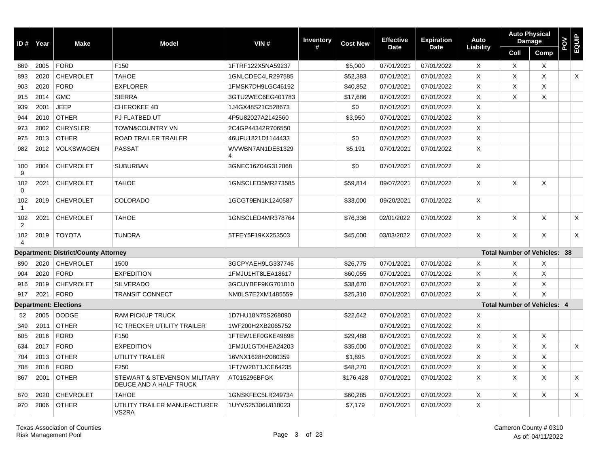| ID#                 | Year | <b>Make</b>                          | <b>Model</b>                                           | VIN#                  | <b>Inventory</b> | <b>Cost New</b> | <b>Effective</b> | <b>Expiration</b> | Auto         | <b>Damage</b>                       | <b>Auto Physical</b> | POV | <b>EQUIP</b> |
|---------------------|------|--------------------------------------|--------------------------------------------------------|-----------------------|------------------|-----------------|------------------|-------------------|--------------|-------------------------------------|----------------------|-----|--------------|
|                     |      |                                      |                                                        |                       | #                |                 | <b>Date</b>      | <b>Date</b>       | Liability    | Coll                                | Comp                 |     |              |
| 869                 | 2005 | <b>FORD</b>                          | F <sub>150</sub>                                       | 1FTRF122X5NA59237     |                  | \$5,000         | 07/01/2021       | 07/01/2022        | X            | X                                   | X                    |     |              |
| 893                 | 2020 | <b>CHEVROLET</b>                     | <b>TAHOE</b>                                           | 1GNLCDEC4LR297585     |                  | \$52,383        | 07/01/2021       | 07/01/2022        | X            | Χ                                   | X                    |     | X            |
| 903                 | 2020 | <b>FORD</b>                          | <b>EXPLORER</b>                                        | 1FMSK7DH9LGC46192     |                  | \$40,852        | 07/01/2021       | 07/01/2022        | X            | X                                   | X                    |     |              |
| 915                 | 2014 | <b>GMC</b>                           | <b>SIERRA</b>                                          | 3GTU2WEC6EG401783     |                  | \$17,686        | 07/01/2021       | 07/01/2022        | X            | X                                   | X                    |     |              |
| 939                 | 2001 | <b>JEEP</b>                          | CHEROKEE 4D                                            | 1J4GX48S21C528673     |                  | \$0             | 07/01/2021       | 07/01/2022        | X            |                                     |                      |     |              |
| 944                 | 2010 | <b>OTHER</b>                         | PJ FLATBED UT                                          | 4P5U82027A2142560     |                  | \$3,950         | 07/01/2021       | 07/01/2022        | X            |                                     |                      |     |              |
| 973                 | 2002 | <b>CHRYSLER</b>                      | <b>TOWN&amp;COUNTRY VN</b>                             | 2C4GP44342R706550     |                  |                 | 07/01/2021       | 07/01/2022        | X            |                                     |                      |     |              |
| 975                 | 2013 | <b>OTHER</b>                         | <b>ROAD TRAILER TRAILER</b>                            | 46UFU1821D1144433     |                  | \$0             | 07/01/2021       | 07/01/2022        | X            |                                     |                      |     |              |
| 982                 | 2012 | VOLKSWAGEN                           | <b>PASSAT</b>                                          | WVWBN7AN1DE51329<br>4 |                  | \$5,191         | 07/01/2021       | 07/01/2022        | X            |                                     |                      |     |              |
| 100<br>9            | 2004 | <b>CHEVROLET</b>                     | <b>SUBURBAN</b>                                        | 3GNEC16Z04G312868     |                  | \$0             | 07/01/2021       | 07/01/2022        | X            |                                     |                      |     |              |
| 102<br>$\mathbf 0$  | 2021 | <b>CHEVROLET</b>                     | <b>TAHOE</b>                                           | 1GNSCLED5MR273585     |                  | \$59,814        | 09/07/2021       | 07/01/2022        | $\times$     | $\times$                            | X                    |     |              |
| 102<br>$\mathbf{1}$ | 2019 | <b>CHEVROLET</b>                     | <b>COLORADO</b>                                        | 1GCGT9EN1K1240587     |                  | \$33,000        | 09/20/2021       | 07/01/2022        | $\mathsf{X}$ |                                     |                      |     |              |
| 102<br>2            | 2021 | <b>CHEVROLET</b>                     | <b>TAHOE</b>                                           | 1GNSCLED4MR378764     |                  | \$76,336        | 02/01/2022       | 07/01/2022        | $\mathsf{X}$ | Χ                                   | X                    |     | X            |
| 102<br>4            | 2019 | <b>TOYOTA</b>                        | <b>TUNDRA</b>                                          | 5TFEY5F19KX253503     |                  | \$45,000        | 03/03/2022       | 07/01/2022        | $\times$     | $\times$                            | X                    |     | X            |
|                     |      | Department: District/County Attorney |                                                        |                       |                  |                 |                  |                   |              | <b>Total Number of Vehicles: 38</b> |                      |     |              |
| 890                 | 2020 | <b>CHEVROLET</b>                     | 1500                                                   | 3GCPYAEH9LG337746     |                  | \$26,775        | 07/01/2021       | 07/01/2022        | X            | X                                   | х                    |     |              |
| 904                 | 2020 | <b>FORD</b>                          | <b>EXPEDITION</b>                                      | 1FMJU1HT8LEA18617     |                  | \$60,055        | 07/01/2021       | 07/01/2022        | X            | X                                   | X                    |     |              |
| 916                 | 2019 | <b>CHEVROLET</b>                     | <b>SILVERADO</b>                                       | 3GCUYBEF9KG701010     |                  | \$38,670        | 07/01/2021       | 07/01/2022        | X            | X                                   | Χ                    |     |              |
| 917                 | 2021 | <b>FORD</b>                          | <b>TRANSIT CONNECT</b>                                 | NM0LS7E2XM1485559     |                  | \$25,310        | 07/01/2021       | 07/01/2022        | X            | X                                   | X                    |     |              |
|                     |      | <b>Department: Elections</b>         |                                                        |                       |                  |                 |                  |                   |              | <b>Total Number of Vehicles: 4</b>  |                      |     |              |
| 52                  | 2005 | <b>DODGE</b>                         | RAM PICKUP TRUCK                                       | 1D7HU18N75S268090     |                  | \$22,642        | 07/01/2021       | 07/01/2022        | X            |                                     |                      |     |              |
| 349                 | 2011 | <b>OTHER</b>                         | TC TRECKER UTILITY TRAILER                             | 1WF200H2XB2065752     |                  |                 | 07/01/2021       | 07/01/2022        | $\times$     |                                     |                      |     |              |
| 605                 | 2016 | <b>FORD</b>                          | F <sub>150</sub>                                       | 1FTEW1EF0GKE49698     |                  | \$29.488        | 07/01/2021       | 07/01/2022        | $\times$     | $\times$                            | X                    |     |              |
| 634                 | 2017 | <b>FORD</b>                          | <b>EXPEDITION</b>                                      | 1FMJU1GTXHEA24203     |                  | \$35,000        | 07/01/2021       | 07/01/2022        | X            | X                                   | Χ                    |     | X            |
| 704                 | 2013 | <b>OTHER</b>                         | UTILITY TRAILER                                        | 16VNX1628H2080359     |                  | \$1,895         | 07/01/2021       | 07/01/2022        | X            | X                                   | Χ                    |     |              |
| 788                 | 2018 | <b>FORD</b>                          | F250                                                   | 1FT7W2BT1JCE64235     |                  | \$48,270        | 07/01/2021       | 07/01/2022        | X            | X                                   | Χ                    |     |              |
| 867                 | 2001 | <b>OTHER</b>                         | STEWART & STEVENSON MILITARY<br>DEUCE AND A HALF TRUCK | AT015296BFGK          |                  | \$176,428       | 07/01/2021       | 07/01/2022        | $\times$     | X                                   | X                    |     | X            |
| 870                 | 2020 | <b>CHEVROLET</b>                     | <b>TAHOE</b>                                           | 1GNSKFEC5LR249734     |                  | \$60,285        | 07/01/2021       | 07/01/2022        | X            | X                                   | X                    |     | X            |
| 970                 | 2006 | <b>OTHER</b>                         | UTILITY TRAILER MANUFACTURER<br>VS2RA                  | 1UYVS25306U818023     |                  | \$7,179         | 07/01/2021       | 07/01/2022        | X            |                                     |                      |     |              |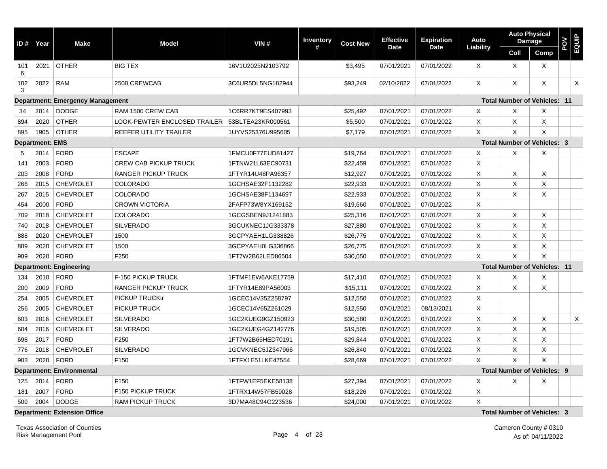| ID#      | Year                   | <b>Make</b>                             | <b>Model</b>                 | VIN#              | <b>Inventory</b> | <b>Cost New</b> | <b>Effective</b> | <b>Expiration</b> | Auto        |          | <b>Auto Physical</b><br>Damage      | <b>NO4</b> | EQUIP |
|----------|------------------------|-----------------------------------------|------------------------------|-------------------|------------------|-----------------|------------------|-------------------|-------------|----------|-------------------------------------|------------|-------|
|          |                        |                                         |                              |                   | #                |                 | <b>Date</b>      | <b>Date</b>       | Liability   | Coll     | Comp                                |            |       |
| 101<br>6 | 2021                   | <b>OTHER</b>                            | <b>BIG TEX</b>               | 16V1U2025N2103792 |                  | \$3,495         | 07/01/2021       | 07/01/2022        | $\times$    | $\times$ | $\times$                            |            |       |
| 102<br>3 | 2022                   | <b>RAM</b>                              | 2500 CREWCAB                 | 3C6UR5DL5NG182944 |                  | \$93,249        | 02/10/2022       | 07/01/2022        | X           | X        | X                                   |            | X     |
|          |                        | <b>Department: Emergency Management</b> |                              |                   |                  |                 |                  |                   |             |          | <b>Total Number of Vehicles: 11</b> |            |       |
| 34       | 2014                   | <b>DODGE</b>                            | RAM 1500 CREW CAB            | 1C6RR7KT9ES407993 |                  | \$25,492        | 07/01/2021       | 07/01/2022        | X           | X        | Х                                   |            |       |
| 894      | 2020                   | <b>OTHER</b>                            | LOOK-PEWTER ENCLOSED TRAILER | 53BLTEA23KR000561 |                  | \$5,500         | 07/01/2021       | 07/01/2022        | X           | X        | Χ                                   |            |       |
| 895      | 1905                   | <b>OTHER</b>                            | REEFER UTILITY TRAILER       | 1UYVS25376U995605 |                  | \$7,179         | 07/01/2021       | 07/01/2022        | X           | X        | X                                   |            |       |
|          | <b>Department: EMS</b> |                                         |                              |                   |                  |                 |                  |                   |             |          | <b>Total Number of Vehicles: 3</b>  |            |       |
| 5        | 2014                   | <b>FORD</b>                             | <b>ESCAPE</b>                | 1FMCU0F77EUD81427 |                  | \$19,764        | 07/01/2021       | 07/01/2022        | X           | X        | X                                   |            |       |
| 141      | 2003                   | <b>FORD</b>                             | <b>CREW CAB PICKUP TRUCK</b> | 1FTNW21L63EC90731 |                  | \$22,459        | 07/01/2021       | 07/01/2022        | X           |          |                                     |            |       |
| 203      | 2008                   | <b>FORD</b>                             | <b>RANGER PICKUP TRUCK</b>   | 1FTYR14U48PA96357 |                  | \$12,927        | 07/01/2021       | 07/01/2022        | X           | X        | X                                   |            |       |
| 266      | 2015                   | <b>CHEVROLET</b>                        | <b>COLORADO</b>              | 1GCHSAE32F1132282 |                  | \$22,933        | 07/01/2021       | 07/01/2022        | X           | Χ        | X                                   |            |       |
| 267      | 2015                   | <b>CHEVROLET</b>                        | <b>COLORADO</b>              | 1GCHSAE38F1134697 |                  | \$22,933        | 07/01/2021       | 07/01/2022        | X           | Χ        | Χ                                   |            |       |
| 454      | 2000                   | <b>FORD</b>                             | <b>CROWN VICTORIA</b>        | 2FAFP73W8YX169152 |                  | \$19,660        | 07/01/2021       | 07/01/2022        | X           |          |                                     |            |       |
| 709      | 2018                   | <b>CHEVROLET</b>                        | <b>COLORADO</b>              | 1GCGSBEN9J1241883 |                  | \$25,316        | 07/01/2021       | 07/01/2022        | X           | X        | X                                   |            |       |
| 740      | 2018                   | <b>CHEVROLET</b>                        | <b>SILVERADO</b>             | 3GCUKNEC1JG333378 |                  | \$27,880        | 07/01/2021       | 07/01/2022        | X           | X        | X                                   |            |       |
| 888      | 2020                   | <b>CHEVROLET</b>                        | 1500                         | 3GCPYAEH1LG338826 |                  | \$26,775        | 07/01/2021       | 07/01/2022        | X           | X        | X                                   |            |       |
| 889      | 2020                   | <b>CHEVROLET</b>                        | 1500                         | 3GCPYAEH0LG336866 |                  | \$26,775        | 07/01/2021       | 07/01/2022        | X           | X        | X                                   |            |       |
| 989      | 2020                   | <b>FORD</b>                             | F250                         | 1FT7W2B62LED86504 |                  | \$30,050        | 07/01/2021       | 07/01/2022        | X           | X        | $\times$                            |            |       |
|          |                        | <b>Department: Engineering</b>          |                              |                   |                  |                 |                  |                   |             |          | <b>Total Number of Vehicles: 11</b> |            |       |
| 134      | 2010                   | <b>FORD</b>                             | F-150 PICKUP TRUCK           | 1FTMF1EW6AKE17759 |                  | \$17,410        | 07/01/2021       | 07/01/2022        | Χ           | Χ        | Χ                                   |            |       |
| 200      | 2009                   | <b>FORD</b>                             | RANGER PICKUP TRUCK          | 1FTYR14E89PA56003 |                  | \$15,111        | 07/01/2021       | 07/01/2022        | X           | X        | Χ                                   |            |       |
| 254      | 2005                   | <b>CHEVROLET</b>                        | <b>PICKUP TRUCKtr</b>        | 1GCEC14V35Z258797 |                  | \$12,550        | 07/01/2021       | 07/01/2022        | X           |          |                                     |            |       |
| 256      | 2005                   | <b>CHEVROLET</b>                        | PICKUP TRUCK                 | 1GCEC14V65Z261029 |                  | \$12,550        | 07/01/2021       | 08/13/2021        | X           |          |                                     |            |       |
| 603      | 2016                   | <b>CHEVROLET</b>                        | <b>SILVERADO</b>             | 1GC2KUEG9GZ150923 |                  | \$30,580        | 07/01/2021       | 07/01/2022        | X           | X        | X                                   |            | X     |
| 604      | 2016                   | <b>CHEVROLET</b>                        | <b>SILVERADO</b>             | 1GC2KUEG4GZ142776 |                  | \$19,505        | 07/01/2021       | 07/01/2022        | X           | X        | X                                   |            |       |
| 698      | 2017                   | <b>FORD</b>                             | F250                         | 1FT7W2B65HED70191 |                  | \$29,844        | 07/01/2021       | 07/01/2022        | X           | X        | X                                   |            |       |
| 776      | 2018                   | <b>CHEVROLET</b>                        | <b>SILVERADO</b>             | 1GCVKNEC5JZ347966 |                  | \$26,840        | 07/01/2021       | 07/01/2022        | X           | X        | X                                   |            |       |
| 983      | 2020                   | <b>FORD</b>                             | F150                         | 1FTFX1E51LKE47554 |                  | \$28,669        | 07/01/2021       | 07/01/2022        | X           | X        | X                                   |            |       |
|          |                        | <b>Department: Environmental</b>        |                              |                   |                  |                 |                  |                   |             |          | <b>Total Number of Vehicles: 9</b>  |            |       |
| 125      | 2014                   | <b>FORD</b>                             | F <sub>150</sub>             | 1FTFW1EF5EKE58138 |                  | \$27,394        | 07/01/2021       | 07/01/2022        | X           | X        | X                                   |            |       |
| 181      | 2007                   | <b>FORD</b>                             | F150 PICKUP TRUCK            | 1FTRX14W57FB59028 |                  | \$18,226        | 07/01/2021       | 07/01/2022        | X           |          |                                     |            |       |
| 509      | 2004                   | <b>DODGE</b>                            | <b>RAM PICKUP TRUCK</b>      | 3D7MA48C94G223536 |                  | \$24,000        | 07/01/2021       | 07/01/2022        | $\mathsf X$ |          |                                     |            |       |
|          |                        | <b>Department: Extension Office</b>     |                              |                   |                  |                 |                  |                   |             |          | <b>Total Number of Vehicles: 3</b>  |            |       |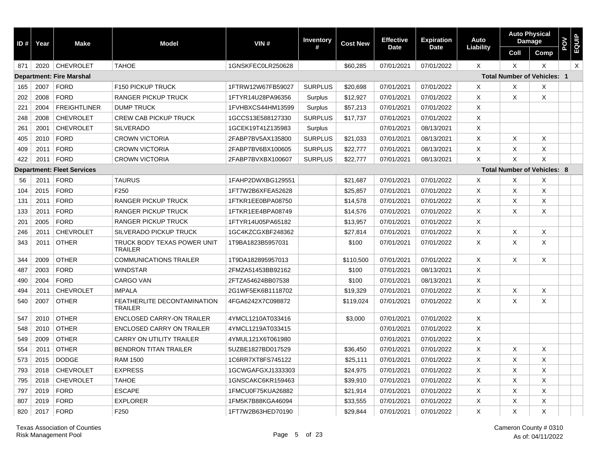| ID# | Year | <b>Make</b>                       | <b>Model</b>                                  | VIN#              | Inventory      | <b>Cost New</b> | <b>Effective</b> | <b>Expiration</b> | Auto                      |          | <b>Auto Physical</b><br><b>Damage</b> | <b>POV</b><br>EQUIP |          |
|-----|------|-----------------------------------|-----------------------------------------------|-------------------|----------------|-----------------|------------------|-------------------|---------------------------|----------|---------------------------------------|---------------------|----------|
|     |      |                                   |                                               |                   | #              |                 | <b>Date</b>      | <b>Date</b>       | Liability                 | Coll     | Comp                                  |                     |          |
| 871 |      | 2020 CHEVROLET                    | <b>TAHOE</b>                                  | 1GNSKFEC0LR250628 |                | \$60,285        | 07/01/2021       | 07/01/2022        | $\times$                  | $\times$ | X                                     |                     | $\times$ |
|     |      | <b>Department: Fire Marshal</b>   |                                               |                   |                |                 |                  |                   |                           |          | <b>Total Number of Vehicles: 1</b>    |                     |          |
| 165 | 2007 | <b>FORD</b>                       | F150 PICKUP TRUCK                             | 1FTRW12W67FB59027 | <b>SURPLUS</b> | \$20,698        | 07/01/2021       | 07/01/2022        | $\times$                  | X        | X                                     |                     |          |
| 202 | 2008 | <b>FORD</b>                       | <b>RANGER PICKUP TRUCK</b>                    | 1FTYR14U28PA96356 | Surplus        | \$12,927        | 07/01/2021       | 07/01/2022        | X                         | $\times$ | X                                     |                     |          |
| 221 | 2004 | <b>FREIGHTLINER</b>               | <b>DUMP TRUCK</b>                             | 1FVHBXCS44HM13599 | Surplus        | \$57,213        | 07/01/2021       | 07/01/2022        | X                         |          |                                       |                     |          |
| 248 | 2008 | <b>CHEVROLET</b>                  | <b>CREW CAB PICKUP TRUCK</b>                  | 1GCCS13E588127330 | <b>SURPLUS</b> | \$17,737        | 07/01/2021       | 07/01/2022        | $\times$                  |          |                                       |                     |          |
| 261 | 2001 | <b>CHEVROLET</b>                  | <b>SILVERADO</b>                              | 1GCEK19T41Z135983 | Surplus        |                 | 07/01/2021       | 08/13/2021        | X                         |          |                                       |                     |          |
| 405 | 2010 | <b>FORD</b>                       | <b>CROWN VICTORIA</b>                         | 2FABP7BV5AX135800 | <b>SURPLUS</b> | \$21,033        | 07/01/2021       | 08/13/2021        | $\times$                  | X        | X                                     |                     |          |
| 409 | 2011 | <b>FORD</b>                       | <b>CROWN VICTORIA</b>                         | 2FABP7BV6BX100605 | <b>SURPLUS</b> | \$22,777        | 07/01/2021       | 08/13/2021        | Χ                         | X        | X                                     |                     |          |
| 422 | 2011 | FORD                              | <b>CROWN VICTORIA</b>                         | 2FABP7BVXBX100607 | <b>SURPLUS</b> | \$22,777        | 07/01/2021       | 08/13/2021        | $\times$                  | X        | X                                     |                     |          |
|     |      | <b>Department: Fleet Services</b> |                                               |                   |                |                 |                  |                   |                           |          | <b>Total Number of Vehicles: 8</b>    |                     |          |
| 56  | 2011 | FORD                              | <b>TAURUS</b>                                 | 1FAHP2DWXBG129551 |                | \$21,687        | 07/01/2021       | 07/01/2022        | X                         | X        | X                                     |                     |          |
| 104 | 2015 | <b>FORD</b>                       | F250                                          | 1FT7W2B6XFEA52628 |                | \$25,857        | 07/01/2021       | 07/01/2022        | $\times$                  | X        | X                                     |                     |          |
| 131 | 2011 | <b>FORD</b>                       | <b>RANGER PICKUP TRUCK</b>                    | 1FTKR1EE0BPA08750 |                | \$14,578        | 07/01/2021       | 07/01/2022        | $\times$                  | X        | Χ                                     |                     |          |
| 133 | 2011 | <b>FORD</b>                       | <b>RANGER PICKUP TRUCK</b>                    | 1FTKR1EE4BPA08749 |                | \$14,576        | 07/01/2021       | 07/01/2022        | X                         | X        | X                                     |                     |          |
| 201 | 2005 | <b>FORD</b>                       | <b>RANGER PICKUP TRUCK</b>                    | 1FTYR14U05PA65182 |                | \$13,957        | 07/01/2021       | 07/01/2022        | $\times$                  |          |                                       |                     |          |
| 246 | 2011 | <b>CHEVROLET</b>                  | SILVERADO PICKUP TRUCK                        | 1GC4KZCGXBF248362 |                | \$27,814        | 07/01/2021       | 07/01/2022        | X                         | X        | X                                     |                     |          |
| 343 | 2011 | <b>OTHER</b>                      | TRUCK BODY TEXAS POWER UNIT<br><b>TRAILER</b> | 1T9BA1823B5957031 |                | \$100           | 07/01/2021       | 07/01/2022        | $\times$                  | $\times$ | X                                     |                     |          |
| 344 | 2009 | <b>OTHER</b>                      | <b>COMMUNICATIONS TRAILER</b>                 | 1T9DA182895957013 |                | \$110,500       | 07/01/2021       | 07/01/2022        | $\times$                  | $\times$ | X                                     |                     |          |
| 487 | 2003 | <b>FORD</b>                       | <b>WINDSTAR</b>                               | 2FMZA51453BB92162 |                | \$100           | 07/01/2021       | 08/13/2021        | $\sf X$                   |          |                                       |                     |          |
| 490 | 2004 | <b>FORD</b>                       | <b>CARGO VAN</b>                              | 2FTZA54624BB07538 |                | \$100           | 07/01/2021       | 08/13/2021        | $\boldsymbol{\mathsf{X}}$ |          |                                       |                     |          |
| 494 | 2011 | <b>CHEVROLET</b>                  | <b>IMPALA</b>                                 | 2G1WF5EK6B1118702 |                | \$19,329        | 07/01/2021       | 07/01/2022        | $\boldsymbol{\mathsf{X}}$ | X        | X                                     |                     |          |
| 540 | 2007 | <b>OTHER</b>                      | FEATHERLITE DECONTAMINATION<br><b>TRAILER</b> | 4FGA6242X7C098872 |                | \$119,024       | 07/01/2021       | 07/01/2022        | X                         | X        | X                                     |                     |          |
| 547 | 2010 | <b>OTHER</b>                      | <b>ENCLOSED CARRY-ON TRAILER</b>              | 4YMCL1210AT033416 |                | \$3,000         | 07/01/2021       | 07/01/2022        | $\times$                  |          |                                       |                     |          |
| 548 | 2010 | <b>OTHER</b>                      | <b>ENCLOSED CARRY ON TRAILER</b>              | 4YMCL1219AT033415 |                |                 | 07/01/2021       | 07/01/2022        | $\times$                  |          |                                       |                     |          |
| 549 | 2009 | <b>OTHER</b>                      | <b>CARRY ON UTILITY TRAILER</b>               | 4YMUL121X6T061980 |                |                 | 07/01/2021       | 07/01/2022        | $\times$                  |          |                                       |                     |          |
| 554 | 2011 | <b>OTHER</b>                      | <b>BENDRON TITAN TRAILER</b>                  | 5UZBE1827BD017529 |                | \$36,450        | 07/01/2021       | 07/01/2022        | $\times$                  | X        | Χ                                     |                     |          |
| 573 | 2015 | <b>DODGE</b>                      | <b>RAM 1500</b>                               | 1C6RR7XT8FS745122 |                | \$25,111        | 07/01/2021       | 07/01/2022        | $\times$                  | $\times$ | X                                     |                     |          |
| 793 | 2018 | <b>CHEVROLET</b>                  | <b>EXPRESS</b>                                | 1GCWGAFGXJ1333303 |                | \$24,975        | 07/01/2021       | 07/01/2022        | $\times$                  | X        | X                                     |                     |          |
| 795 | 2018 | <b>CHEVROLET</b>                  | <b>TAHOE</b>                                  | 1GNSCAKC6KR159463 |                | \$39,910        | 07/01/2021       | 07/01/2022        | X                         | X        | X                                     |                     |          |
| 797 | 2019 | <b>FORD</b>                       | <b>ESCAPE</b>                                 | 1FMCU0F75KUA26882 |                | \$21,914        | 07/01/2021       | 07/01/2022        | X                         | X        | X                                     |                     |          |
| 807 | 2019 | <b>FORD</b>                       | <b>EXPLORER</b>                               | 1FM5K7B88KGA46094 |                | \$33,555        | 07/01/2021       | 07/01/2022        | X                         | X        | X                                     |                     |          |
| 820 | 2017 | <b>FORD</b>                       | F250                                          | 1FT7W2B63HED70190 |                | \$29,844        | 07/01/2021       | 07/01/2022        | Χ                         | X        | X                                     |                     |          |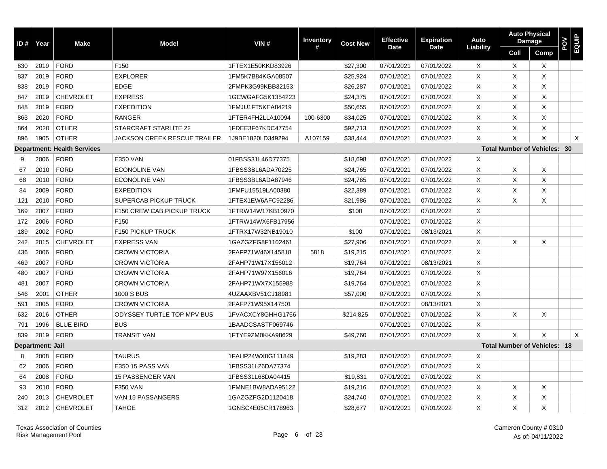| ID# | Year                    | <b>Make</b>                        | <b>Model</b>                        | VIN#              | <b>Inventory</b><br># | <b>Cost New</b> | <b>Effective</b> | Expiration  | Auto      | <b>Auto Physical</b>      | <b>Damage</b>                       | POV | <b>EQUIP</b> |
|-----|-------------------------|------------------------------------|-------------------------------------|-------------------|-----------------------|-----------------|------------------|-------------|-----------|---------------------------|-------------------------------------|-----|--------------|
|     |                         |                                    |                                     |                   |                       |                 | <b>Date</b>      | <b>Date</b> | Liability | Coll                      | <b>Comp</b>                         |     |              |
| 830 | 2019                    | <b>FORD</b>                        | F150                                | 1FTEX1E50KKD83926 |                       | \$27,300        | 07/01/2021       | 07/01/2022  | $\times$  | $\times$                  | $\times$                            |     |              |
| 837 | 2019                    | <b>FORD</b>                        | <b>EXPLORER</b>                     | 1FM5K7B84KGA08507 |                       | \$25,924        | 07/01/2021       | 07/01/2022  | X         | X                         | X                                   |     |              |
| 838 | 2019                    | <b>FORD</b>                        | <b>EDGE</b>                         | 2FMPK3G99KBB32153 |                       | \$26,287        | 07/01/2021       | 07/01/2022  | $\times$  | $\times$                  | X                                   |     |              |
| 847 | 2019                    | <b>CHEVROLET</b>                   | <b>EXPRESS</b>                      | 1GCWGAFG5K1354223 |                       | \$24,375        | 07/01/2021       | 07/01/2022  | $\times$  | X                         | X                                   |     |              |
| 848 | 2019                    | <b>FORD</b>                        | <b>EXPEDITION</b>                   | 1FMJU1FT5KEA84219 |                       | \$50,655        | 07/01/2021       | 07/01/2022  | X         | $\times$                  | X                                   |     |              |
| 863 | 2020                    | <b>FORD</b>                        | <b>RANGER</b>                       | 1FTER4FH2LLA10094 | 100-6300              | \$34,025        | 07/01/2021       | 07/01/2022  | X         | X                         | Χ                                   |     |              |
| 864 | 2020                    | <b>OTHER</b>                       | STARCRAFT STARLITE 22               | 1FDEE3F67KDC47754 |                       | \$92,713        | 07/01/2021       | 07/01/2022  | $\times$  | X                         | Χ                                   |     |              |
| 896 | 1905                    | <b>OTHER</b>                       | <b>JACKSON CREEK RESCUE TRAILER</b> | 1J9BE1820LD349294 | A107159               | \$38,444        | 07/01/2021       | 07/01/2022  | $\times$  | $\boldsymbol{\mathsf{x}}$ | X                                   |     | $\times$     |
|     |                         | <b>Department: Health Services</b> |                                     |                   |                       |                 |                  |             |           |                           | <b>Total Number of Vehicles: 30</b> |     |              |
| 9   | 2006                    | <b>FORD</b>                        | <b>E350 VAN</b>                     | 01FBSS31L46D77375 |                       | \$18,698        | 07/01/2021       | 07/01/2022  | Χ         |                           |                                     |     |              |
| 67  | 2010                    | <b>FORD</b>                        | ECONOLINE VAN                       | 1FBSS3BL6ADA70225 |                       | \$24,765        | 07/01/2021       | 07/01/2022  | X         | X                         | X                                   |     |              |
| 68  | 2010                    | <b>FORD</b>                        | ECONOLINE VAN                       | 1FBSS3BL6ADA87946 |                       | \$24,765        | 07/01/2021       | 07/01/2022  | X         | X                         | Χ                                   |     |              |
| 84  | 2009                    | <b>FORD</b>                        | <b>EXPEDITION</b>                   | 1FMFU15519LA00380 |                       | \$22,389        | 07/01/2021       | 07/01/2022  | X         | X                         | X                                   |     |              |
| 121 | 2010                    | <b>FORD</b>                        | SUPERCAB PICKUP TRUCK               | 1FTEX1EW6AFC92286 |                       | \$21,986        | 07/01/2021       | 07/01/2022  | X         | X                         | Χ                                   |     |              |
| 169 | 2007                    | <b>FORD</b>                        | F150 CREW CAB PICKUP TRUCK          | 1FTRW14W17KB10970 |                       | \$100           | 07/01/2021       | 07/01/2022  | X         |                           |                                     |     |              |
| 172 | 2006                    | <b>FORD</b>                        | F <sub>150</sub>                    | 1FTRW14WX6FB17956 |                       |                 | 07/01/2021       | 07/01/2022  | X         |                           |                                     |     |              |
| 189 | 2002                    | <b>FORD</b>                        | F150 PICKUP TRUCK                   | 1FTRX17W32NB19010 |                       | \$100           | 07/01/2021       | 08/13/2021  | X         |                           |                                     |     |              |
| 242 | 2015                    | <b>CHEVROLET</b>                   | <b>EXPRESS VAN</b>                  | 1GAZGZFG8F1102461 |                       | \$27,906        | 07/01/2021       | 07/01/2022  | X         | $\times$                  | X                                   |     |              |
| 436 | 2006                    | <b>FORD</b>                        | <b>CROWN VICTORIA</b>               | 2FAFP71W46X145818 | 5818                  | \$19,215        | 07/01/2021       | 07/01/2022  | X         |                           |                                     |     |              |
| 469 | 2007                    | <b>FORD</b>                        | <b>CROWN VICTORIA</b>               | 2FAHP71W17X156012 |                       | \$19,764        | 07/01/2021       | 08/13/2021  | X         |                           |                                     |     |              |
| 480 | 2007                    | <b>FORD</b>                        | <b>CROWN VICTORIA</b>               | 2FAHP71W97X156016 |                       | \$19,764        | 07/01/2021       | 07/01/2022  | X         |                           |                                     |     |              |
| 481 | 2007                    | <b>FORD</b>                        | <b>CROWN VICTORIA</b>               | 2FAHP71WX7X155988 |                       | \$19,764        | 07/01/2021       | 07/01/2022  | X         |                           |                                     |     |              |
| 546 | 2001                    | <b>OTHER</b>                       | 1000 S BUS                          | 4UZAAXBV51CJ18981 |                       | \$57,000        | 07/01/2021       | 07/01/2022  | X         |                           |                                     |     |              |
| 591 | 2005                    | <b>FORD</b>                        | <b>CROWN VICTORIA</b>               | 2FAFP71W95X147501 |                       |                 | 07/01/2021       | 08/13/2021  | X         |                           |                                     |     |              |
| 632 | 2016                    | <b>OTHER</b>                       | ODYSSEY TURTLE TOP MPV BUS          | 1FVACXCY8GHHG1766 |                       | \$214,825       | 07/01/2021       | 07/01/2022  | X         | X                         | X                                   |     |              |
| 791 | 1996                    | <b>BLUE BIRD</b>                   | <b>BUS</b>                          | 1BAADCSASTF069746 |                       |                 | 07/01/2021       | 07/01/2022  | X         |                           |                                     |     |              |
| 839 | 2019                    | <b>FORD</b>                        | <b>TRANSIT VAN</b>                  | 1FTYE9ZM0KKA98629 |                       | \$49,760        | 07/01/2021       | 07/01/2022  | X         | X                         | X                                   |     | $\times$     |
|     | <b>Department: Jail</b> |                                    |                                     |                   |                       |                 |                  |             |           |                           | <b>Total Number of Vehicles: 18</b> |     |              |
| 8   | 2008                    | <b>FORD</b>                        | <b>TAURUS</b>                       | 1FAHP24WX8G111849 |                       | \$19,283        | 07/01/2021       | 07/01/2022  | X         |                           |                                     |     |              |
| 62  | 2006                    | <b>FORD</b>                        | E350 15 PASS VAN                    | 1FBSS31L26DA77374 |                       |                 | 07/01/2021       | 07/01/2022  | X         |                           |                                     |     |              |
| 64  | 2008                    | <b>FORD</b>                        | 15 PASSENGER VAN                    | 1FBSS31L68DA04415 |                       | \$19,831        | 07/01/2021       | 07/01/2022  | X         |                           |                                     |     |              |
| 93  | 2010                    | <b>FORD</b>                        | <b>F350 VAN</b>                     | 1FMNE1BW8ADA95122 |                       | \$19,216        | 07/01/2021       | 07/01/2022  | Χ         | Χ                         | Χ                                   |     |              |
| 240 | 2013                    | <b>CHEVROLET</b>                   | VAN 15 PASSANGERS                   | 1GAZGZFG2D1120418 |                       | \$24,740        | 07/01/2021       | 07/01/2022  | Χ         | X                         | Χ                                   |     |              |
| 312 | 2012                    | <b>CHEVROLET</b>                   | <b>TAHOE</b>                        | 1GNSC4E05CR178963 |                       | \$28,677        | 07/01/2021       | 07/01/2022  | X         | $\times$                  | X                                   |     |              |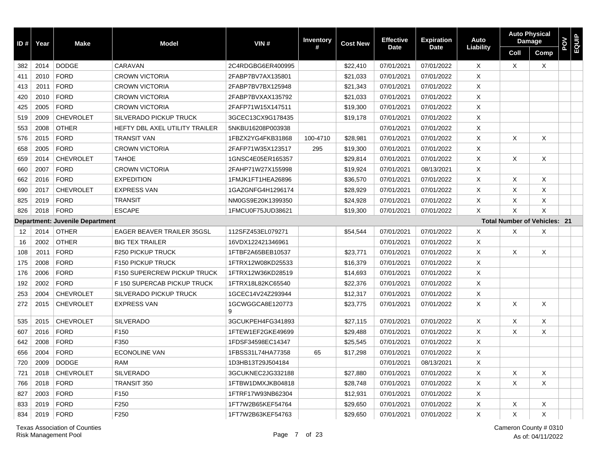| ID $#$ | Year | <b>Make</b>                            | <b>Model</b>                       | VIN#                  | <b>Inventory</b> | <b>Cost New</b> | <b>Effective</b> | <b>Expiration</b> | Auto                      |          | <b>Auto Physical</b><br><b>Damage</b> | <b>POV</b><br>EQUIP |  |
|--------|------|----------------------------------------|------------------------------------|-----------------------|------------------|-----------------|------------------|-------------------|---------------------------|----------|---------------------------------------|---------------------|--|
|        |      |                                        |                                    |                       | #                |                 | <b>Date</b>      | <b>Date</b>       | Liability                 | Coll     | Comp                                  |                     |  |
| 382    | 2014 | <b>DODGE</b>                           | CARAVAN                            | 2C4RDGBG6ER400995     |                  | \$22.410        | 07/01/2021       | 07/01/2022        | $\times$                  | $\times$ | X                                     |                     |  |
| 411    | 2010 | <b>FORD</b>                            | <b>CROWN VICTORIA</b>              | 2FABP7BV7AX135801     |                  | \$21,033        | 07/01/2021       | 07/01/2022        | X                         |          |                                       |                     |  |
| 413    | 2011 | <b>FORD</b>                            | <b>CROWN VICTORIA</b>              | 2FABP7BV7BX125948     |                  | \$21,343        | 07/01/2021       | 07/01/2022        | $\times$                  |          |                                       |                     |  |
| 420    | 2010 | <b>FORD</b>                            | <b>CROWN VICTORIA</b>              | 2FABP7BVXAX135792     |                  | \$21,033        | 07/01/2021       | 07/01/2022        | X                         |          |                                       |                     |  |
| 425    | 2005 | <b>FORD</b>                            | <b>CROWN VICTORIA</b>              | 2FAFP71W15X147511     |                  | \$19,300        | 07/01/2021       | 07/01/2022        | $\times$                  |          |                                       |                     |  |
| 519    | 2009 | <b>CHEVROLET</b>                       | <b>SILVERADO PICKUP TRUCK</b>      | 3GCEC13CX9G178435     |                  | \$19,178        | 07/01/2021       | 07/01/2022        | X                         |          |                                       |                     |  |
| 553    | 2008 | <b>OTHER</b>                           | HEFTY DBL AXEL UTILITY TRAILER     | 5NKBU16208P003938     |                  |                 | 07/01/2021       | 07/01/2022        | $\times$                  |          |                                       |                     |  |
| 576    | 2015 | <b>FORD</b>                            | <b>TRANSIT VAN</b>                 | 1FBZX2YG4FKB31868     | 100-4710         | \$28,981        | 07/01/2021       | 07/01/2022        | $\times$                  | $\times$ | X                                     |                     |  |
| 658    | 2005 | <b>FORD</b>                            | <b>CROWN VICTORIA</b>              | 2FAFP71W35X123517     | 295              | \$19,300        | 07/01/2021       | 07/01/2022        | $\times$                  |          |                                       |                     |  |
| 659    | 2014 | <b>CHEVROLET</b>                       | <b>TAHOE</b>                       | 1GNSC4E05ER165357     |                  | \$29,814        | 07/01/2021       | 07/01/2022        | $\times$                  | $\times$ | X                                     |                     |  |
| 660    | 2007 | <b>FORD</b>                            | <b>CROWN VICTORIA</b>              | 2FAHP71W27X155998     |                  | \$19,924        | 07/01/2021       | 08/13/2021        | X                         |          |                                       |                     |  |
| 662    | 2016 | <b>FORD</b>                            | <b>EXPEDITION</b>                  | 1FMJK1FT1HEA26896     |                  | \$36,570        | 07/01/2021       | 07/01/2022        | $\times$                  | $\times$ | X                                     |                     |  |
| 690    | 2017 | <b>CHEVROLET</b>                       | <b>EXPRESS VAN</b>                 | 1GAZGNFG4H1296174     |                  | \$28,929        | 07/01/2021       | 07/01/2022        | X                         | X        | X                                     |                     |  |
| 825    | 2019 | <b>FORD</b>                            | <b>TRANSIT</b>                     | NM0GS9E20K1399350     |                  | \$24,928        | 07/01/2021       | 07/01/2022        | X                         | X        | X                                     |                     |  |
| 826    | 2018 | <b>FORD</b>                            | <b>ESCAPE</b>                      | 1FMCU0F75JUD38621     |                  | \$19,300        | 07/01/2021       | 07/01/2022        | $\times$                  | $\times$ | $\times$                              |                     |  |
|        |      | <b>Department: Juvenile Department</b> |                                    |                       |                  |                 |                  |                   |                           |          | <b>Total Number of Vehicles: 21</b>   |                     |  |
| 12     | 2014 | <b>OTHER</b>                           | <b>EAGER BEAVER TRAILER 35GSL</b>  | 112SFZ453EL079271     |                  | \$54,544        | 07/01/2021       | 07/01/2022        | $\times$                  | X        | X                                     |                     |  |
| 16     | 2002 | <b>OTHER</b>                           | <b>BIG TEX TRAILER</b>             | 16VDX122421346961     |                  |                 | 07/01/2021       | 07/01/2022        | X                         |          |                                       |                     |  |
| 108    | 2011 | <b>FORD</b>                            | <b>F250 PICKUP TRUCK</b>           | 1FTBF2A65BEB10537     |                  | \$23,771        | 07/01/2021       | 07/01/2022        | $\times$                  | X        | X                                     |                     |  |
| 175    | 2008 | <b>FORD</b>                            | F150 PICKUP TRUCK                  | 1FTRX12W08KD25533     |                  | \$16,379        | 07/01/2021       | 07/01/2022        | $\times$                  |          |                                       |                     |  |
| 176    | 2006 | <b>FORD</b>                            | <b>F150 SUPERCREW PICKUP TRUCK</b> | 1FTRX12W36KD28519     |                  | \$14,693        | 07/01/2021       | 07/01/2022        | $\times$                  |          |                                       |                     |  |
| 192    | 2002 | <b>FORD</b>                            | F 150 SUPERCAB PICKUP TRUCK        | 1FTRX18L82KC65540     |                  | \$22,376        | 07/01/2021       | 07/01/2022        | X                         |          |                                       |                     |  |
| 253    | 2004 | <b>CHEVROLET</b>                       | <b>SILVERADO PICKUP TRUCK</b>      | 1GCEC14V24Z293944     |                  | \$12,317        | 07/01/2021       | 07/01/2022        | $\boldsymbol{\mathsf{X}}$ |          |                                       |                     |  |
| 272    | 2015 | <b>CHEVROLET</b>                       | <b>EXPRESS VAN</b>                 | 1GCWGGCA8E120773<br>9 |                  | \$23,775        | 07/01/2021       | 07/01/2022        | $\times$                  | X        | X                                     |                     |  |
| 535    | 2015 | <b>CHEVROLET</b>                       | <b>SILVERADO</b>                   | 3GCUKPEH4FG341893     |                  | \$27,115        | 07/01/2021       | 07/01/2022        | X                         | X        | X                                     |                     |  |
| 607    | 2016 | <b>FORD</b>                            | F150                               | 1FTEW1EF2GKE49699     |                  | \$29,488        | 07/01/2021       | 07/01/2022        | X                         | X        | X                                     |                     |  |
| 642    | 2008 | <b>FORD</b>                            | F350                               | 1FDSF34598EC14347     |                  | \$25,545        | 07/01/2021       | 07/01/2022        | $\times$                  |          |                                       |                     |  |
| 656    | 2004 | <b>FORD</b>                            | <b>ECONOLINE VAN</b>               | 1FBSS31L74HA77358     | 65               | \$17,298        | 07/01/2021       | 07/01/2022        | $\times$                  |          |                                       |                     |  |
| 720    | 2009 | <b>DODGE</b>                           | <b>RAM</b>                         | 1D3HB13T29J504184     |                  |                 | 07/01/2021       | 08/13/2021        | $\times$                  |          |                                       |                     |  |
| 721    | 2018 | <b>CHEVROLET</b>                       | <b>SILVERADO</b>                   | 3GCUKNEC2JG332188     |                  | \$27,880        | 07/01/2021       | 07/01/2022        | $\times$                  | X        | X                                     |                     |  |
| 766    | 2018 | <b>FORD</b>                            | TRANSIT 350                        | 1FTBW1DMXJKB04818     |                  | \$28,748        | 07/01/2021       | 07/01/2022        | $\times$                  | $\times$ | X                                     |                     |  |
| 827    | 2003 | <b>FORD</b>                            | F150                               | 1FTRF17W93NB62304     |                  | \$12,931        | 07/01/2021       | 07/01/2022        | X                         |          |                                       |                     |  |
| 833    | 2019 | <b>FORD</b>                            | F250                               | 1FT7W2B65KEF54764     |                  | \$29,650        | 07/01/2021       | 07/01/2022        | $\times$                  | X        | X                                     |                     |  |
| 834    | 2019 | <b>FORD</b>                            | F250                               | 1FT7W2B63KEF54763     |                  | \$29,650        | 07/01/2021       | 07/01/2022        | X                         | X        | X                                     |                     |  |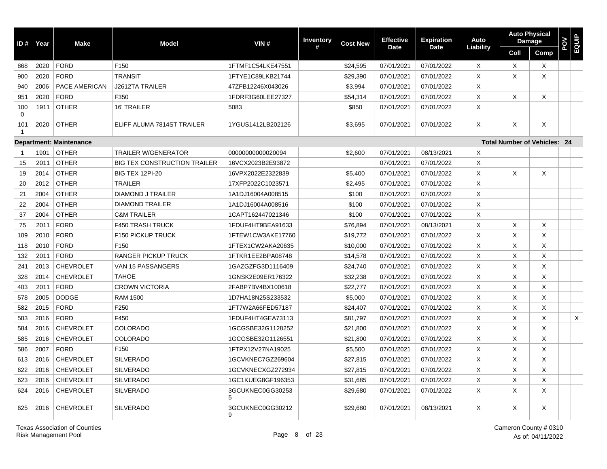| ID#       | Year | <b>Make</b>                    | <b>Model</b>                        | VIN#                  | <b>Inventory</b> | <b>Cost New</b> | <b>Effective</b> | <b>Expiration</b> | Auto                      |          | <b>Auto Physical</b><br><b>Damage</b> | POV | EQUIP |
|-----------|------|--------------------------------|-------------------------------------|-----------------------|------------------|-----------------|------------------|-------------------|---------------------------|----------|---------------------------------------|-----|-------|
|           |      |                                |                                     |                       | #                |                 | <b>Date</b>      | <b>Date</b>       | Liability                 | Coll     | Comp                                  |     |       |
| 868       | 2020 | <b>FORD</b>                    | F <sub>150</sub>                    | 1FTMF1C54LKE47551     |                  | \$24,595        | 07/01/2021       | 07/01/2022        | X                         | $\times$ | X                                     |     |       |
| 900       | 2020 | <b>FORD</b>                    | <b>TRANSIT</b>                      | 1FTYE1C89LKB21744     |                  | \$29,390        | 07/01/2021       | 07/01/2022        | X                         | X        | X                                     |     |       |
| 940       | 2006 | PACE AMERICAN                  | J2612TA TRAILER                     | 47ZFB12246X043026     |                  | \$3,994         | 07/01/2021       | 07/01/2022        | X                         |          |                                       |     |       |
| 951       | 2020 | <b>FORD</b>                    | F350                                | 1FDRF3G60LEE27327     |                  | \$54,314        | 07/01/2021       | 07/01/2022        | X                         | X        | X                                     |     |       |
| 100<br>0  | 1911 | <b>OTHER</b>                   | 16' TRAILER                         | 5083                  |                  | \$850           | 07/01/2021       | 07/01/2022        | X                         |          |                                       |     |       |
| 101<br>-1 | 2020 | <b>OTHER</b>                   | ELIFF ALUMA 7814ST TRAILER          | 1YGUS1412LB202126     |                  | \$3,695         | 07/01/2021       | 07/01/2022        | X                         | $\times$ | X                                     |     |       |
|           |      | <b>Department: Maintenance</b> |                                     |                       |                  |                 |                  |                   |                           |          | <b>Total Number of Vehicles: 24</b>   |     |       |
|           | 1901 | <b>OTHER</b>                   | <b>TRAILER W/GENERATOR</b>          | 00000000000020094     |                  | \$2,600         | 07/01/2021       | 08/13/2021        | $\times$                  |          |                                       |     |       |
| 15        | 2011 | <b>OTHER</b>                   | <b>BIG TEX CONSTRUCTION TRAILER</b> | 16VCX2023B2E93872     |                  |                 | 07/01/2021       | 07/01/2022        | X                         |          |                                       |     |       |
| 19        | 2014 | <b>OTHER</b>                   | <b>BIG TEX 12PI-20</b>              | 16VPX2022E2322839     |                  | \$5,400         | 07/01/2021       | 07/01/2022        | $\times$                  | Χ        | X                                     |     |       |
| 20        | 2012 | <b>OTHER</b>                   | <b>TRAILER</b>                      | 17XFP2022C1023571     |                  | \$2,495         | 07/01/2021       | 07/01/2022        | X                         |          |                                       |     |       |
| 21        | 2004 | <b>OTHER</b>                   | DIAMOND J TRAILER                   | 1A1DJ16004A008515     |                  | \$100           | 07/01/2021       | 07/01/2022        | $\boldsymbol{\mathsf{X}}$ |          |                                       |     |       |
| 22        | 2004 | <b>OTHER</b>                   | <b>DIAMOND TRAILER</b>              | 1A1DJ16004A008516     |                  | \$100           | 07/01/2021       | 07/01/2022        | X                         |          |                                       |     |       |
| 37        | 2004 | <b>OTHER</b>                   | <b>C&amp;M TRAILER</b>              | 1CAPT162447021346     |                  | \$100           | 07/01/2021       | 07/01/2022        | X                         |          |                                       |     |       |
| 75        | 2011 | <b>FORD</b>                    | <b>F450 TRASH TRUCK</b>             | 1FDUF4HT9BEA91633     |                  | \$76,894        | 07/01/2021       | 08/13/2021        | X                         | X        | X                                     |     |       |
| 109       | 2010 | <b>FORD</b>                    | <b>F150 PICKUP TRUCK</b>            | 1FTEW1CW3AKE17760     |                  | \$19,772        | 07/01/2021       | 07/01/2022        | X                         | X        | X                                     |     |       |
| 118       | 2010 | <b>FORD</b>                    | F <sub>150</sub>                    | 1FTEX1CW2AKA20635     |                  | \$10,000        | 07/01/2021       | 07/01/2022        | $\times$                  | X        | X                                     |     |       |
| 132       | 2011 | <b>FORD</b>                    | <b>RANGER PICKUP TRUCK</b>          | 1FTKR1EE2BPA08748     |                  | \$14,578        | 07/01/2021       | 07/01/2022        | $\times$                  | X        | X                                     |     |       |
| 241       | 2013 | <b>CHEVROLET</b>               | VAN 15 PASSANGERS                   | 1GAZGZFG3D1116409     |                  | \$24,740        | 07/01/2021       | 07/01/2022        | $\times$                  | X        | X                                     |     |       |
| 328       | 2014 | <b>CHEVROLET</b>               | <b>TAHOE</b>                        | 1GNSK2E09ER176322     |                  | \$32,238        | 07/01/2021       | 07/01/2022        | X                         | Χ        | Χ                                     |     |       |
| 403       | 2011 | <b>FORD</b>                    | <b>CROWN VICTORIA</b>               | 2FABP7BV4BX100618     |                  | \$22,777        | 07/01/2021       | 07/01/2022        | X                         | X        | X                                     |     |       |
| 578       | 2005 | <b>DODGE</b>                   | <b>RAM 1500</b>                     | 1D7HA18N25S233532     |                  | \$5,000         | 07/01/2021       | 07/01/2022        | X                         | $\times$ | X                                     |     |       |
| 582       | 2015 | <b>FORD</b>                    | F250                                | 1FT7W2A66FED57187     |                  | \$24,407        | 07/01/2021       | 07/01/2022        | X                         | X        | X                                     |     |       |
| 583       | 2016 | <b>FORD</b>                    | F450                                | 1FDUF4HT4GEA73113     |                  | \$81,797        | 07/01/2021       | 07/01/2022        | X                         | $\times$ | X                                     |     | X     |
| 584       | 2016 | <b>CHEVROLET</b>               | <b>COLORADO</b>                     | 1GCGSBE32G1128252     |                  | \$21,800        | 07/01/2021       | 07/01/2022        | X                         | $\times$ | X                                     |     |       |
| 585       | 2016 | <b>CHEVROLET</b>               | <b>COLORADO</b>                     | 1GCGSBE32G1126551     |                  | \$21,800        | 07/01/2021       | 07/01/2022        | X                         | X        | Χ                                     |     |       |
| 586       | 2007 | <b>FORD</b>                    | F <sub>150</sub>                    | 1FTPX12V27NA19025     |                  | \$5,500         | 07/01/2021       | 07/01/2022        | X                         | X        | X                                     |     |       |
| 613       | 2016 | <b>CHEVROLET</b>               | <b>SILVERADO</b>                    | 1GCVKNEC7GZ269604     |                  | \$27,815        | 07/01/2021       | 07/01/2022        | X                         | X        | X                                     |     |       |
| 622       | 2016 | <b>CHEVROLET</b>               | <b>SILVERADO</b>                    | 1GCVKNECXGZ272934     |                  | \$27,815        | 07/01/2021       | 07/01/2022        | $\times$                  | X        | Χ                                     |     |       |
| 623       | 2016 | <b>CHEVROLET</b>               | <b>SILVERADO</b>                    | 1GC1KUEG8GF196353     |                  | \$31,685        | 07/01/2021       | 07/01/2022        | X                         | X        | X                                     |     |       |
| 624       | 2016 | <b>CHEVROLET</b>               | <b>SILVERADO</b>                    | 3GCUKNEC0GG30253<br>5 |                  | \$29,680        | 07/01/2021       | 07/01/2022        | X                         | $\times$ | X                                     |     |       |
| 625       | 2016 | <b>CHEVROLET</b>               | <b>SILVERADO</b>                    | 3GCUKNEC0GG30212<br>9 |                  | \$29,680        | 07/01/2021       | 08/13/2021        | X                         | X        | X                                     |     |       |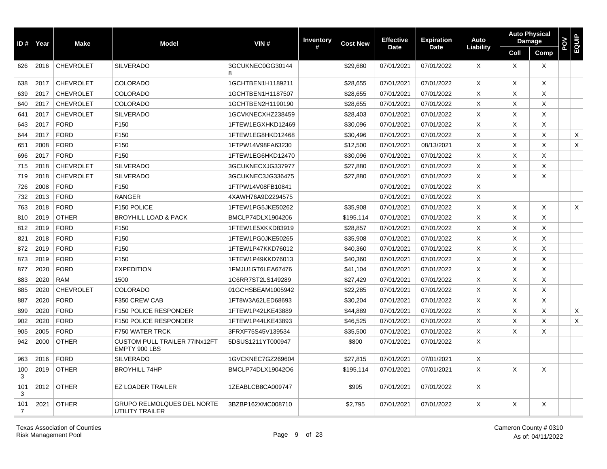| ID#      | Year | <b>Make</b>      | <b>Model</b>                                          | VIN#                  | <b>Inventory</b> | <b>Cost New</b> | <b>Effective</b> | <b>Expiration</b> | Auto             |          | <b>Auto Physical</b><br><b>Damage</b> | POV | EQUIP |
|----------|------|------------------|-------------------------------------------------------|-----------------------|------------------|-----------------|------------------|-------------------|------------------|----------|---------------------------------------|-----|-------|
|          |      |                  |                                                       |                       | #                |                 | Date             | <b>Date</b>       | <b>Liability</b> | Coll     | Comp                                  |     |       |
| 626      | 2016 | <b>CHEVROLET</b> | <b>SILVERADO</b>                                      | 3GCUKNEC0GG30144<br>8 |                  | \$29,680        | 07/01/2021       | 07/01/2022        | $\times$         | $\times$ | X                                     |     |       |
| 638      | 2017 | <b>CHEVROLET</b> | <b>COLORADO</b>                                       | 1GCHTBEN1H1189211     |                  | \$28,655        | 07/01/2021       | 07/01/2022        | X                | Χ        | Χ                                     |     |       |
| 639      | 2017 | <b>CHEVROLET</b> | <b>COLORADO</b>                                       | 1GCHTBEN1H1187507     |                  | \$28,655        | 07/01/2021       | 07/01/2022        | X                | $\times$ | X                                     |     |       |
| 640      | 2017 | <b>CHEVROLET</b> | <b>COLORADO</b>                                       | 1GCHTBEN2H1190190     |                  | \$28,655        | 07/01/2021       | 07/01/2022        | X                | $\times$ | X                                     |     |       |
| 641      | 2017 | <b>CHEVROLET</b> | <b>SILVERADO</b>                                      | 1GCVKNECXHZ238459     |                  | \$28,403        | 07/01/2021       | 07/01/2022        | X                | X        | X                                     |     |       |
| 643      | 2017 | <b>FORD</b>      | F <sub>150</sub>                                      | 1FTEW1EGXHKD12469     |                  | \$30,096        | 07/01/2021       | 07/01/2022        | X                | X        | Χ                                     |     |       |
| 644      | 2017 | <b>FORD</b>      | F150                                                  | 1FTEW1EG8HKD12468     |                  | \$30,496        | 07/01/2021       | 07/01/2022        | X                | X        | X                                     |     | X     |
| 651      | 2008 | <b>FORD</b>      | F <sub>150</sub>                                      | 1FTPW14V98FA63230     |                  | \$12,500        | 07/01/2021       | 08/13/2021        | X                | $\times$ | X                                     |     | X     |
| 696      | 2017 | <b>FORD</b>      | F <sub>150</sub>                                      | 1FTEW1EG6HKD12470     |                  | \$30,096        | 07/01/2021       | 07/01/2022        | X                | $\times$ | X                                     |     |       |
| 715      | 2018 | <b>CHEVROLET</b> | <b>SILVERADO</b>                                      | 3GCUKNECXJG337977     |                  | \$27,880        | 07/01/2021       | 07/01/2022        | X                | $\times$ | X                                     |     |       |
| 719      | 2018 | <b>CHEVROLET</b> | <b>SILVERADO</b>                                      | 3GCUKNEC3JG336475     |                  | \$27,880        | 07/01/2021       | 07/01/2022        | X                | X        | X                                     |     |       |
| 726      | 2008 | <b>FORD</b>      | F150                                                  | 1FTPW14V08FB10841     |                  |                 | 07/01/2021       | 07/01/2022        | X                |          |                                       |     |       |
| 732      | 2013 | <b>FORD</b>      | <b>RANGER</b>                                         | 4XAWH76A9D2294575     |                  |                 | 07/01/2021       | 07/01/2022        | X                |          |                                       |     |       |
| 763      | 2018 | <b>FORD</b>      | F150 POLICE                                           | 1FTEW1PG5JKE50262     |                  | \$35,908        | 07/01/2021       | 07/01/2022        | X                | X        | X                                     |     | X     |
| 810      | 2019 | <b>OTHER</b>     | <b>BROYHILL LOAD &amp; PACK</b>                       | BMCLP74DLX1904206     |                  | \$195,114       | 07/01/2021       | 07/01/2022        | $\times$         | $\times$ | X                                     |     |       |
| 812      | 2019 | <b>FORD</b>      | F <sub>150</sub>                                      | 1FTEW1E5XKKD83919     |                  | \$28,857        | 07/01/2021       | 07/01/2022        | $\times$         | $\times$ | X                                     |     |       |
| 821      | 2018 | <b>FORD</b>      | F150                                                  | 1FTEW1PG0JKE50265     |                  | \$35,908        | 07/01/2021       | 07/01/2022        | $\times$         | $\times$ | X                                     |     |       |
| 872      | 2019 | <b>FORD</b>      | F150                                                  | 1FTEW1P47KKD76012     |                  | \$40,360        | 07/01/2021       | 07/01/2022        | $\times$         | $\times$ | X                                     |     |       |
| 873      | 2019 | <b>FORD</b>      | F <sub>150</sub>                                      | 1FTEW1P49KKD76013     |                  | \$40,360        | 07/01/2021       | 07/01/2022        | $\times$         | $\times$ | X                                     |     |       |
| 877      | 2020 | <b>FORD</b>      | <b>EXPEDITION</b>                                     | 1FMJU1GT6LEA67476     |                  | \$41,104        | 07/01/2021       | 07/01/2022        | $\times$         | $\times$ | X                                     |     |       |
| 883      | 2020 | <b>RAM</b>       | 1500                                                  | 1C6RR7ST2LS149289     |                  | \$27,429        | 07/01/2021       | 07/01/2022        | $\times$         | $\times$ | X                                     |     |       |
| 885      | 2020 | <b>CHEVROLET</b> | <b>COLORADO</b>                                       | 01GCHSBEAM1005942     |                  | \$22,285        | 07/01/2021       | 07/01/2022        | $\times$         | $\times$ | X                                     |     |       |
| 887      | 2020 | <b>FORD</b>      | F350 CREW CAB                                         | 1FT8W3A62LED68693     |                  | \$30,204        | 07/01/2021       | 07/01/2022        | $\times$         | X        | X                                     |     |       |
| 899      | 2020 | <b>FORD</b>      | <b>F150 POLICE RESPONDER</b>                          | 1FTEW1P42LKE43889     |                  | \$44,889        | 07/01/2021       | 07/01/2022        | $\times$         | $\times$ | X                                     |     | X     |
| 902      | 2020 | <b>FORD</b>      | <b>F150 POLICE RESPONDER</b>                          | 1FTEW1P44LKE43893     |                  | \$46,525        | 07/01/2021       | 07/01/2022        | $\times$         | $\times$ | X                                     |     | X     |
| 905      | 2005 | <b>FORD</b>      | F750 WATER TRCK                                       | 3FRXF75S45V139534     |                  | \$35,500        | 07/01/2021       | 07/01/2022        | $\times$         | X        | X                                     |     |       |
| 942      | 2000 | <b>OTHER</b>     | <b>CUSTOM PULL TRAILER 77INx12FT</b><br>EMPTY 900 LBS | 5DSUS1211YT000947     |                  | \$800           | 07/01/2021       | 07/01/2022        | X                |          |                                       |     |       |
| 963      | 2016 | <b>FORD</b>      | <b>SILVERADO</b>                                      | 1GVCKNEC7GZ269604     |                  | \$27,815        | 07/01/2021       | 07/01/2021        | X                |          |                                       |     |       |
| 100<br>3 | 2019 | <b>OTHER</b>     | <b>BROYHILL 74HP</b>                                  | BMCLP74DLX19042O6     |                  | \$195,114       | 07/01/2021       | 07/01/2021        | $\times$         | $\times$ | X                                     |     |       |
| 101<br>3 | 2012 | <b>OTHER</b>     | <b>EZ LOADER TRAILER</b>                              | 1ZEABLCB8CA009747     |                  | \$995           | 07/01/2021       | 07/01/2022        | X                |          |                                       |     |       |
| 101<br>7 | 2021 | <b>OTHER</b>     | <b>GRUPO RELMOLQUES DEL NORTE</b><br>UTILITY TRAILER  | 3BZBP162XMC008710     |                  | \$2,795         | 07/01/2021       | 07/01/2022        | X                | X        | Χ                                     |     |       |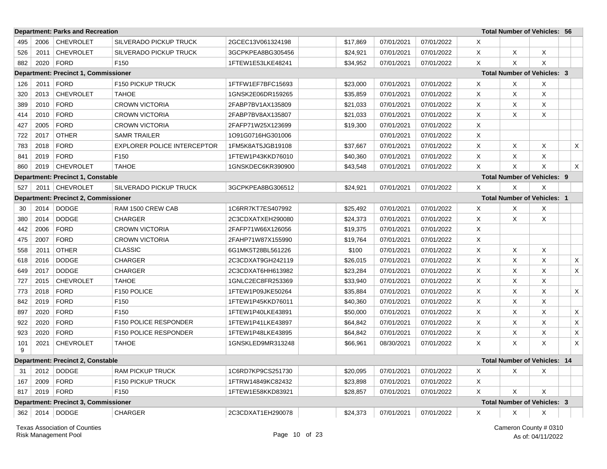|          |      | <b>Department: Parks and Recreation</b>     |                                    |                   |          |            |            |          |          | <b>Total Number of Vehicles: 56</b> |          |
|----------|------|---------------------------------------------|------------------------------------|-------------------|----------|------------|------------|----------|----------|-------------------------------------|----------|
| 495      | 2006 | <b>CHEVROLET</b>                            | SILVERADO PICKUP TRUCK             | 2GCEC13V061324198 | \$17,869 | 07/01/2021 | 07/01/2022 | X        |          |                                     |          |
| 526      | 2011 | <b>CHEVROLET</b>                            | <b>SILVERADO PICKUP TRUCK</b>      | 3GCPKPEA8BG305456 | \$24,921 | 07/01/2021 | 07/01/2022 | X        | X        | X                                   |          |
| 882      | 2020 | <b>FORD</b>                                 | F150                               | 1FTEW1E53LKE48241 | \$34,952 | 07/01/2021 | 07/01/2022 | X        | $\times$ | X                                   |          |
|          |      | <b>Department: Precinct 1, Commissioner</b> |                                    |                   |          |            |            |          |          | <b>Total Number of Vehicles: 3</b>  |          |
| 126      | 2011 | <b>FORD</b>                                 | F150 PICKUP TRUCK                  | 1FTFW1EF7BFC15693 | \$23,000 | 07/01/2021 | 07/01/2022 | X        | Χ        | X                                   |          |
| 320      | 2013 | <b>CHEVROLET</b>                            | <b>TAHOE</b>                       | 1GNSK2E06DR159265 | \$35,859 | 07/01/2021 | 07/01/2022 | X        | X        | X                                   |          |
| 389      | 2010 | <b>FORD</b>                                 | <b>CROWN VICTORIA</b>              | 2FABP7BV1AX135809 | \$21,033 | 07/01/2021 | 07/01/2022 | X        | X        | X                                   |          |
| 414      | 2010 | <b>FORD</b>                                 | <b>CROWN VICTORIA</b>              | 2FABP7BV8AX135807 | \$21,033 | 07/01/2021 | 07/01/2022 | $\times$ | $\times$ | Χ                                   |          |
| 427      | 2005 | <b>FORD</b>                                 | <b>CROWN VICTORIA</b>              | 2FAFP71W25X123699 | \$19,300 | 07/01/2021 | 07/01/2022 | X        |          |                                     |          |
| 722      | 2017 | <b>OTHER</b>                                | <b>SAMR TRAILER</b>                | 1O91G0716HG301006 |          | 07/01/2021 | 07/01/2022 | X        |          |                                     |          |
| 783      | 2018 | <b>FORD</b>                                 | <b>EXPLORER POLICE INTERCEPTOR</b> | 1FM5K8AT5JGB19108 | \$37,667 | 07/01/2021 | 07/01/2022 | X        | X        | X                                   | X        |
| 841      | 2019 | <b>FORD</b>                                 | F <sub>150</sub>                   | 1FTEW1P43KKD76010 | \$40,360 | 07/01/2021 | 07/01/2022 | $\times$ | Χ        | Χ                                   |          |
| 860      | 2019 | <b>CHEVROLET</b>                            | <b>TAHOE</b>                       | 1GNSKDEC6KR390900 | \$43,548 | 07/01/2021 | 07/01/2022 | Χ        | $\times$ | X                                   | $\times$ |
|          |      | <b>Department: Precinct 1, Constable</b>    |                                    |                   |          |            |            |          |          | <b>Total Number of Vehicles: 9</b>  |          |
| 527      |      | 2011   CHEVROLET                            | <b>SILVERADO PICKUP TRUCK</b>      | 3GCPKPEA8BG306512 | \$24,921 | 07/01/2021 | 07/01/2022 | X        | $\times$ | X                                   |          |
|          |      | <b>Department: Precinct 2, Commissioner</b> |                                    |                   |          |            |            |          |          | <b>Total Number of Vehicles: 1</b>  |          |
| 30       | 2014 | <b>DODGE</b>                                | RAM 1500 CREW CAB                  | 1C6RR7KT7ES407992 | \$25,492 | 07/01/2021 | 07/01/2022 | X        | Χ        | Х                                   |          |
| 380      | 2014 | <b>DODGE</b>                                | <b>CHARGER</b>                     | 2C3CDXATXEH290080 | \$24,373 | 07/01/2021 | 07/01/2022 | X        | $\times$ | X                                   |          |
| 442      | 2006 | <b>FORD</b>                                 | <b>CROWN VICTORIA</b>              | 2FAFP71W66X126056 | \$19,375 | 07/01/2021 | 07/01/2022 | X        |          |                                     |          |
| 475      | 2007 | <b>FORD</b>                                 | <b>CROWN VICTORIA</b>              | 2FAHP71W87X155990 | \$19,764 | 07/01/2021 | 07/01/2022 | X        |          |                                     |          |
| 558      | 2011 | <b>OTHER</b>                                | <b>CLASSIC</b>                     | 6G1MK5T28BL561226 | \$100    | 07/01/2021 | 07/01/2022 | X        | X        | X                                   |          |
| 618      | 2016 | <b>DODGE</b>                                | <b>CHARGER</b>                     | 2C3CDXAT9GH242119 | \$26,015 | 07/01/2021 | 07/01/2022 | X        | X        | X                                   | X        |
| 649      | 2017 | <b>DODGE</b>                                | <b>CHARGER</b>                     | 2C3CDXAT6HH613982 | \$23,284 | 07/01/2021 | 07/01/2022 | X        | X        | X                                   | X        |
| 727      | 2015 | <b>CHEVROLET</b>                            | <b>TAHOE</b>                       | 1GNLC2EC8FR253369 | \$33,940 | 07/01/2021 | 07/01/2022 | X        | X        | X                                   |          |
| 773      | 2018 | <b>FORD</b>                                 | F150 POLICE                        | 1FTEW1P09JKE50264 | \$35,884 | 07/01/2021 | 07/01/2022 | X        | X        | X                                   | X        |
| 842      | 2019 | <b>FORD</b>                                 | F150                               | 1FTEW1P45KKD76011 | \$40,360 | 07/01/2021 | 07/01/2022 | $\times$ | X        | X                                   |          |
| 897      | 2020 | <b>FORD</b>                                 | F <sub>150</sub>                   | 1FTEW1P40LKE43891 | \$50,000 | 07/01/2021 | 07/01/2022 | X        | X        | X                                   | X        |
| 922      | 2020 | <b>FORD</b>                                 | F150 POLICE RESPONDER              | 1FTEW1P41LKE43897 | \$64,842 | 07/01/2021 | 07/01/2022 | $\times$ | X        | X                                   | X        |
| 923      | 2020 | <b>FORD</b>                                 | <b>F150 POLICE RESPONDER</b>       | 1FTEW1P48LKE43895 | \$64,842 | 07/01/2021 | 07/01/2022 | X        | Χ        | X                                   | X        |
| 101<br>9 | 2021 | <b>CHEVROLET</b>                            | <b>TAHOE</b>                       | 1GNSKLED9MR313248 | \$66,961 | 08/30/2021 | 07/01/2022 | X        | X        | X                                   | X        |
|          |      | <b>Department: Precinct 2, Constable</b>    |                                    |                   |          |            |            |          |          | <b>Total Number of Vehicles: 14</b> |          |
| 31       | 2012 | <b>DODGE</b>                                | <b>RAM PICKUP TRUCK</b>            | 1C6RD7KP9CS251730 | \$20,095 | 07/01/2021 | 07/01/2022 | Χ        | Χ        | Χ                                   |          |
| 167      | 2009 | <b>FORD</b>                                 | F150 PICKUP TRUCK                  | 1FTRW14849KC82432 | \$23,898 | 07/01/2021 | 07/01/2022 | X        |          |                                     |          |
| 817      | 2019 | <b>FORD</b>                                 | F <sub>150</sub>                   | 1FTEW1E58KKD83921 | \$28,857 | 07/01/2021 | 07/01/2022 | $\times$ | $\times$ | X                                   |          |
|          |      | <b>Department: Precinct 3, Commissioner</b> |                                    |                   |          |            |            |          |          | <b>Total Number of Vehicles: 3</b>  |          |
| 362      | 2014 | <b>DODGE</b>                                | <b>CHARGER</b>                     | 2C3CDXAT1EH290078 | \$24,373 | 07/01/2021 | 07/01/2022 | Χ        | X        | X                                   |          |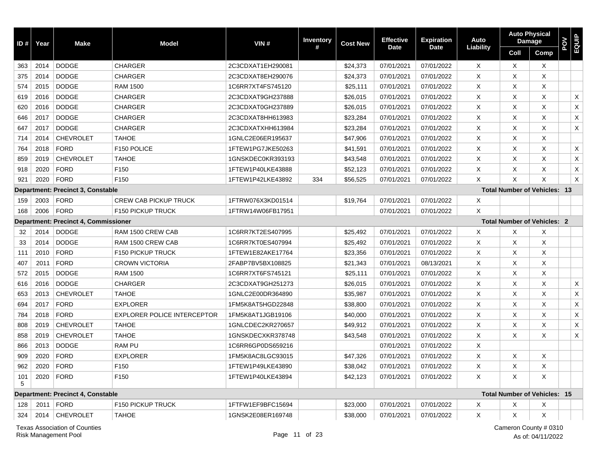| ID# | Year | <b>Make</b>                                 | <b>Model</b>                       | VIN#              | <b>Inventory</b> | <b>Cost New</b> | <b>Effective</b> | <b>Expiration</b> | Auto      | <b>Auto Physical</b> | Damage                              | POV | EQUIP       |
|-----|------|---------------------------------------------|------------------------------------|-------------------|------------------|-----------------|------------------|-------------------|-----------|----------------------|-------------------------------------|-----|-------------|
|     |      |                                             |                                    |                   |                  |                 | <b>Date</b>      | <b>Date</b>       | Liability | Coll                 | Comp                                |     |             |
| 363 | 2014 | <b>DODGE</b>                                | <b>CHARGER</b>                     | 2C3CDXAT1EH290081 |                  | \$24,373        | 07/01/2021       | 07/01/2022        | Χ         | Х                    | X                                   |     |             |
| 375 | 2014 | <b>DODGE</b>                                | <b>CHARGER</b>                     | 2C3CDXAT8EH290076 |                  | \$24,373        | 07/01/2021       | 07/01/2022        | X         | X                    | X                                   |     |             |
| 574 | 2015 | <b>DODGE</b>                                | <b>RAM 1500</b>                    | 1C6RR7XT4FS745120 |                  | \$25,111        | 07/01/2021       | 07/01/2022        | X         | X                    | X                                   |     |             |
| 619 | 2016 | <b>DODGE</b>                                | <b>CHARGER</b>                     | 2C3CDXAT9GH237888 |                  | \$26,015        | 07/01/2021       | 07/01/2022        | X         | X                    | X                                   |     | X           |
| 620 | 2016 | <b>DODGE</b>                                | <b>CHARGER</b>                     | 2C3CDXAT0GH237889 |                  | \$26,015        | 07/01/2021       | 07/01/2022        | Χ         | X                    | X                                   |     | $\mathsf X$ |
| 646 | 2017 | <b>DODGE</b>                                | <b>CHARGER</b>                     | 2C3CDXAT8HH613983 |                  | \$23,284        | 07/01/2021       | 07/01/2022        | X         | X                    | X                                   |     | X           |
| 647 | 2017 | <b>DODGE</b>                                | <b>CHARGER</b>                     | 2C3CDXATXHH613984 |                  | \$23,284        | 07/01/2021       | 07/01/2022        | Χ         | X                    | X                                   |     | X           |
| 714 | 2014 | <b>CHEVROLET</b>                            | <b>TAHOE</b>                       | 1GNLC2E06ER195637 |                  | \$47,906        | 07/01/2021       | 07/01/2022        | X         | X                    | X                                   |     |             |
| 764 | 2018 | <b>FORD</b>                                 | F150 POLICE                        | 1FTEW1PG7JKE50263 |                  | \$41,591        | 07/01/2021       | 07/01/2022        | X         | X                    | X                                   |     | X           |
| 859 | 2019 | <b>CHEVROLET</b>                            | <b>TAHOE</b>                       | 1GNSKDEC0KR393193 |                  | \$43,548        | 07/01/2021       | 07/01/2022        | X         | X                    | X                                   |     | X           |
| 918 | 2020 | <b>FORD</b>                                 | F150                               | 1FTEW1P40LKE43888 |                  | \$52,123        | 07/01/2021       | 07/01/2022        | Χ         | X                    | X                                   |     | X           |
| 921 | 2020 | <b>FORD</b>                                 | F150                               | 1FTEW1P42LKE43892 | 334              | \$56,525        | 07/01/2021       | 07/01/2022        | X         | X                    | X                                   |     | X           |
|     |      | Department: Precinct 3, Constable           |                                    |                   |                  |                 |                  |                   |           |                      | <b>Total Number of Vehicles: 13</b> |     |             |
| 159 | 2003 | <b>FORD</b>                                 | <b>CREW CAB PICKUP TRUCK</b>       | 1FTRW076X3KD01514 |                  | \$19,764        | 07/01/2021       | 07/01/2022        | Χ         |                      |                                     |     |             |
| 168 | 2006 | <b>FORD</b>                                 | <b>F150 PICKUP TRUCK</b>           | 1FTRW14W06FB17951 |                  |                 | 07/01/2021       | 07/01/2022        | X         |                      |                                     |     |             |
|     |      | <b>Department: Precinct 4, Commissioner</b> |                                    |                   |                  |                 |                  |                   |           |                      | <b>Total Number of Vehicles: 2</b>  |     |             |
| 32  | 2014 | <b>DODGE</b>                                | RAM 1500 CREW CAB                  | 1C6RR7KT2ES407995 |                  | \$25,492        | 07/01/2021       | 07/01/2022        | Χ         | Х                    | X                                   |     |             |
| 33  | 2014 | <b>DODGE</b>                                | RAM 1500 CREW CAB                  | 1C6RR7KT0ES407994 |                  | \$25,492        | 07/01/2021       | 07/01/2022        | X         | X                    | X                                   |     |             |
| 111 | 2010 | <b>FORD</b>                                 | F150 PICKUP TRUCK                  | 1FTEW1E82AKE17764 |                  | \$23,356        | 07/01/2021       | 07/01/2022        | Χ         | X                    | X                                   |     |             |
| 407 | 2011 | <b>FORD</b>                                 | <b>CROWN VICTORIA</b>              | 2FABP7BV5BX108825 |                  | \$21,343        | 07/01/2021       | 08/13/2021        | X         | Х                    | X                                   |     |             |
| 572 | 2015 | <b>DODGE</b>                                | <b>RAM 1500</b>                    | 1C6RR7XT6FS745121 |                  | \$25,111        | 07/01/2021       | 07/01/2022        | X         | X                    | X                                   |     |             |
| 616 | 2016 | <b>DODGE</b>                                | <b>CHARGER</b>                     | 2C3CDXAT9GH251273 |                  | \$26,015        | 07/01/2021       | 07/01/2022        | Χ         | X                    | X                                   |     | X           |
| 653 | 2013 | <b>CHEVROLET</b>                            | <b>TAHOE</b>                       | 1GNLC2E00DR364890 |                  | \$35,987        | 07/01/2021       | 07/01/2022        | Χ         | X                    | X                                   |     | X           |
| 694 | 2017 | <b>FORD</b>                                 | <b>EXPLORER</b>                    | 1FM5K8AT5HGD22848 |                  | \$38,800        | 07/01/2021       | 07/01/2022        | X         | X                    | X                                   |     | X           |
| 784 | 2018 | <b>FORD</b>                                 | <b>EXPLORER POLICE INTERCEPTOR</b> | 1FM5K8AT1JGB19106 |                  | \$40,000        | 07/01/2021       | 07/01/2022        | X         | X                    | X                                   |     | X           |
| 808 | 2019 | <b>CHEVROLET</b>                            | <b>TAHOE</b>                       | 1GNLCDEC2KR270657 |                  | \$49,912        | 07/01/2021       | 07/01/2022        | X         | X                    | X                                   |     | X           |
| 858 | 2019 | <b>CHEVROLET</b>                            | <b>TAHOE</b>                       | 1GNSKDECXKR378748 |                  | \$43,548        | 07/01/2021       | 07/01/2022        | Χ         | X                    | X                                   |     | X           |
| 866 | 2013 | <b>DODGE</b>                                | <b>RAM PU</b>                      | 1C6RR6GP0DS659216 |                  |                 | 07/01/2021       | 07/01/2022        | X         |                      |                                     |     |             |
| 909 | 2020 | <b>FORD</b>                                 | <b>EXPLORER</b>                    | 1FM5K8AC8LGC93015 |                  | \$47,326        | 07/01/2021       | 07/01/2022        | Χ         | Х                    | X                                   |     |             |
| 962 | 2020 | <b>FORD</b>                                 | F150                               | 1FTEW1P49LKE43890 |                  | \$38,042        | 07/01/2021       | 07/01/2022        | Χ         | X                    | X                                   |     |             |
| 101 | 2020 | <b>FORD</b>                                 | F150                               | 1FTEW1P40LKE43894 |                  | \$42,123        | 07/01/2021       | 07/01/2022        | X         | X                    | X                                   |     |             |
| 5   |      |                                             |                                    |                   |                  |                 |                  |                   |           |                      |                                     |     |             |
|     |      | Department: Precinct 4, Constable           |                                    |                   |                  |                 |                  |                   |           |                      | <b>Total Number of Vehicles: 15</b> |     |             |
| 128 | 2011 | FORD                                        | F150 PICKUP TRUCK                  | 1FTFW1EF9BFC15694 |                  | \$23,000        | 07/01/2021       | 07/01/2022        | X         | X                    | X                                   |     |             |
| 324 |      | 2014 CHEVROLET                              | <b>TAHOE</b>                       | 1GNSK2E08ER169748 |                  | \$38,000        | 07/01/2021       | 07/01/2022        | X         | X                    | X                                   |     |             |
|     |      | <b>Texas Association of Counties</b>        |                                    |                   |                  |                 |                  |                   |           |                      | Cameron County # 0310               |     |             |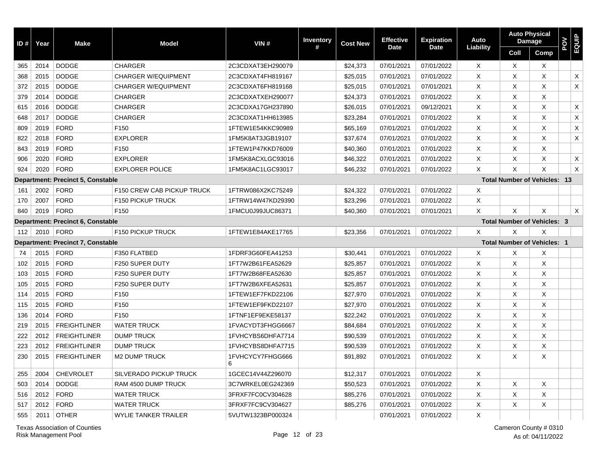| ID# | Year | <b>Make</b>                              | <b>Model</b>                      | VIN#                  | Inventory | <b>Cost New</b> | <b>Effective</b> | <b>Expiration</b> | Auto           |          | <b>Auto Physical</b><br>Damage      | POV | EQUIP |
|-----|------|------------------------------------------|-----------------------------------|-----------------------|-----------|-----------------|------------------|-------------------|----------------|----------|-------------------------------------|-----|-------|
|     |      |                                          |                                   |                       | #         |                 | <b>Date</b>      | <b>Date</b>       | Liability      | Coll     | Comp                                |     |       |
| 365 | 2014 | <b>DODGE</b>                             | <b>CHARGER</b>                    | 2C3CDXAT3EH290079     |           | \$24,373        | 07/01/2021       | 07/01/2022        | X              | X        | X                                   |     |       |
| 368 | 2015 | <b>DODGE</b>                             | <b>CHARGER W/EQUIPMENT</b>        | 2C3CDXAT4FH819167     |           | \$25,015        | 07/01/2021       | 07/01/2022        | X              | $\times$ | X                                   |     | X     |
| 372 | 2015 | <b>DODGE</b>                             | <b>CHARGER W/EQUIPMENT</b>        | 2C3CDXAT6FH819168     |           | \$25,015        | 07/01/2021       | 07/01/2021        | X              | X        | X                                   |     | X     |
| 379 | 2014 | <b>DODGE</b>                             | <b>CHARGER</b>                    | 2C3CDXATXEH290077     |           | \$24,373        | 07/01/2021       | 07/01/2022        | X              | $\times$ | X                                   |     |       |
| 615 | 2016 | <b>DODGE</b>                             | <b>CHARGER</b>                    | 2C3CDXA17GH237890     |           | \$26,015        | 07/01/2021       | 09/12/2021        | X              | X        | X                                   |     | X     |
| 648 | 2017 | <b>DODGE</b>                             | <b>CHARGER</b>                    | 2C3CDXAT1HH613985     |           | \$23,284        | 07/01/2021       | 07/01/2022        | X              | $\times$ | X                                   |     | X     |
| 809 | 2019 | <b>FORD</b>                              | F <sub>150</sub>                  | 1FTEW1E54KKC90989     |           | \$65,169        | 07/01/2021       | 07/01/2022        | X              | $\times$ | X                                   |     | X     |
| 822 | 2018 | <b>FORD</b>                              | <b>EXPLORER</b>                   | 1FM5K8AT3JGB19107     |           | \$37,674        | 07/01/2021       | 07/01/2022        | X              | X        | X                                   |     | X     |
| 843 | 2019 | <b>FORD</b>                              | F <sub>150</sub>                  | 1FTEW1P47KKD76009     |           | \$40,360        | 07/01/2021       | 07/01/2022        | X              | X        | X                                   |     |       |
| 906 | 2020 | <b>FORD</b>                              | <b>EXPLORER</b>                   | 1FM5K8ACXLGC93016     |           | \$46,322        | 07/01/2021       | 07/01/2022        | X              | X        | X                                   |     | X     |
| 924 | 2020 | <b>FORD</b>                              | <b>EXPLORER POLICE</b>            | 1FM5K8AC1LGC93017     |           | \$46,232        | 07/01/2021       | 07/01/2022        | $\times$       | X        | X                                   |     | X     |
|     |      | <b>Department: Precinct 5, Constable</b> |                                   |                       |           |                 |                  |                   |                |          | <b>Total Number of Vehicles: 13</b> |     |       |
| 161 | 2002 | <b>FORD</b>                              | <b>F150 CREW CAB PICKUP TRUCK</b> | 1FTRW086X2KC75249     |           | \$24,322        | 07/01/2021       | 07/01/2022        | X              |          |                                     |     |       |
| 170 | 2007 | <b>FORD</b>                              | F150 PICKUP TRUCK                 | 1FTRW14W47KD29390     |           | \$23,296        | 07/01/2021       | 07/01/2022        | X              |          |                                     |     |       |
| 840 | 2019 | <b>FORD</b>                              | F <sub>150</sub>                  | 1FMCU0J99JUC86371     |           | \$40.360        | 07/01/2021       | 07/01/2021        | X              | $\times$ | X                                   |     | X     |
|     |      | Department: Precinct 6, Constable        |                                   |                       |           |                 |                  |                   |                |          | <b>Total Number of Vehicles: 3</b>  |     |       |
| 112 | 2010 | <b>FORD</b>                              | F150 PICKUP TRUCK                 | 1FTEW1E84AKE17765     |           | \$23.356        | 07/01/2021       | 07/01/2022        | X              | X        | X                                   |     |       |
|     |      | <b>Department: Precinct 7, Constable</b> |                                   |                       |           |                 |                  |                   |                |          | <b>Total Number of Vehicles: 1</b>  |     |       |
| 74  | 2015 | <b>FORD</b>                              | F350 FLATBED                      | 1FDRF3G60FEA41253     |           | \$30,441        | 07/01/2021       | 07/01/2022        | X              | $\times$ | X                                   |     |       |
| 102 | 2015 | <b>FORD</b>                              | F250 SUPER DUTY                   | 1FT7W2B61FEA52629     |           | \$25,857        | 07/01/2021       | 07/01/2022        | X              | $\times$ | X                                   |     |       |
| 103 | 2015 | <b>FORD</b>                              | F250 SUPER DUTY                   | 1FT7W2B68FEA52630     |           | \$25,857        | 07/01/2021       | 07/01/2022        | X              | $\times$ | X                                   |     |       |
| 105 | 2015 | <b>FORD</b>                              | F250 SUPER DUTY                   | 1FT7W2B6XFEA52631     |           | \$25,857        | 07/01/2021       | 07/01/2022        | X              | $\times$ | X                                   |     |       |
| 114 | 2015 | <b>FORD</b>                              | F <sub>150</sub>                  | 1FTEW1EF7FKD22106     |           | \$27,970        | 07/01/2021       | 07/01/2022        | X              | $\times$ | X                                   |     |       |
| 115 | 2015 | <b>FORD</b>                              | F150                              | 1FTEW1EF9FKD22107     |           | \$27,970        | 07/01/2021       | 07/01/2022        | X              | X        | X                                   |     |       |
| 136 | 2014 | <b>FORD</b>                              | F <sub>150</sub>                  | 1FTNF1EF9EKE58137     |           | \$22,242        | 07/01/2021       | 07/01/2022        | X              | X        | X                                   |     |       |
| 219 | 2015 | <b>FREIGHTLINER</b>                      | <b>WATER TRUCK</b>                | 1FVACYDT3FHGG6667     |           | \$84,684        | 07/01/2021       | 07/01/2022        | $\pmb{\times}$ | $\times$ | X                                   |     |       |
| 222 | 2012 | <b>FREIGHTLINER</b>                      | <b>DUMP TRUCK</b>                 | 1FVHCYBS6DHFA7714     |           | \$90,539        | 07/01/2021       | 07/01/2022        | X              | $\times$ | X                                   |     |       |
| 223 | 2012 | <b>FREIGHTLINER</b>                      | <b>DUMP TRUCK</b>                 | 1FVHCYBS8DHFA7715     |           | \$90,539        | 07/01/2021       | 07/01/2022        | X              | $\times$ | X                                   |     |       |
| 230 | 2015 | <b>FREIGHTLINER</b>                      | <b>M2 DUMP TRUCK</b>              | 1FVHCYCY7FHGG666<br>6 |           | \$91,892        | 07/01/2021       | 07/01/2022        | X              | $\times$ | X                                   |     |       |
| 255 | 2004 | <b>CHEVROLET</b>                         | <b>SILVERADO PICKUP TRUCK</b>     | 1GCEC14V44Z296070     |           | \$12,317        | 07/01/2021       | 07/01/2022        | $\times$       |          |                                     |     |       |
| 503 | 2014 | <b>DODGE</b>                             | <b>RAM 4500 DUMP TRUCK</b>        | 3C7WRKEL0EG242369     |           | \$50,523        | 07/01/2021       | 07/01/2022        | X              | $\times$ | X                                   |     |       |
| 516 | 2012 | <b>FORD</b>                              | <b>WATER TRUCK</b>                | 3FRXF7FC0CV304628     |           | \$85,276        | 07/01/2021       | 07/01/2022        | X              | $\times$ | X                                   |     |       |
| 517 | 2012 | <b>FORD</b>                              | <b>WATER TRUCK</b>                | 3FRXF7FC9CV304627     |           | \$85,276        | 07/01/2021       | 07/01/2022        | X              | $\times$ | X                                   |     |       |
| 555 | 2011 | <b>OTHER</b>                             | <b>WYLIE TANKER TRAILER</b>       | 5VUTW1323BP000324     |           |                 | 07/01/2021       | 07/01/2022        | X              |          |                                     |     |       |

Texas Association of Counties Cameron County # 0310 Risk Management Pool

Page 12 of 23 As of: 04/11/2022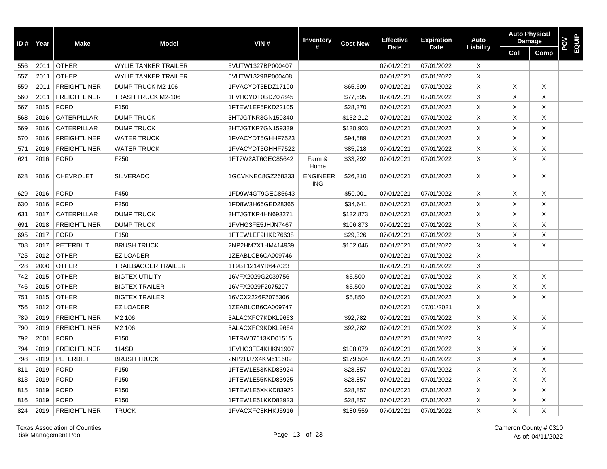| ID# | Year | <b>Make</b>         | <b>Model</b>                | VIN#              | Inventory                     | <b>Cost New</b> | <b>Effective</b> | <b>Expiration</b> | Auto         |      | <b>Auto Physical</b><br><b>Damage</b> | <b>POV</b><br>EQUIP |  |
|-----|------|---------------------|-----------------------------|-------------------|-------------------------------|-----------------|------------------|-------------------|--------------|------|---------------------------------------|---------------------|--|
|     |      |                     |                             |                   | #                             |                 | Date             | <b>Date</b>       | Liability    | Coll | Comp                                  |                     |  |
| 556 | 2011 | <b>OTHER</b>        | <b>WYLIE TANKER TRAILER</b> | 5VUTW1327BP000407 |                               |                 | 07/01/2021       | 07/01/2022        | $\times$     |      |                                       |                     |  |
| 557 | 2011 | <b>OTHER</b>        | <b>WYLIE TANKER TRAILER</b> | 5VUTW1329BP000408 |                               |                 | 07/01/2021       | 07/01/2022        | X            |      |                                       |                     |  |
| 559 | 2011 | <b>FREIGHTLINER</b> | DUMP TRUCK M2-106           | 1FVACYDT3BDZ17190 |                               | \$65,609        | 07/01/2021       | 07/01/2022        | X            | X    | Χ                                     |                     |  |
| 560 | 2011 | <b>FREIGHTLINER</b> | TRASH TRUCK M2-106          | 1FVHCYDT0BDZ07845 |                               | \$77,595        | 07/01/2021       | 07/01/2022        | X            | X    | X                                     |                     |  |
| 567 | 2015 | <b>FORD</b>         | F <sub>150</sub>            | 1FTEW1EF5FKD22105 |                               | \$28,370        | 07/01/2021       | 07/01/2022        | X            | X    | X                                     |                     |  |
| 568 | 2016 | CATERPILLAR         | <b>DUMP TRUCK</b>           | 3HTJGTKR3GN159340 |                               | \$132,212       | 07/01/2021       | 07/01/2022        | X            | X    | X                                     |                     |  |
| 569 | 2016 | <b>CATERPILLAR</b>  | <b>DUMP TRUCK</b>           | 3HTJGTKR7GN159339 |                               | \$130,903       | 07/01/2021       | 07/01/2022        | X            | X    | X                                     |                     |  |
| 570 | 2016 | <b>FREIGHTLINER</b> | <b>WATER TRUCK</b>          | 1FVACYDT5GHHF7523 |                               | \$94,589        | 07/01/2021       | 07/01/2022        | X            | X    | X                                     |                     |  |
| 571 | 2016 | <b>FREIGHTLINER</b> | <b>WATER TRUCK</b>          | 1FVACYDT3GHHF7522 |                               | \$85,918        | 07/01/2021       | 07/01/2022        | X            | X    | X                                     |                     |  |
| 621 | 2016 | <b>FORD</b>         | F250                        | 1FT7W2AT6GEC85642 | Farm &<br>Home                | \$33,292        | 07/01/2021       | 07/01/2022        | X            | X    | X                                     |                     |  |
| 628 | 2016 | <b>CHEVROLET</b>    | <b>SILVERADO</b>            | 1GCVKNEC8GZ268333 | <b>ENGINEER</b><br><b>ING</b> | \$26,310        | 07/01/2021       | 07/01/2022        | X            | X    | X                                     |                     |  |
| 629 | 2016 | <b>FORD</b>         | F450                        | 1FD9W4GT9GEC85643 |                               | \$50,001        | 07/01/2021       | 07/01/2022        | X            | X    | X                                     |                     |  |
| 630 | 2016 | <b>FORD</b>         | F350                        | 1FD8W3H66GED28365 |                               | \$34,641        | 07/01/2021       | 07/01/2022        | X            | X    | X                                     |                     |  |
| 631 | 2017 | <b>CATERPILLAR</b>  | <b>DUMP TRUCK</b>           | 3HTJGTKR4HN693271 |                               | \$132,873       | 07/01/2021       | 07/01/2022        | X            | X    | X                                     |                     |  |
| 691 | 2018 | <b>FREIGHTLINER</b> | <b>DUMP TRUCK</b>           | 1FVHG3FE5JHJN7467 |                               | \$106,873       | 07/01/2021       | 07/01/2022        | X            | Χ    | X                                     |                     |  |
| 695 | 2017 | <b>FORD</b>         | F <sub>150</sub>            | 1FTEW1EF9HKD76638 |                               | \$29,326        | 07/01/2021       | 07/01/2022        | X            | X    | X                                     |                     |  |
| 708 | 2017 | <b>PETERBILT</b>    | <b>BRUSH TRUCK</b>          | 2NP2HM7X1HM414939 |                               | \$152,046       | 07/01/2021       | 07/01/2022        | X            | X    | X                                     |                     |  |
| 725 | 2012 | <b>OTHER</b>        | <b>EZ LOADER</b>            | 1ZEABLCB6CA009746 |                               |                 | 07/01/2021       | 07/01/2022        | X            |      |                                       |                     |  |
| 728 | 2000 | <b>OTHER</b>        | <b>TRAILBAGGER TRAILER</b>  | 1T9BT1214YR647023 |                               |                 | 07/01/2021       | 07/01/2022        | X            |      |                                       |                     |  |
| 742 | 2015 | <b>OTHER</b>        | <b>BIGTEX UTILITY</b>       | 16VFX2029G2039756 |                               | \$5,500         | 07/01/2021       | 07/01/2022        | X            | X    | X                                     |                     |  |
| 746 | 2015 | <b>OTHER</b>        | <b>BIGTEX TRAILER</b>       | 16VFX2029F2075297 |                               | \$5,500         | 07/01/2021       | 07/01/2022        | X            | X    | X                                     |                     |  |
| 751 | 2015 | <b>OTHER</b>        | <b>BIGTEX TRAILER</b>       | 16VCX2226F2075306 |                               | \$5,850         | 07/01/2021       | 07/01/2022        | X            | X    | X                                     |                     |  |
| 756 | 2012 | <b>OTHER</b>        | <b>EZ LOADER</b>            | 1ZEABLCB6CA009747 |                               |                 | 07/01/2021       | 07/01/2021        | X            |      |                                       |                     |  |
| 789 | 2019 | <b>FREIGHTLINER</b> | M <sub>2</sub> 106          | 3ALACXFC7KDKL9663 |                               | \$92,782        | 07/01/2021       | 07/01/2022        | X            | X    | X                                     |                     |  |
| 790 | 2019 | <b>FREIGHTLINER</b> | M <sub>2</sub> 106          | 3ALACXFC9KDKL9664 |                               | \$92,782        | 07/01/2021       | 07/01/2022        | $\mathsf{X}$ | X    | X                                     |                     |  |
| 792 | 2001 | <b>FORD</b>         | F150                        | 1FTRW07613KD01515 |                               |                 | 07/01/2021       | 07/01/2022        | X            |      |                                       |                     |  |
| 794 | 2019 | <b>FREIGHTLINER</b> | 114SD                       | 1FVHG3FE4KHKN1907 |                               | \$108,079       | 07/01/2021       | 07/01/2022        | $\times$     | X    | Χ                                     |                     |  |
| 798 | 2019 | PETERBILT           | <b>BRUSH TRUCK</b>          | 2NP2HJ7X4KM611609 |                               | \$179,504       | 07/01/2021       | 07/01/2022        | $\times$     | X    | X                                     |                     |  |
| 811 | 2019 | <b>FORD</b>         | F150                        | 1FTEW1E53KKD83924 |                               | \$28,857        | 07/01/2021       | 07/01/2022        | $\times$     | X    | X                                     |                     |  |
| 813 | 2019 | <b>FORD</b>         | F150                        | 1FTEW1E55KKD83925 |                               | \$28,857        | 07/01/2021       | 07/01/2022        | $\mathsf{X}$ | X    | X                                     |                     |  |
| 815 | 2019 | <b>FORD</b>         | F150                        | 1FTEW1E5XKKD83922 |                               | \$28,857        | 07/01/2021       | 07/01/2022        | X            | X    | X                                     |                     |  |
| 816 | 2019 | <b>FORD</b>         | F <sub>150</sub>            | 1FTEW1E51KKD83923 |                               | \$28,857        | 07/01/2021       | 07/01/2022        | X            | X    | X                                     |                     |  |
| 824 | 2019 | <b>FREIGHTLINER</b> | <b>TRUCK</b>                | 1FVACXFC8KHKJ5916 |                               | \$180,559       | 07/01/2021       | 07/01/2022        | X            | X    | X                                     |                     |  |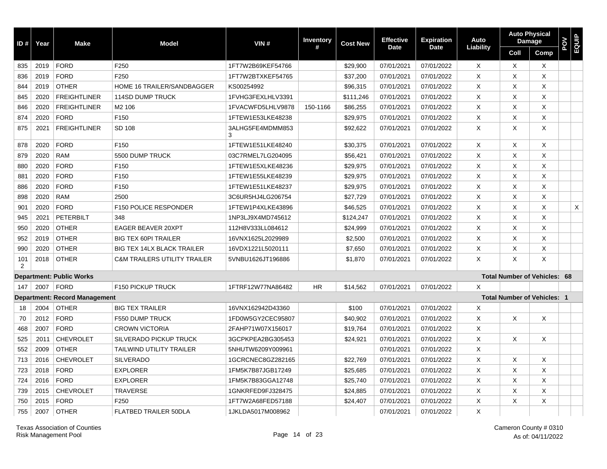| ID#      | Year | <b>Make</b>                          | <b>Model</b>                            | VIN#                  | Inventory<br># | <b>Cost New</b> | <b>Effective</b> | <b>Expiration</b><br><b>Date</b> | Auto<br>Liability | <b>Auto Physical</b> | <b>Damage</b>                       | POV<br>EQUIP |   |
|----------|------|--------------------------------------|-----------------------------------------|-----------------------|----------------|-----------------|------------------|----------------------------------|-------------------|----------------------|-------------------------------------|--------------|---|
|          |      |                                      |                                         |                       |                |                 | <b>Date</b>      |                                  |                   | Coll                 | Comp                                |              |   |
| 835      | 2019 | <b>FORD</b>                          | F250                                    | 1FT7W2B69KEF54766     |                | \$29.900        | 07/01/2021       | 07/01/2022                       | X                 | $\times$             | $\times$                            |              |   |
| 836      | 2019 | <b>FORD</b>                          | F250                                    | 1FT7W2BTXKEF54765     |                | \$37,200        | 07/01/2021       | 07/01/2022                       | X                 | X                    | X                                   |              |   |
| 844      | 2019 | <b>OTHER</b>                         | <b>HOME 16 TRAILER/SANDBAGGER</b>       | KS00254992            |                | \$96,315        | 07/01/2021       | 07/01/2022                       | X                 | X                    | X                                   |              |   |
| 845      | 2020 | <b>FREIGHTLINER</b>                  | <b>114SD DUMP TRUCK</b>                 | 1FVHG3FEXLHLV3391     |                | \$111,246       | 07/01/2021       | 07/01/2022                       | X                 | X                    | X                                   |              |   |
| 846      | 2020 | <b>FREIGHTLINER</b>                  | M <sub>2</sub> 106                      | 1FVACWFD5LHLV9878     | 150-1166       | \$86,255        | 07/01/2021       | 07/01/2022                       | Χ                 | X                    | X                                   |              |   |
| 874      | 2020 | <b>FORD</b>                          | F150                                    | 1FTEW1E53LKE48238     |                | \$29,975        | 07/01/2021       | 07/01/2022                       | X                 | X                    | X                                   |              |   |
| 875      | 2021 | <b>FREIGHTLINER</b>                  | SD 108                                  | 3ALHG5FE4MDMM853<br>3 |                | \$92,622        | 07/01/2021       | 07/01/2022                       | X                 | X                    | X                                   |              |   |
| 878      | 2020 | <b>FORD</b>                          | F150                                    | 1FTEW1E51LKE48240     |                | \$30,375        | 07/01/2021       | 07/01/2022                       | X                 | X                    | X                                   |              |   |
| 879      | 2020 | <b>RAM</b>                           | 5500 DUMP TRUCK                         | 03C7RMEL7LG204095     |                | \$56,421        | 07/01/2021       | 07/01/2022                       | X                 | X                    | X                                   |              |   |
| 880      | 2020 | <b>FORD</b>                          | F150                                    | 1FTEW1E5XLKE48236     |                | \$29,975        | 07/01/2021       | 07/01/2022                       | X                 | X                    | X                                   |              |   |
| 881      | 2020 | <b>FORD</b>                          | F150                                    | 1FTEW1E55LKE48239     |                | \$29,975        | 07/01/2021       | 07/01/2022                       | X                 | X                    | X                                   |              |   |
| 886      | 2020 | <b>FORD</b>                          | F150                                    | 1FTEW1E51LKE48237     |                | \$29,975        | 07/01/2021       | 07/01/2022                       | X                 | X                    | X                                   |              |   |
| 898      | 2020 | <b>RAM</b>                           | 2500                                    | 3C6UR5HJ4LG206754     |                | \$27,729        | 07/01/2021       | 07/01/2022                       | Χ                 | Χ                    | Χ                                   |              |   |
| 901      | 2020 | <b>FORD</b>                          | <b>F150 POLICE RESPONDER</b>            | 1FTEW1P4XLKE43896     |                | \$46,525        | 07/01/2021       | 07/01/2022                       | Χ                 | X                    | X                                   |              | X |
| 945      | 2021 | PETERBILT                            | 348                                     | 1NP3LJ9X4MD745612     |                | \$124,247       | 07/01/2021       | 07/01/2022                       | X                 | X                    | X                                   |              |   |
| 950      | 2020 | <b>OTHER</b>                         | <b>EAGER BEAVER 20XPT</b>               | 112H8V333LL084612     |                | \$24,999        | 07/01/2021       | 07/01/2022                       | Χ                 | X                    | X                                   |              |   |
| 952      | 2019 | <b>OTHER</b>                         | <b>BIG TEX 60PI TRAILER</b>             | 16VNX1625L2029989     |                | \$2,500         | 07/01/2021       | 07/01/2022                       | X                 | X                    | X                                   |              |   |
| 990      | 2020 | <b>OTHER</b>                         | <b>BIG TEX 14LX BLACK TRAILER</b>       | 16VDX1221L5020111     |                | \$7,650         | 07/01/2021       | 07/01/2022                       | X                 | X                    | X                                   |              |   |
| 101<br>2 | 2018 | <b>OTHER</b>                         | <b>C&amp;M TRAILERS UTILITY TRAILER</b> | 5VNBU1626JT196886     |                | \$1,870         | 07/01/2021       | 07/01/2022                       | X                 | X                    | X                                   |              |   |
|          |      | <b>Department: Public Works</b>      |                                         |                       |                |                 |                  |                                  |                   |                      | <b>Total Number of Vehicles: 68</b> |              |   |
| 147      | 2007 | <b>FORD</b>                          | F150 PICKUP TRUCK                       | 1FTRF12W77NA86482     | <b>HR</b>      | \$14,562        | 07/01/2021       | 07/01/2022                       | X                 |                      |                                     |              |   |
|          |      | <b>Department: Record Management</b> |                                         |                       |                |                 |                  |                                  |                   |                      | <b>Total Number of Vehicles: 1</b>  |              |   |
| 18       | 2004 | <b>OTHER</b>                         | <b>BIG TEX TRAILER</b>                  | 16VNX162942D43360     |                | \$100           | 07/01/2021       | 07/01/2022                       | Χ                 |                      |                                     |              |   |
| 70       | 2012 | <b>FORD</b>                          | F550 DUMP TRUCK                         | 1FD0W5GY2CEC95807     |                | \$40,902        | 07/01/2021       | 07/01/2022                       | X                 | Χ                    | X                                   |              |   |
| 468      | 2007 | <b>FORD</b>                          | <b>CROWN VICTORIA</b>                   | 2FAHP71W07X156017     |                | \$19,764        | 07/01/2021       | 07/01/2022                       | X                 |                      |                                     |              |   |
| 525      | 2011 | <b>CHEVROLET</b>                     | SILVERADO PICKUP TRUCK                  | 3GCPKPEA2BG305453     |                | \$24,921        | 07/01/2021       | 07/01/2022                       | X                 | Χ                    | X                                   |              |   |
| 552      | 2009 | <b>OTHER</b>                         | <b>TAILWIND UTILITY TRAILER</b>         | 5NHUTW6209Y009961     |                |                 | 07/01/2021       | 07/01/2022                       | X                 |                      |                                     |              |   |
| 713      | 2016 | <b>CHEVROLET</b>                     | <b>SILVERADO</b>                        | 1GCRCNEC8GZ282165     |                | \$22,769        | 07/01/2021       | 07/01/2022                       | X                 | X                    | X                                   |              |   |
| 723      | 2018 | <b>FORD</b>                          | <b>EXPLORER</b>                         | 1FM5K7B87JGB17249     |                | \$25,685        | 07/01/2021       | 07/01/2022                       | X                 | X                    | X                                   |              |   |
| 724      | 2016 | <b>FORD</b>                          | <b>EXPLORER</b>                         | 1FM5K7B83GGA12748     |                | \$25,740        | 07/01/2021       | 07/01/2022                       | X                 | X                    | X                                   |              |   |
| 739      | 2015 | <b>CHEVROLET</b>                     | <b>TRAVERSE</b>                         | 1GNKRFED9FJ328475     |                | \$24,885        | 07/01/2021       | 07/01/2022                       | Χ                 | X                    | X                                   |              |   |
| 750      | 2015 | <b>FORD</b>                          | F250                                    | 1FT7W2A68FED57188     |                | \$24,407        | 07/01/2021       | 07/01/2022                       | X                 | X                    | X                                   |              |   |
| 755      | 2007 | <b>OTHER</b>                         | <b>FLATBED TRAILER 50DLA</b>            | 1JKLDA5017M008962     |                |                 | 07/01/2021       | 07/01/2022                       | X                 |                      |                                     |              |   |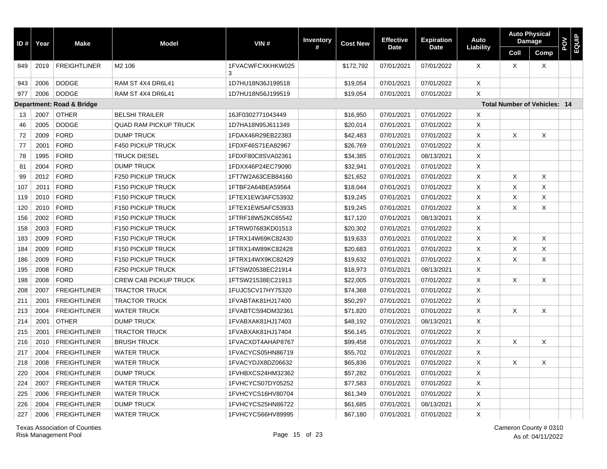| ID # $ $ | Year | <b>Make</b>               | <b>Model</b>                 | VIN#                  | <b>Inventory</b> | <b>Cost New</b> | <b>Effective</b> | <b>Expiration</b> | Auto      | <b>Auto Physical</b>                | <b>Damage</b>             | POV<br>EQUIP |  |
|----------|------|---------------------------|------------------------------|-----------------------|------------------|-----------------|------------------|-------------------|-----------|-------------------------------------|---------------------------|--------------|--|
|          |      |                           |                              |                       | #                |                 | <b>Date</b>      | <b>Date</b>       | Liability | Coll                                | Comp                      |              |  |
| 849      | 2019 | <b>FREIGHTLINER</b>       | M <sub>2</sub> 106           | 1FVACWFCXKHKW025<br>3 |                  | \$172,792       | 07/01/2021       | 07/01/2022        | X         | $\times$                            | $\boldsymbol{\mathsf{X}}$ |              |  |
| 943      | 2006 | <b>DODGE</b>              | RAM ST 4X4 DR6L41            | 1D7HU18N36J199518     |                  | \$19,054        | 07/01/2021       | 07/01/2022        | X         |                                     |                           |              |  |
| 977      | 2006 | <b>DODGE</b>              | RAM ST 4X4 DR6L41            | 1D7HU18N56J199519     |                  | \$19,054        | 07/01/2021       | 07/01/2022        | X         |                                     |                           |              |  |
|          |      | Department: Road & Bridge |                              |                       |                  |                 |                  |                   |           | <b>Total Number of Vehicles: 14</b> |                           |              |  |
| 13       | 2007 | <b>OTHER</b>              | <b>BELSHI TRAILER</b>        | 16JF0302771043449     |                  | \$16,950        | 07/01/2021       | 07/01/2022        | X         |                                     |                           |              |  |
| 46       | 2005 | <b>DODGE</b>              | <b>QUAD RAM PICKUP TRUCK</b> | 1D7HA18N95J611349     |                  | \$20,014        | 07/01/2021       | 07/01/2022        | X         |                                     |                           |              |  |
| 72       | 2009 | <b>FORD</b>               | <b>DUMP TRUCK</b>            | 1FDAX46R29EB22383     |                  | \$42,483        | 07/01/2021       | 07/01/2022        | X         | Χ                                   | Χ                         |              |  |
| 77       | 2001 | <b>FORD</b>               | <b>F450 PICKUP TRUCK</b>     | 1FDXF46S71EA82967     |                  | \$26,769        | 07/01/2021       | 07/01/2022        | X         |                                     |                           |              |  |
| 78       | 1995 | <b>FORD</b>               | <b>TRUCK DIESEL</b>          | 1FDXF80C8SVA02361     |                  | \$34,385        | 07/01/2021       | 08/13/2021        | X         |                                     |                           |              |  |
| 81       | 2004 | <b>FORD</b>               | <b>DUMP TRUCK</b>            | 1FDXX46P24EC79090     |                  | \$32,941        | 07/01/2021       | 07/01/2022        | X         |                                     |                           |              |  |
| 99       | 2012 | <b>FORD</b>               | F250 PICKUP TRUCK            | 1FT7W2A63CEB84160     |                  | \$21,652        | 07/01/2021       | 07/01/2022        | X         | X                                   | X                         |              |  |
| 107      | 2011 | <b>FORD</b>               | F150 PICKUP TRUCK            | 1FTBF2A64BEA59564     |                  | \$18,044        | 07/01/2021       | 07/01/2022        | X         | X                                   | X                         |              |  |
| 119      | 2010 | <b>FORD</b>               | F150 PICKUP TRUCK            | 1FTEX1EW3AFC53932     |                  | \$19,245        | 07/01/2021       | 07/01/2022        | X         | X                                   | X                         |              |  |
| 120      | 2010 | <b>FORD</b>               | <b>F150 PICKUP TRUCK</b>     | 1FTEX1EW5AFC53933     |                  | \$19,245        | 07/01/2021       | 07/01/2022        | X         | X                                   | $\times$                  |              |  |
| 156      | 2002 | <b>FORD</b>               | F150 PICKUP TRUCK            | 1FTRF18W52KC65542     |                  | \$17,120        | 07/01/2021       | 08/13/2021        | X         |                                     |                           |              |  |
| 158      | 2003 | <b>FORD</b>               | F150 PICKUP TRUCK            | 1FTRW07683KD01513     |                  | \$20,302        | 07/01/2021       | 07/01/2022        | Χ         |                                     |                           |              |  |
| 183      | 2009 | <b>FORD</b>               | <b>F150 PICKUP TRUCK</b>     | 1FTRX14W69KC82430     |                  | \$19,633        | 07/01/2021       | 07/01/2022        | X         | X                                   | X                         |              |  |
| 184      | 2009 | <b>FORD</b>               | F150 PICKUP TRUCK            | 1FTRX14W89KC82428     |                  | \$20,683        | 07/01/2021       | 07/01/2022        | Χ         | X                                   | X                         |              |  |
| 186      | 2009 | <b>FORD</b>               | F150 PICKUP TRUCK            | 1FTRX14WX9KC82429     |                  | \$19,632        | 07/01/2021       | 07/01/2022        | X         | X                                   | X                         |              |  |
| 195      | 2008 | <b>FORD</b>               | F250 PICKUP TRUCK            | 1FTSW20538EC21914     |                  | \$18,973        | 07/01/2021       | 08/13/2021        | X         |                                     |                           |              |  |
| 198      | 2008 | <b>FORD</b>               | <b>CREW CAB PICKUP TRUCK</b> | 1FTSW21538EC21913     |                  | \$22,005        | 07/01/2021       | 07/01/2022        | X         | X                                   | X                         |              |  |
| 208      | 2007 | <b>FREIGHTLINER</b>       | <b>TRACTOR TRUCK</b>         | 1FUJC5CV17HY75320     |                  | \$74,368        | 07/01/2021       | 07/01/2022        | X         |                                     |                           |              |  |
| 211      | 2001 | <b>FREIGHTLINER</b>       | <b>TRACTOR TRUCK</b>         | 1FVABTAK81HJ17400     |                  | \$50,297        | 07/01/2021       | 07/01/2022        | X         |                                     |                           |              |  |
| 213      | 2004 | <b>FREIGHTLINER</b>       | <b>WATER TRUCK</b>           | 1FVABTCS94DM32361     |                  | \$71,820        | 07/01/2021       | 07/01/2022        | X         | X                                   | X                         |              |  |
| 214      | 2001 | <b>OTHER</b>              | <b>DUMP TRUCK</b>            | 1FVABXAK81HJ17403     |                  | \$48,192        | 07/01/2021       | 08/13/2021        | X         |                                     |                           |              |  |
| 215      | 2001 | <b>FREIGHTLINER</b>       | <b>TRACTOR TRUCK</b>         | 1FVABXAK81HJ17404     |                  | \$56,145        | 07/01/2021       | 07/01/2022        | X         |                                     |                           |              |  |
| 216      | 2010 | <b>FREIGHTLINER</b>       | <b>BRUSH TRUCK</b>           | 1FVACXDT4AHAP8767     |                  | \$99,458        | 07/01/2021       | 07/01/2022        | X         | X                                   | X                         |              |  |
| 217      | 2004 | <b>FREIGHTLINER</b>       | <b>WATER TRUCK</b>           | 1FVACYCS05HN86719     |                  | \$55,702        | 07/01/2021       | 07/01/2022        | X         |                                     |                           |              |  |
| 218      | 2008 | <b>FREIGHTLINER</b>       | <b>WATER TRUCK</b>           | 1FVACYDJX8DZ06632     |                  | \$65,836        | 07/01/2021       | 07/01/2022        | X         | X                                   | X                         |              |  |
| 220      | 2004 | <b>FREIGHTLINER</b>       | <b>DUMP TRUCK</b>            | 1FVHBXCS24HM32362     |                  | \$57,282        | 07/01/2021       | 07/01/2022        | X         |                                     |                           |              |  |
| 224      | 2007 | <b>FREIGHTLINER</b>       | <b>WATER TRUCK</b>           | 1FVHCYCS07DY05252     |                  | \$77,583        | 07/01/2021       | 07/01/2022        | X         |                                     |                           |              |  |
| 225      | 2006 | <b>FREIGHTLINER</b>       | <b>WATER TRUCK</b>           | 1FVHCYCS16HV80704     |                  | \$61,349        | 07/01/2021       | 07/01/2022        | X         |                                     |                           |              |  |
| 226      | 2004 | <b>FREIGHTLINER</b>       | <b>DUMP TRUCK</b>            | 1FVHCYCS25HN86722     |                  | \$61,685        | 07/01/2021       | 08/13/2021        | X         |                                     |                           |              |  |
| 227      | 2006 | <b>FREIGHTLINER</b>       | <b>WATER TRUCK</b>           | 1FVHCYCS66HV89995     |                  | \$67,180        | 07/01/2021       | 07/01/2022        | X         |                                     |                           |              |  |

Texas Association of Counties Cameron County # 0310 Risk Management Pool

Page 15 of 23 As of: 04/11/2022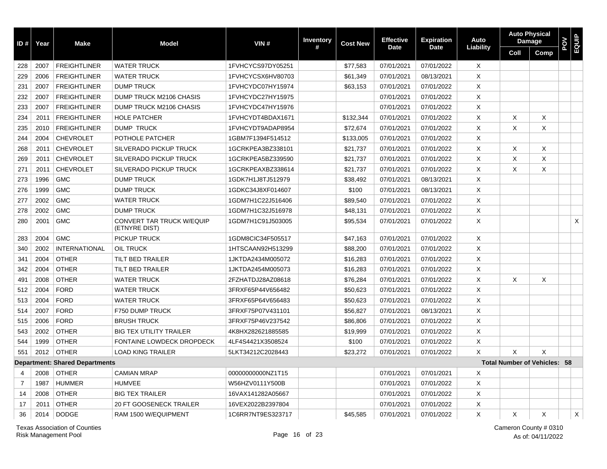| ID # $ $       | Year | <b>Make</b>                           | <b>Model</b>                                      | VIN#              | Inventory | <b>Cost New</b> | <b>Effective</b> | <b>Expiration</b> | Auto        |                                     | <b>Auto Physical</b><br><b>Damage</b> | POV | EQUIP |
|----------------|------|---------------------------------------|---------------------------------------------------|-------------------|-----------|-----------------|------------------|-------------------|-------------|-------------------------------------|---------------------------------------|-----|-------|
|                |      |                                       |                                                   |                   | #         |                 | <b>Date</b>      | <b>Date</b>       | Liability   | Coll                                | Comp                                  |     |       |
| 228            | 2007 | <b>FREIGHTLINER</b>                   | <b>WATER TRUCK</b>                                | 1FVHCYCS97DY05251 |           | \$77,583        | 07/01/2021       | 07/01/2022        | X           |                                     |                                       |     |       |
| 229            | 2006 | <b>FREIGHTLINER</b>                   | <b>WATER TRUCK</b>                                | 1FVHCYCSX6HV80703 |           | \$61,349        | 07/01/2021       | 08/13/2021        | X           |                                     |                                       |     |       |
| 231            | 2007 | <b>FREIGHTLINER</b>                   | <b>DUMP TRUCK</b>                                 | 1FVHCYDC07HY15974 |           | \$63,153        | 07/01/2021       | 07/01/2022        | X           |                                     |                                       |     |       |
| 232            | 2007 | <b>FREIGHTLINER</b>                   | DUMP TRUCK M2106 CHASIS                           | 1FVHCYDC27HY15975 |           |                 | 07/01/2021       | 07/01/2022        | X           |                                     |                                       |     |       |
| 233            | 2007 | <b>FREIGHTLINER</b>                   | DUMP TRUCK M2106 CHASIS                           | 1FVHCYDC47HY15976 |           |                 | 07/01/2021       | 07/01/2022        | X           |                                     |                                       |     |       |
| 234            | 2011 | <b>FREIGHTLINER</b>                   | <b>HOLE PATCHER</b>                               | 1FVHCYDT4BDAX1671 |           | \$132,344       | 07/01/2021       | 07/01/2022        | X           | Χ                                   | X                                     |     |       |
| 235            | 2010 | <b>FREIGHTLINER</b>                   | <b>DUMP TRUCK</b>                                 | 1FVHCYDT9ADAP8954 |           | \$72,674        | 07/01/2021       | 07/01/2022        | X           | X                                   | X                                     |     |       |
| 244            | 2004 | <b>CHEVROLET</b>                      | POTHOLE PATCHER                                   | 1GBM7F1394F514512 |           | \$133,005       | 07/01/2021       | 07/01/2022        | X           |                                     |                                       |     |       |
| 268            | 2011 | <b>CHEVROLET</b>                      | SILVERADO PICKUP TRUCK                            | 1GCRKPEA3BZ338101 |           | \$21,737        | 07/01/2021       | 07/01/2022        | X           | Χ                                   | X                                     |     |       |
| 269            | 2011 | <b>CHEVROLET</b>                      | <b>SILVERADO PICKUP TRUCK</b>                     | 1GCRKPEA5BZ339590 |           | \$21,737        | 07/01/2021       | 07/01/2022        | X           | X                                   | X                                     |     |       |
| 271            | 2011 | <b>CHEVROLET</b>                      | SILVERADO PICKUP TRUCK                            | 1GCRKPEAXBZ338614 |           | \$21,737        | 07/01/2021       | 07/01/2022        | X           | X                                   | X                                     |     |       |
| 273            | 1996 | <b>GMC</b>                            | <b>DUMP TRUCK</b>                                 | 1GDK7H1J8TJ512979 |           | \$38,492        | 07/01/2021       | 08/13/2021        | $\times$    |                                     |                                       |     |       |
| 276            | 1999 | <b>GMC</b>                            | <b>DUMP TRUCK</b>                                 | 1GDKC34J8XF014607 |           | \$100           | 07/01/2021       | 08/13/2021        | $\times$    |                                     |                                       |     |       |
| 277            | 2002 | <b>GMC</b>                            | <b>WATER TRUCK</b>                                | 1GDM7H1C22J516406 |           | \$89,540        | 07/01/2021       | 07/01/2022        | X           |                                     |                                       |     |       |
| 278            | 2002 | <b>GMC</b>                            | <b>DUMP TRUCK</b>                                 | 1GDM7H1C32J516978 |           | \$48,131        | 07/01/2021       | 07/01/2022        | X           |                                     |                                       |     |       |
| 280            | 2001 | <b>GMC</b>                            | <b>CONVERT TAR TRUCK W/EQUIP</b><br>(ETNYRE DIST) | 1GDM7H1C91J503005 |           | \$95,534        | 07/01/2021       | 07/01/2022        | X           |                                     |                                       |     | Χ     |
| 283            | 2004 | <b>GMC</b>                            | PICKUP TRUCK                                      | 1GDM8CIC34F505517 |           | \$47,163        | 07/01/2021       | 07/01/2022        | X           |                                     |                                       |     |       |
| 340            | 2002 | <b>INTERNATIONAL</b>                  | <b>OIL TRUCK</b>                                  | 1HTSCAAN92H513299 |           | \$88,200        | 07/01/2021       | 07/01/2022        | $\mathsf X$ |                                     |                                       |     |       |
| 341            | 2004 | <b>OTHER</b>                          | <b>TILT BED TRAILER</b>                           | 1JKTDA2434M005072 |           | \$16,283        | 07/01/2021       | 07/01/2022        | X           |                                     |                                       |     |       |
| 342            | 2004 | <b>OTHER</b>                          | <b>TILT BED TRAILER</b>                           | 1JKTDA2454M005073 |           | \$16,283        | 07/01/2021       | 07/01/2022        | X           |                                     |                                       |     |       |
| 491            | 2008 | <b>OTHER</b>                          | <b>WATER TRUCK</b>                                | 2FZHATDJ28AZ08618 |           | \$76,284        | 07/01/2021       | 07/01/2022        | X           | Χ                                   | X                                     |     |       |
| 512            | 2004 | <b>FORD</b>                           | <b>WATER TRUCK</b>                                | 3FRXF65P44V656482 |           | \$50,623        | 07/01/2021       | 07/01/2022        | X           |                                     |                                       |     |       |
| 513            | 2004 | <b>FORD</b>                           | <b>WATER TRUCK</b>                                | 3FRXF65P64V656483 |           | \$50,623        | 07/01/2021       | 07/01/2022        | X           |                                     |                                       |     |       |
| 514            | 2007 | <b>FORD</b>                           | F750 DUMP TRUCK                                   | 3FRXF75P07V431101 |           | \$56,827        | 07/01/2021       | 08/13/2021        | X           |                                     |                                       |     |       |
| 515            | 2006 | <b>FORD</b>                           | <b>BRUSH TRUCK</b>                                | 3FRXF75P46V237542 |           | \$86,806        | 07/01/2021       | 07/01/2022        | X           |                                     |                                       |     |       |
| 543            | 2002 | <b>OTHER</b>                          | <b>BIG TEX UTILITY TRAILER</b>                    | 4K8HX282621885585 |           | \$19,999        | 07/01/2021       | 07/01/2022        | X           |                                     |                                       |     |       |
| 544            | 1999 | <b>OTHER</b>                          | <b>FONTAINE LOWDECK DROPDECK</b>                  | 4LF4S4421X3508524 |           | \$100           | 07/01/2021       | 07/01/2022        | X           |                                     |                                       |     |       |
| 551            | 2012 | <b>OTHER</b>                          | <b>LOAD KING TRAILER</b>                          | 5LKT34212C2028443 |           | \$23,272        | 07/01/2021       | 07/01/2022        | X           | $\times$                            | X                                     |     |       |
|                |      | <b>Department: Shared Departments</b> |                                                   |                   |           |                 |                  |                   |             | <b>Total Number of Vehicles: 58</b> |                                       |     |       |
| 4              | 2008 | <b>OTHER</b>                          | <b>CAMIAN MRAP</b>                                | 00000000000NZ1T15 |           |                 | 07/01/2021       | 07/01/2021        | Χ           |                                     |                                       |     |       |
| $\overline{7}$ | 1987 | <b>HUMMER</b>                         | <b>HUMVEE</b>                                     | W56HZV0111Y500B   |           |                 | 07/01/2021       | 07/01/2022        | X           |                                     |                                       |     |       |
| 14             | 2008 | <b>OTHER</b>                          | <b>BIG TEX TRAILER</b>                            | 16VAX141282A05667 |           |                 | 07/01/2021       | 07/01/2022        | X           |                                     |                                       |     |       |
| 17             | 2011 | <b>OTHER</b>                          | <b>20 FT GOOSENECK TRAILER</b>                    | 16VEX2022B2397804 |           |                 | 07/01/2021       | 07/01/2022        | Χ           |                                     |                                       |     |       |
| 36             | 2014 | <b>DODGE</b>                          | RAM 1500 W/EQUIPMENT                              | 1C6RR7NT9ES323717 |           | \$45,585        | 07/01/2021       | 07/01/2022        | X           | Χ                                   | X                                     |     | X     |

Texas Association of Counties Cameron County # 0310 Risk Management Pool

Page 16 of 23 As of: 04/11/2022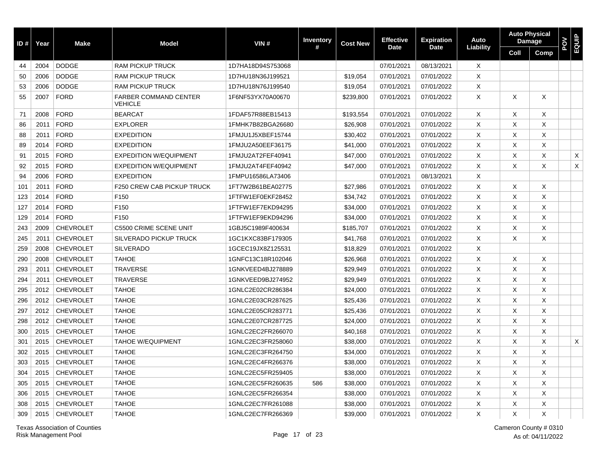| ID# | Year | <b>Make</b>      | <b>Model</b>                                   | VIN#              | <b>Inventory</b> | <b>Cost New</b> | <b>Effective</b> | <b>Expiration</b> | Auto      |          | <b>Auto Physical</b><br><b>Damage</b> | POV | EQUIP |
|-----|------|------------------|------------------------------------------------|-------------------|------------------|-----------------|------------------|-------------------|-----------|----------|---------------------------------------|-----|-------|
|     |      |                  |                                                |                   | #                |                 | <b>Date</b>      | <b>Date</b>       | Liability | Coll     | Comp                                  |     |       |
| 44  | 2004 | <b>DODGE</b>     | <b>RAM PICKUP TRUCK</b>                        | 1D7HA18D94S753068 |                  |                 | 07/01/2021       | 08/13/2021        | X         |          |                                       |     |       |
| 50  | 2006 | <b>DODGE</b>     | <b>RAM PICKUP TRUCK</b>                        | 1D7HU18N36J199521 |                  | \$19,054        | 07/01/2021       | 07/01/2022        | X         |          |                                       |     |       |
| 53  | 2006 | <b>DODGE</b>     | <b>RAM PICKUP TRUCK</b>                        | 1D7HU18N76J199540 |                  | \$19,054        | 07/01/2021       | 07/01/2022        | X         |          |                                       |     |       |
| 55  | 2007 | <b>FORD</b>      | <b>FARBER COMMAND CENTER</b><br><b>VEHICLE</b> | 1F6NF53YX70A00670 |                  | \$239,800       | 07/01/2021       | 07/01/2022        | $\times$  | $\times$ | X                                     |     |       |
| 71  | 2008 | <b>FORD</b>      | <b>BEARCAT</b>                                 | 1FDAF57R88EB15413 |                  | \$193,554       | 07/01/2021       | 07/01/2022        | X         | Χ        | X                                     |     |       |
| 86  | 2011 | <b>FORD</b>      | <b>EXPLORER</b>                                | 1FMHK7B82BGA26680 |                  | \$26,908        | 07/01/2021       | 07/01/2022        | X         | Χ        | X                                     |     |       |
| 88  | 2011 | <b>FORD</b>      | <b>EXPEDITION</b>                              | 1FMJU1J5XBEF15744 |                  | \$30,402        | 07/01/2021       | 07/01/2022        | $\times$  | X        | X                                     |     |       |
| 89  | 2014 | <b>FORD</b>      | <b>EXPEDITION</b>                              | 1FMJU2A50EEF36175 |                  | \$41,000        | 07/01/2021       | 07/01/2022        | X         | X        | X                                     |     |       |
| 91  | 2015 | <b>FORD</b>      | <b>EXPEDITION W/EQUIPMENT</b>                  | 1FMJU2AT2FEF40941 |                  | \$47,000        | 07/01/2021       | 07/01/2022        | $\times$  | X        | X                                     |     | X     |
| 92  | 2015 | <b>FORD</b>      | <b>EXPEDITION W/EQUIPMENT</b>                  | 1FMJU2AT4FEF40942 |                  | \$47,000        | 07/01/2021       | 07/01/2022        | $\times$  | X        | X                                     |     | X     |
| 94  | 2006 | <b>FORD</b>      | <b>EXPEDITION</b>                              | 1FMPU16586LA73406 |                  |                 | 07/01/2021       | 08/13/2021        | X         |          |                                       |     |       |
| 101 | 2011 | <b>FORD</b>      | F250 CREW CAB PICKUP TRUCK                     | 1FT7W2B61BEA02775 |                  | \$27,986        | 07/01/2021       | 07/01/2022        | X         | Χ        | X                                     |     |       |
| 123 | 2014 | <b>FORD</b>      | F150                                           | 1FTFW1EF0EKF28452 |                  | \$34,742        | 07/01/2021       | 07/01/2022        | $\times$  | X        | X                                     |     |       |
| 127 | 2014 | <b>FORD</b>      | F150                                           | 1FTFW1EF7EKD94295 |                  | \$34,000        | 07/01/2021       | 07/01/2022        | X         | Χ        | Χ                                     |     |       |
| 129 | 2014 | <b>FORD</b>      | F <sub>150</sub>                               | 1FTFW1EF9EKD94296 |                  | \$34,000        | 07/01/2021       | 07/01/2022        | X         | X        | X                                     |     |       |
| 243 | 2009 | <b>CHEVROLET</b> | C5500 CRIME SCENE UNIT                         | 1GBJ5C1989F400634 |                  | \$185,707       | 07/01/2021       | 07/01/2022        | $\times$  | X        | X                                     |     |       |
| 245 | 2011 | <b>CHEVROLET</b> | <b>SILVERADO PICKUP TRUCK</b>                  | 1GC1KXC83BF179305 |                  | \$41,768        | 07/01/2021       | 07/01/2022        | X         | Χ        | X                                     |     |       |
| 259 | 2008 | <b>CHEVROLET</b> | <b>SILVERADO</b>                               | 1GCEC19JX8Z125531 |                  | \$18,829        | 07/01/2021       | 07/01/2022        | X         |          |                                       |     |       |
| 290 | 2008 | <b>CHEVROLET</b> | <b>TAHOE</b>                                   | 1GNFC13C18R102046 |                  | \$26,968        | 07/01/2021       | 07/01/2022        | X         | Χ        | X                                     |     |       |
| 293 | 2011 | <b>CHEVROLET</b> | <b>TRAVERSE</b>                                | 1GNKVEED4BJ278889 |                  | \$29,949        | 07/01/2021       | 07/01/2022        | X         | X        | X                                     |     |       |
| 294 | 2011 | <b>CHEVROLET</b> | <b>TRAVERSE</b>                                | 1GNKVEED9BJ274952 |                  | \$29,949        | 07/01/2021       | 07/01/2022        | $\times$  | $\times$ | X                                     |     |       |
| 295 | 2012 | <b>CHEVROLET</b> | <b>TAHOE</b>                                   | 1GNLC2E02CR286384 |                  | \$24,000        | 07/01/2021       | 07/01/2022        | X         | X        | X                                     |     |       |
| 296 | 2012 | <b>CHEVROLET</b> | <b>TAHOE</b>                                   | 1GNLC2E03CR287625 |                  | \$25,436        | 07/01/2021       | 07/01/2022        | $\times$  | X        | X                                     |     |       |
| 297 | 2012 | <b>CHEVROLET</b> | <b>TAHOE</b>                                   | 1GNLC2E05CR283771 |                  | \$25,436        | 07/01/2021       | 07/01/2022        | $\times$  | X        | X                                     |     |       |
| 298 | 2012 | <b>CHEVROLET</b> | <b>TAHOE</b>                                   | 1GNLC2E07CR287725 |                  | \$24,000        | 07/01/2021       | 07/01/2022        | X         | X        | X                                     |     |       |
| 300 | 2015 | <b>CHEVROLET</b> | <b>TAHOE</b>                                   | 1GNLC2EC2FR266070 |                  | \$40,168        | 07/01/2021       | 07/01/2022        | X         | X        | X                                     |     |       |
| 301 | 2015 | <b>CHEVROLET</b> | <b>TAHOE W/EQUIPMENT</b>                       | 1GNLC2EC3FR258060 |                  | \$38,000        | 07/01/2021       | 07/01/2022        | $\times$  | X        | X                                     |     | X     |
| 302 | 2015 | <b>CHEVROLET</b> | <b>TAHOE</b>                                   | 1GNLC2EC3FR264750 |                  | \$34,000        | 07/01/2021       | 07/01/2022        | X         | X        | X                                     |     |       |
| 303 | 2015 | <b>CHEVROLET</b> | <b>TAHOE</b>                                   | 1GNLC2EC4FR266376 |                  | \$38,000        | 07/01/2021       | 07/01/2022        | $\times$  | X        | X                                     |     |       |
| 304 | 2015 | <b>CHEVROLET</b> | <b>TAHOE</b>                                   | 1GNLC2EC5FR259405 |                  | \$38,000        | 07/01/2021       | 07/01/2022        | $\times$  | $\times$ | X                                     |     |       |
| 305 | 2015 | <b>CHEVROLET</b> | <b>TAHOE</b>                                   | 1GNLC2EC5FR260635 | 586              | \$38,000        | 07/01/2021       | 07/01/2022        | $\times$  | X        | X                                     |     |       |
| 306 | 2015 | <b>CHEVROLET</b> | <b>TAHOE</b>                                   | 1GNLC2EC5FR266354 |                  | \$38,000        | 07/01/2021       | 07/01/2022        | $\times$  | X        | X                                     |     |       |
| 308 | 2015 | <b>CHEVROLET</b> | <b>TAHOE</b>                                   | 1GNLC2EC7FR261088 |                  | \$38,000        | 07/01/2021       | 07/01/2022        | X         | X        | X                                     |     |       |
| 309 | 2015 | <b>CHEVROLET</b> | <b>TAHOE</b>                                   | 1GNLC2EC7FR266369 |                  | \$39,000        | 07/01/2021       | 07/01/2022        | $\sf X$   | $\times$ | X                                     |     |       |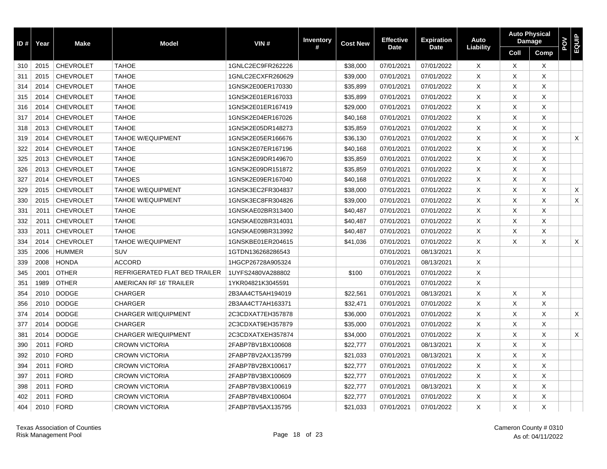| ID # | Year | <b>Make</b>      | <b>Model</b>                  | VIN#              | <b>Inventory</b> | <b>Cost New</b> | <b>Effective</b> | <b>Expiration</b> | Auto      | <b>Auto Physical</b> | <b>Damage</b> | POV | EQUIP |
|------|------|------------------|-------------------------------|-------------------|------------------|-----------------|------------------|-------------------|-----------|----------------------|---------------|-----|-------|
|      |      |                  |                               |                   | #                |                 | <b>Date</b>      | <b>Date</b>       | Liability | Coll                 | Comp          |     |       |
| 310  | 2015 | <b>CHEVROLET</b> | <b>TAHOE</b>                  | 1GNLC2EC9FR262226 |                  | \$38,000        | 07/01/2021       | 07/01/2022        | X         | X                    | $\times$      |     |       |
| 311  | 2015 | <b>CHEVROLET</b> | <b>TAHOE</b>                  | 1GNLC2ECXFR260629 |                  | \$39,000        | 07/01/2021       | 07/01/2022        | Χ         | Χ                    | Χ             |     |       |
| 314  | 2014 | <b>CHEVROLET</b> | <b>TAHOE</b>                  | 1GNSK2E00ER170330 |                  | \$35,899        | 07/01/2021       | 07/01/2022        | X         | X                    | X             |     |       |
| 315  | 2014 | <b>CHEVROLET</b> | <b>TAHOE</b>                  | 1GNSK2E01ER167033 |                  | \$35,899        | 07/01/2021       | 07/01/2022        | X         | $\times$             | X             |     |       |
| 316  | 2014 | <b>CHEVROLET</b> | <b>TAHOE</b>                  | 1GNSK2E01ER167419 |                  | \$29,000        | 07/01/2021       | 07/01/2022        | X         | $\times$             | X             |     |       |
| 317  | 2014 | <b>CHEVROLET</b> | <b>TAHOE</b>                  | 1GNSK2E04ER167026 |                  | \$40,168        | 07/01/2021       | 07/01/2022        | X         | X                    | Χ             |     |       |
| 318  | 2013 | <b>CHEVROLET</b> | <b>TAHOE</b>                  | 1GNSK2E05DR148273 |                  | \$35,859        | 07/01/2021       | 07/01/2022        | X         | X                    | Χ             |     |       |
| 319  | 2014 | <b>CHEVROLET</b> | <b>TAHOE W/EQUIPMENT</b>      | 1GNSK2E05ER166676 |                  | \$36,130        | 07/01/2021       | 07/01/2022        | Χ         | X                    | Χ             |     | X     |
| 322  | 2014 | <b>CHEVROLET</b> | <b>TAHOE</b>                  | 1GNSK2E07ER167196 |                  | \$40,168        | 07/01/2021       | 07/01/2022        | X         | $\times$             | X             |     |       |
| 325  | 2013 | <b>CHEVROLET</b> | <b>TAHOE</b>                  | 1GNSK2E09DR149670 |                  | \$35,859        | 07/01/2021       | 07/01/2022        | X         | $\times$             | X             |     |       |
| 326  | 2013 | <b>CHEVROLET</b> | <b>TAHOE</b>                  | 1GNSK2E09DR151872 |                  | \$35,859        | 07/01/2021       | 07/01/2022        | X         | X                    | Χ             |     |       |
| 327  | 2014 | <b>CHEVROLET</b> | <b>TAHOES</b>                 | 1GNSK2E09ER167040 |                  | \$40,168        | 07/01/2021       | 07/01/2022        | X         | X                    | Χ             |     |       |
| 329  | 2015 | <b>CHEVROLET</b> | <b>TAHOE W/EQUIPMENT</b>      | 1GNSK3EC2FR304837 |                  | \$38,000        | 07/01/2021       | 07/01/2022        | X         | X                    | Χ             |     | X     |
| 330  | 2015 | <b>CHEVROLET</b> | <b>TAHOE W/EQUIPMENT</b>      | 1GNSK3EC8FR304826 |                  | \$39,000        | 07/01/2021       | 07/01/2022        | X         | $\times$             | X             |     | X     |
| 331  | 2011 | <b>CHEVROLET</b> | <b>TAHOE</b>                  | 1GNSKAE02BR313400 |                  | \$40,487        | 07/01/2021       | 07/01/2022        | X         | X                    | Χ             |     |       |
| 332  | 2011 | <b>CHEVROLET</b> | <b>TAHOE</b>                  | 1GNSKAE02BR314031 |                  | \$40,487        | 07/01/2021       | 07/01/2022        | X         | X                    | Χ             |     |       |
| 333  | 2011 | <b>CHEVROLET</b> | <b>TAHOE</b>                  | 1GNSKAE09BR313992 |                  | \$40,487        | 07/01/2021       | 07/01/2022        | X         | X                    | Χ             |     |       |
| 334  | 2014 | <b>CHEVROLET</b> | <b>TAHOE W/EQUIPMENT</b>      | 1GNSKBE01ER204615 |                  | \$41,036        | 07/01/2021       | 07/01/2022        | X         | X                    | Χ             |     | X     |
| 335  | 2006 | <b>HUMMER</b>    | <b>SUV</b>                    | 1GTDN136268286543 |                  |                 | 07/01/2021       | 08/13/2021        | X         |                      |               |     |       |
| 339  | 2008 | <b>HONDA</b>     | <b>ACCORD</b>                 | 1HGCP26728A905324 |                  |                 | 07/01/2021       | 08/13/2021        | X         |                      |               |     |       |
| 345  | 2001 | <b>OTHER</b>     | REFRIGERATED FLAT BED TRAILER | 1UYFS2480VA288802 |                  | \$100           | 07/01/2021       | 07/01/2022        | X         |                      |               |     |       |
| 351  | 1989 | <b>OTHER</b>     | AMERICAN RF 16' TRAILER       | 1YKR04821K3045591 |                  |                 | 07/01/2021       | 07/01/2022        | X         |                      |               |     |       |
| 354  | 2010 | <b>DODGE</b>     | <b>CHARGER</b>                | 2B3AA4CT5AH194019 |                  | \$22,561        | 07/01/2021       | 08/13/2021        | X         | X                    | X             |     |       |
| 356  | 2010 | <b>DODGE</b>     | <b>CHARGER</b>                | 2B3AA4CT7AH163371 |                  | \$32,471        | 07/01/2021       | 07/01/2022        | X         | X                    | X             |     |       |
| 374  | 2014 | <b>DODGE</b>     | <b>CHARGER W/EQUIPMENT</b>    | 2C3CDXAT7EH357878 |                  | \$36,000        | 07/01/2021       | 07/01/2022        | X         | $\times$             | X             |     | X     |
| 377  | 2014 | <b>DODGE</b>     | <b>CHARGER</b>                | 2C3CDXAT9EH357879 |                  | \$35,000        | 07/01/2021       | 07/01/2022        | X         | $\times$             | X             |     |       |
| 381  | 2014 | <b>DODGE</b>     | <b>CHARGER W/EQUIPMENT</b>    | 2C3CDXATXEH357874 |                  | \$34,000        | 07/01/2021       | 07/01/2022        | X         | X                    | Χ             |     | X     |
| 390  | 2011 | <b>FORD</b>      | <b>CROWN VICTORIA</b>         | 2FABP7BV1BX100608 |                  | \$22,777        | 07/01/2021       | 08/13/2021        | X         | X                    | Χ             |     |       |
| 392  | 2010 | <b>FORD</b>      | <b>CROWN VICTORIA</b>         | 2FABP7BV2AX135799 |                  | \$21,033        | 07/01/2021       | 08/13/2021        | X         | X                    | Χ             |     |       |
| 394  | 2011 | <b>FORD</b>      | <b>CROWN VICTORIA</b>         | 2FABP7BV2BX100617 |                  | \$22,777        | 07/01/2021       | 07/01/2022        | X         | $\times$             | Χ             |     |       |
| 397  | 2011 | <b>FORD</b>      | <b>CROWN VICTORIA</b>         | 2FABP7BV3BX100609 |                  | \$22,777        | 07/01/2021       | 07/01/2022        | X         | $\times$             | Χ             |     |       |
| 398  | 2011 | <b>FORD</b>      | <b>CROWN VICTORIA</b>         | 2FABP7BV3BX100619 |                  | \$22,777        | 07/01/2021       | 08/13/2021        | X         | X                    | Χ             |     |       |
| 402  | 2011 | <b>FORD</b>      | <b>CROWN VICTORIA</b>         | 2FABP7BV4BX100604 |                  | \$22,777        | 07/01/2021       | 07/01/2022        | Χ         | X                    | Χ             |     |       |
| 404  | 2010 | <b>FORD</b>      | <b>CROWN VICTORIA</b>         | 2FABP7BV5AX135795 |                  | \$21,033        | 07/01/2021       | 07/01/2022        | Χ         | X                    | Χ             |     |       |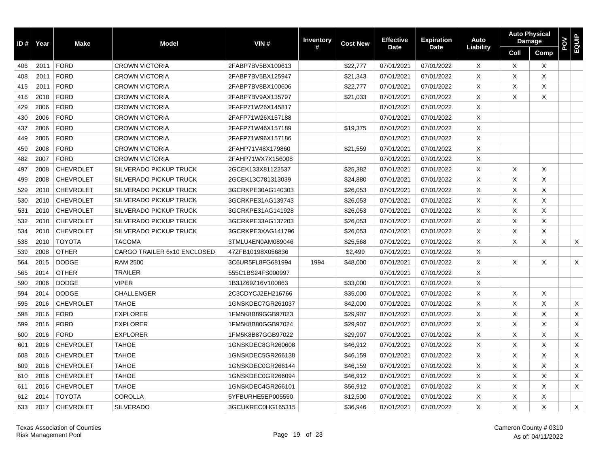| ID# | Year | <b>Make</b>      | <b>Model</b>                  | VIN#              | <b>Inventory</b> | <b>Cost New</b> | <b>Effective</b> | <b>Expiration</b> | Auto      |          | <b>Auto Physical</b><br><b>Damage</b> | POV | <b>EQUIP</b> |
|-----|------|------------------|-------------------------------|-------------------|------------------|-----------------|------------------|-------------------|-----------|----------|---------------------------------------|-----|--------------|
|     |      |                  |                               |                   | #                |                 | <b>Date</b>      | <b>Date</b>       | Liability | Coll     | Comp                                  |     |              |
| 406 | 2011 | <b>FORD</b>      | <b>CROWN VICTORIA</b>         | 2FABP7BV5BX100613 |                  | \$22,777        | 07/01/2021       | 07/01/2022        | X         | Χ        | $\boldsymbol{\mathsf{X}}$             |     |              |
| 408 | 2011 | <b>FORD</b>      | <b>CROWN VICTORIA</b>         | 2FABP7BV5BX125947 |                  | \$21,343        | 07/01/2021       | 07/01/2022        | Χ         | X        | X                                     |     |              |
| 415 | 2011 | <b>FORD</b>      | <b>CROWN VICTORIA</b>         | 2FABP7BV8BX100606 |                  | \$22,777        | 07/01/2021       | 07/01/2022        | Χ         | Χ        | X                                     |     |              |
| 416 | 2010 | <b>FORD</b>      | <b>CROWN VICTORIA</b>         | 2FABP7BV9AX135797 |                  | \$21,033        | 07/01/2021       | 07/01/2022        | $\times$  | X        | X                                     |     |              |
| 429 | 2006 | <b>FORD</b>      | <b>CROWN VICTORIA</b>         | 2FAFP71W26X145817 |                  |                 | 07/01/2021       | 07/01/2022        | $\times$  |          |                                       |     |              |
| 430 | 2006 | <b>FORD</b>      | <b>CROWN VICTORIA</b>         | 2FAFP71W26X157188 |                  |                 | 07/01/2021       | 07/01/2022        | $\times$  |          |                                       |     |              |
| 437 | 2006 | <b>FORD</b>      | <b>CROWN VICTORIA</b>         | 2FAFP71W46X157189 |                  | \$19,375        | 07/01/2021       | 07/01/2022        | X         |          |                                       |     |              |
| 449 | 2006 | <b>FORD</b>      | <b>CROWN VICTORIA</b>         | 2FAFP71W96X157186 |                  |                 | 07/01/2021       | 07/01/2022        | X         |          |                                       |     |              |
| 459 | 2008 | <b>FORD</b>      | <b>CROWN VICTORIA</b>         | 2FAHP71V48X179860 |                  | \$21,559        | 07/01/2021       | 07/01/2022        | X         |          |                                       |     |              |
| 482 | 2007 | <b>FORD</b>      | <b>CROWN VICTORIA</b>         | 2FAHP71WX7X156008 |                  |                 | 07/01/2021       | 07/01/2022        | $\times$  |          |                                       |     |              |
| 497 | 2008 | <b>CHEVROLET</b> | <b>SILVERADO PICKUP TRUCK</b> | 2GCEK133X81122537 |                  | \$25,382        | 07/01/2021       | 07/01/2022        | X         | X        | X                                     |     |              |
| 499 | 2008 | <b>CHEVROLET</b> | <b>SILVERADO PICKUP TRUCK</b> | 2GCEK13C781313039 |                  | \$24,880        | 07/01/2021       | 07/01/2022        | X         | $\times$ | X                                     |     |              |
| 529 | 2010 | <b>CHEVROLET</b> | <b>SILVERADO PICKUP TRUCK</b> | 3GCRKPE30AG140303 |                  | \$26,053        | 07/01/2021       | 07/01/2022        | X         | X        | X                                     |     |              |
| 530 | 2010 | <b>CHEVROLET</b> | <b>SILVERADO PICKUP TRUCK</b> | 3GCRKPE31AG139743 |                  | \$26,053        | 07/01/2021       | 07/01/2022        | X         | X        | X                                     |     |              |
| 531 | 2010 | <b>CHEVROLET</b> | <b>SILVERADO PICKUP TRUCK</b> | 3GCRKPE31AG141928 |                  | \$26,053        | 07/01/2021       | 07/01/2022        | X         | X        | X                                     |     |              |
| 532 | 2010 | <b>CHEVROLET</b> | SILVERADO PICKUP TRUCK        | 3GCRKPE33AG137203 |                  | \$26,053        | 07/01/2021       | 07/01/2022        | X         | X        | X                                     |     |              |
| 534 | 2010 | <b>CHEVROLET</b> | <b>SILVERADO PICKUP TRUCK</b> | 3GCRKPE3XAG141796 |                  | \$26,053        | 07/01/2021       | 07/01/2022        | X         | X        | X                                     |     |              |
| 538 | 2010 | <b>TOYOTA</b>    | <b>TACOMA</b>                 | 3TMLU4EN0AM089046 |                  | \$25,568        | 07/01/2021       | 07/01/2022        | X         | X        | X                                     |     | X            |
| 539 | 2008 | <b>OTHER</b>     | CARGO TRAILER 6x10 ENCLOSED   | 47ZFB10198X056836 |                  | \$2,499         | 07/01/2021       | 07/01/2022        | X         |          |                                       |     |              |
| 564 | 2015 | <b>DODGE</b>     | <b>RAM 2500</b>               | 3C6UR5FL8FG681994 | 1994             | \$48,000        | 07/01/2021       | 07/01/2022        | X         | Χ        | X                                     |     | X            |
| 565 | 2014 | <b>OTHER</b>     | <b>TRAILER</b>                | 555C1BS24FS000997 |                  |                 | 07/01/2021       | 07/01/2022        | X         |          |                                       |     |              |
| 590 | 2006 | <b>DODGE</b>     | <b>VIPER</b>                  | 1B3JZ69Z16V100863 |                  | \$33,000        | 07/01/2021       | 07/01/2022        | $\times$  |          |                                       |     |              |
| 594 | 2014 | <b>DODGE</b>     | <b>CHALLENGER</b>             | 2C3CDYCJ2EH216766 |                  | \$35,000        | 07/01/2021       | 07/01/2022        | X         | X        | Χ                                     |     |              |
| 595 | 2016 | <b>CHEVROLET</b> | <b>TAHOE</b>                  | 1GNSKDEC7GR261037 |                  | \$42,000        | 07/01/2021       | 07/01/2022        | X         | X        | X                                     |     | X            |
| 598 | 2016 | <b>FORD</b>      | <b>EXPLORER</b>               | 1FM5K8B89GGB97023 |                  | \$29,907        | 07/01/2021       | 07/01/2022        | X         | X        | X                                     |     | X            |
| 599 | 2016 | <b>FORD</b>      | <b>EXPLORER</b>               | 1FM5K8B80GGB97024 |                  | \$29,907        | 07/01/2021       | 07/01/2022        | X         | X        | X                                     |     | X            |
| 600 | 2016 | <b>FORD</b>      | <b>EXPLORER</b>               | 1FM5K8B87GGB97022 |                  | \$29,907        | 07/01/2021       | 07/01/2022        | X         | X        | X                                     |     | X            |
| 601 | 2016 | <b>CHEVROLET</b> | <b>TAHOE</b>                  | 1GNSKDEC8GR260608 |                  | \$46,912        | 07/01/2021       | 07/01/2022        | $\times$  | X        | X                                     |     | X            |
| 608 | 2016 | <b>CHEVROLET</b> | <b>TAHOE</b>                  | 1GNSKDEC5GR266138 |                  | \$46,159        | 07/01/2021       | 07/01/2022        | X         | X        | X                                     |     | X            |
| 609 | 2016 | <b>CHEVROLET</b> | <b>TAHOE</b>                  | 1GNSKDEC0GR266144 |                  | \$46,159        | 07/01/2021       | 07/01/2022        | X         | X        | X                                     |     | X            |
| 610 | 2016 | <b>CHEVROLET</b> | <b>TAHOE</b>                  | 1GNSKDEC0GR266094 |                  | \$46,912        | 07/01/2021       | 07/01/2022        | X         | X        | X                                     |     | X            |
| 611 | 2016 | <b>CHEVROLET</b> | <b>TAHOE</b>                  | 1GNSKDEC4GR266101 |                  | \$56,912        | 07/01/2021       | 07/01/2022        | X         | X        | X                                     |     | X            |
| 612 | 2014 | <b>TOYOTA</b>    | <b>COROLLA</b>                | 5YFBURHE5EP005550 |                  | \$12,500        | 07/01/2021       | 07/01/2022        | X         | X        | X                                     |     |              |
| 633 | 2017 | <b>CHEVROLET</b> | <b>SILVERADO</b>              | 3GCUKREC0HG165315 |                  | \$36,946        | 07/01/2021       | 07/01/2022        | X         | X        | X                                     |     | X            |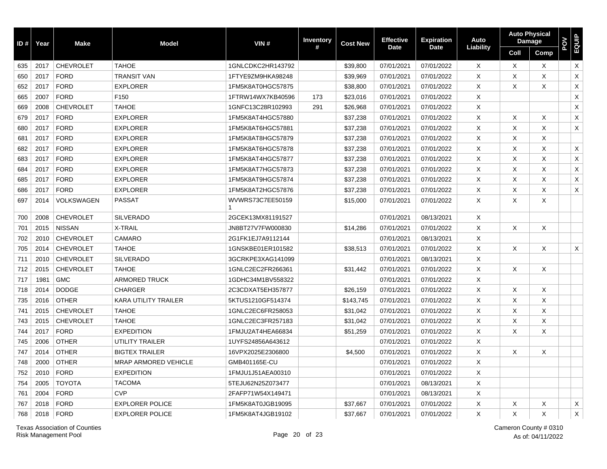| ID # | Year | <b>Make</b>      | <b>Model</b>                | VIN#              | <b>Inventory</b> | <b>Cost New</b> | <b>Effective</b> | <b>Expiration</b> | Auto      | <b>Auto Physical</b><br><b>Damage</b> |              | <b>POV</b><br>EQUIP |                           |
|------|------|------------------|-----------------------------|-------------------|------------------|-----------------|------------------|-------------------|-----------|---------------------------------------|--------------|---------------------|---------------------------|
|      |      |                  |                             |                   | #                |                 | <b>Date</b>      | <b>Date</b>       | Liability | Coll                                  | Comp         |                     |                           |
| 635  | 2017 | <b>CHEVROLET</b> | <b>TAHOE</b>                | 1GNLCDKC2HR143792 |                  | \$39,800        | 07/01/2021       | 07/01/2022        | X         | X                                     | $\times$     |                     | $\boldsymbol{\mathsf{X}}$ |
| 650  | 2017 | <b>FORD</b>      | <b>TRANSIT VAN</b>          | 1FTYE9ZM9HKA98248 |                  | \$39,969        | 07/01/2021       | 07/01/2022        | X         | X                                     | X            |                     | X                         |
| 652  | 2017 | <b>FORD</b>      | <b>EXPLORER</b>             | 1FM5K8AT0HGC57875 |                  | \$38,800        | 07/01/2021       | 07/01/2022        | $\times$  | X                                     | X            |                     | $\mathsf X$               |
| 665  | 2007 | <b>FORD</b>      | F <sub>150</sub>            | 1FTRW14WX7KB40596 | 173              | \$23,016        | 07/01/2021       | 07/01/2022        | X         |                                       |              |                     | $\boldsymbol{\mathsf{X}}$ |
| 669  | 2008 | <b>CHEVROLET</b> | <b>TAHOE</b>                | 1GNFC13C28R102993 | 291              | \$26,968        | 07/01/2021       | 07/01/2022        | Χ         |                                       |              |                     | $\mathsf X$               |
| 679  | 2017 | <b>FORD</b>      | <b>EXPLORER</b>             | 1FM5K8AT4HGC57880 |                  | \$37,238        | 07/01/2021       | 07/01/2022        | X         | X                                     | $\times$     |                     | X                         |
| 680  | 2017 | <b>FORD</b>      | <b>EXPLORER</b>             | 1FM5K8AT6HGC57881 |                  | \$37,238        | 07/01/2021       | 07/01/2022        | X         | X                                     | X            |                     | X                         |
| 681  | 2017 | <b>FORD</b>      | <b>EXPLORER</b>             | 1FM5K8AT8HGC57879 |                  | \$37,238        | 07/01/2021       | 07/01/2022        | X         | X                                     | X            |                     |                           |
| 682  | 2017 | <b>FORD</b>      | <b>EXPLORER</b>             | 1FM5K8AT6HGC57878 |                  | \$37,238        | 07/01/2021       | 07/01/2022        | X         | X                                     | X            |                     | X                         |
| 683  | 2017 | <b>FORD</b>      | <b>EXPLORER</b>             | 1FM5K8AT4HGC57877 |                  | \$37,238        | 07/01/2021       | 07/01/2022        | X         | X                                     | $\mathsf{X}$ |                     | $\boldsymbol{\mathsf{X}}$ |
| 684  | 2017 | <b>FORD</b>      | <b>EXPLORER</b>             | 1FM5K8AT7HGC57873 |                  | \$37,238        | 07/01/2021       | 07/01/2022        | $\times$  | X                                     | X            |                     | X                         |
| 685  | 2017 | <b>FORD</b>      | <b>EXPLORER</b>             | 1FM5K8AT9HGC57874 |                  | \$37,238        | 07/01/2021       | 07/01/2022        | X         | X                                     | X            |                     | $\boldsymbol{\mathsf{X}}$ |
| 686  | 2017 | <b>FORD</b>      | <b>EXPLORER</b>             | 1FM5K8AT2HGC57876 |                  | \$37,238        | 07/01/2021       | 07/01/2022        | Χ         | X                                     | $\times$     |                     | X                         |
| 697  | 2014 | VOLKSWAGEN       | <b>PASSAT</b>               | WVWRS73C7EE50159  |                  | \$15,000        | 07/01/2021       | 07/01/2022        | X         | X                                     | X            |                     |                           |
| 700  | 2008 | <b>CHEVROLET</b> | <b>SILVERADO</b>            | 2GCEK13MX81191527 |                  |                 | 07/01/2021       | 08/13/2021        | $\times$  |                                       |              |                     |                           |
| 701  | 2015 | <b>NISSAN</b>    | X-TRAIL                     | JN8BT27V7FW000830 |                  | \$14,286        | 07/01/2021       | 07/01/2022        | X         | X                                     | $\mathsf{X}$ |                     |                           |
| 702  | 2010 | <b>CHEVROLET</b> | CAMARO                      | 2G1FK1EJ7A9112144 |                  |                 | 07/01/2021       | 08/13/2021        | X         |                                       |              |                     |                           |
| 705  | 2014 | <b>CHEVROLET</b> | <b>TAHOE</b>                | 1GNSKBE01ER101582 |                  | \$38,513        | 07/01/2021       | 07/01/2022        | $\sf X$   | X                                     | X            |                     | X                         |
| 711  | 2010 | <b>CHEVROLET</b> | <b>SILVERADO</b>            | 3GCRKPE3XAG141099 |                  |                 | 07/01/2021       | 08/13/2021        | X         |                                       |              |                     |                           |
| 712  | 2015 | <b>CHEVROLET</b> | <b>TAHOE</b>                | 1GNLC2EC2FR266361 |                  | \$31,442        | 07/01/2021       | 07/01/2022        | $\sf X$   | $\times$                              | X            |                     |                           |
| 717  | 1981 | <b>GMC</b>       | <b>ARMORED TRUCK</b>        | 1GDHC34M1BV558322 |                  |                 | 07/01/2021       | 07/01/2022        | $\times$  |                                       |              |                     |                           |
| 718  | 2014 | <b>DODGE</b>     | <b>CHARGER</b>              | 2C3CDXAT5EH357877 |                  | \$26,159        | 07/01/2021       | 07/01/2022        | $\times$  | $\times$                              | X            |                     |                           |
| 735  | 2016 | <b>OTHER</b>     | <b>KARA UTILITY TRAILER</b> | 5KTUS1210GF514374 |                  | \$143,745       | 07/01/2021       | 07/01/2022        | X         | X                                     | X            |                     |                           |
| 741  | 2015 | <b>CHEVROLET</b> | <b>TAHOE</b>                | 1GNLC2EC6FR258053 |                  | \$31,042        | 07/01/2021       | 07/01/2022        | X         | X                                     | X            |                     |                           |
| 743  | 2015 | <b>CHEVROLET</b> | <b>TAHOE</b>                | 1GNLC2EC3FR257183 |                  | \$31,042        | 07/01/2021       | 07/01/2022        | $\times$  | $\times$                              | X            |                     |                           |
| 744  | 2017 | <b>FORD</b>      | <b>EXPEDITION</b>           | 1FMJU2AT4HEA66834 |                  | \$51,259        | 07/01/2021       | 07/01/2022        | $\times$  | X                                     | Χ            |                     |                           |
| 745  | 2006 | <b>OTHER</b>     | UTILITY TRAILER             | 1UYFS24856A643612 |                  |                 | 07/01/2021       | 07/01/2022        | X         |                                       |              |                     |                           |
| 747  | 2014 | <b>OTHER</b>     | <b>BIGTEX TRAILER</b>       | 16VPX2025E2306800 |                  | \$4,500         | 07/01/2021       | 07/01/2022        | X         | X                                     | X            |                     |                           |
| 748  | 2000 | <b>OTHER</b>     | <b>MRAP ARMORED VEHICLE</b> | GMB401165E-CU     |                  |                 | 07/01/2021       | 07/01/2022        | $\times$  |                                       |              |                     |                           |
| 752  | 2010 | <b>FORD</b>      | <b>EXPEDITION</b>           | 1FMJU1J51AEA00310 |                  |                 | 07/01/2021       | 07/01/2022        | X         |                                       |              |                     |                           |
| 754  | 2005 | <b>TOYOTA</b>    | <b>TACOMA</b>               | 5TEJU62N25Z073477 |                  |                 | 07/01/2021       | 08/13/2021        | $\times$  |                                       |              |                     |                           |
| 761  | 2004 | <b>FORD</b>      | <b>CVP</b>                  | 2FAFP71W54X149471 |                  |                 | 07/01/2021       | 08/13/2021        | Χ         |                                       |              |                     |                           |
| 767  | 2018 | <b>FORD</b>      | <b>EXPLORER POLICE</b>      | 1FM5K8AT0JGB19095 |                  | \$37,667        | 07/01/2021       | 07/01/2022        | X         | X                                     | Χ            |                     | $\times$                  |
| 768  | 2018 | <b>FORD</b>      | <b>EXPLORER POLICE</b>      | 1FM5K8AT4JGB19102 |                  | \$37,667        | 07/01/2021       | 07/01/2022        | X         | X                                     | X            |                     | $\mathsf X$               |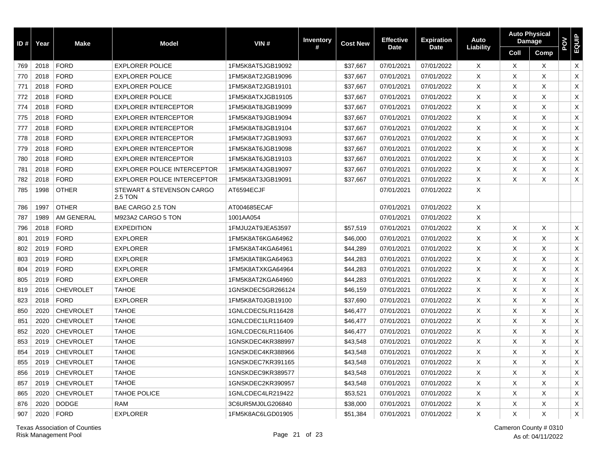| ID # | Year | <b>Make</b>      | <b>Model</b>                         | VIN#              | <b>Inventory</b> | <b>Cost New</b> | <b>Effective</b> | <b>Expiration</b> | Auto      |          | <b>Auto Physical</b><br><b>Damage</b> | NOd | EQUIP       |
|------|------|------------------|--------------------------------------|-------------------|------------------|-----------------|------------------|-------------------|-----------|----------|---------------------------------------|-----|-------------|
|      |      |                  |                                      |                   | #                |                 | <b>Date</b>      | <b>Date</b>       | Liability | Coll     | Comp                                  |     |             |
| 769  | 2018 | <b>FORD</b>      | <b>EXPLORER POLICE</b>               | 1FM5K8AT5JGB19092 |                  | \$37,667        | 07/01/2021       | 07/01/2022        | X         | $\times$ | X                                     |     | X           |
| 770  | 2018 | <b>FORD</b>      | <b>EXPLORER POLICE</b>               | 1FM5K8AT2JGB19096 |                  | \$37,667        | 07/01/2021       | 07/01/2022        | X         | X        | X                                     |     | X           |
| 771  | 2018 | <b>FORD</b>      | <b>EXPLORER POLICE</b>               | 1FM5K8AT2JGB19101 |                  | \$37,667        | 07/01/2021       | 07/01/2022        | X         | X        | Χ                                     |     | $\mathsf X$ |
| 772  | 2018 | <b>FORD</b>      | <b>EXPLORER POLICE</b>               | 1FM5K8ATXJGB19105 |                  | \$37,667        | 07/01/2021       | 07/01/2022        | Χ         | X        | X                                     |     | $\mathsf X$ |
| 774  | 2018 | <b>FORD</b>      | <b>EXPLORER INTERCEPTOR</b>          | 1FM5K8AT8JGB19099 |                  | \$37,667        | 07/01/2021       | 07/01/2022        | X         | X        | X                                     |     | $\mathsf X$ |
| 775  | 2018 | <b>FORD</b>      | <b>EXPLORER INTERCEPTOR</b>          | 1FM5K8AT9JGB19094 |                  | \$37,667        | 07/01/2021       | 07/01/2022        | X         | X        | X                                     |     | $\mathsf X$ |
| 777  | 2018 | <b>FORD</b>      | <b>EXPLORER INTERCEPTOR</b>          | 1FM5K8AT8JGB19104 |                  | \$37,667        | 07/01/2021       | 07/01/2022        | X         | X        | X                                     |     | $\sf X$     |
| 778  | 2018 | <b>FORD</b>      | <b>EXPLORER INTERCEPTOR</b>          | 1FM5K8AT7JGB19093 |                  | \$37,667        | 07/01/2021       | 07/01/2022        | X         | X        | X                                     |     | X           |
| 779  | 2018 | <b>FORD</b>      | <b>EXPLORER INTERCEPTOR</b>          | 1FM5K8AT6JGB19098 |                  | \$37,667        | 07/01/2021       | 07/01/2022        | X         | X        | X                                     |     | X           |
| 780  | 2018 | <b>FORD</b>      | <b>EXPLORER INTERCEPTOR</b>          | 1FM5K8AT6JGB19103 |                  | \$37,667        | 07/01/2021       | 07/01/2022        | X         | X        | X                                     |     | $\mathsf X$ |
| 781  | 2018 | <b>FORD</b>      | <b>EXPLORER POLICE INTERCEPTOR</b>   | 1FM5K8AT4JGB19097 |                  | \$37,667        | 07/01/2021       | 07/01/2022        | X         | X        | X                                     |     | X           |
| 782  | 2018 | <b>FORD</b>      | <b>EXPLORER POLICE INTERCEPTOR</b>   | 1FM5K8AT3JGB19091 |                  | \$37,667        | 07/01/2021       | 07/01/2022        | X         | X        | Χ                                     |     | X           |
| 785  | 1998 | <b>OTHER</b>     | STEWART & STEVENSON CARGO<br>2.5 TON | AT6594ECJF        |                  |                 | 07/01/2021       | 07/01/2022        | X         |          |                                       |     |             |
| 786  | 1997 | <b>OTHER</b>     | BAE CARGO 2.5 TON                    | AT004685ECAF      |                  |                 | 07/01/2021       | 07/01/2022        | X         |          |                                       |     |             |
| 787  | 1989 | AM GENERAL       | M923A2 CARGO 5 TON                   | 1001AA054         |                  |                 | 07/01/2021       | 07/01/2022        | Χ         |          |                                       |     |             |
| 796  | 2018 | <b>FORD</b>      | <b>EXPEDITION</b>                    | 1FMJU2AT9JEA53597 |                  | \$57,519        | 07/01/2021       | 07/01/2022        | X         | Χ        | Χ                                     |     | X           |
| 801  | 2019 | <b>FORD</b>      | <b>EXPLORER</b>                      | 1FM5K8AT6KGA64962 |                  | \$46,000        | 07/01/2021       | 07/01/2022        | X         | X        | X                                     |     | $\mathsf X$ |
| 802  | 2019 | <b>FORD</b>      | <b>EXPLORER</b>                      | 1FM5K8AT4KGA64961 |                  | \$44,289        | 07/01/2021       | 07/01/2022        | X         | X        | X                                     |     | $\mathsf X$ |
| 803  | 2019 | <b>FORD</b>      | <b>EXPLORER</b>                      | 1FM5K8AT8KGA64963 |                  | \$44,283        | 07/01/2021       | 07/01/2022        | X         | X        | X                                     |     | $\mathsf X$ |
| 804  | 2019 | <b>FORD</b>      | <b>EXPLORER</b>                      | 1FM5K8ATXKGA64964 |                  | \$44,283        | 07/01/2021       | 07/01/2022        | X         | X        | X                                     |     | X           |
| 805  | 2019 | <b>FORD</b>      | <b>EXPLORER</b>                      | 1FM5K8AT2KGA64960 |                  | \$44,283        | 07/01/2021       | 07/01/2022        | X         | X        | X                                     |     | $\mathsf X$ |
| 819  | 2016 | <b>CHEVROLET</b> | <b>TAHOE</b>                         | 1GNSKDEC5GR266124 |                  | \$46,159        | 07/01/2021       | 07/01/2022        | X         | X        | X                                     |     | X           |
| 823  | 2018 | <b>FORD</b>      | <b>EXPLORER</b>                      | 1FM5K8AT0JGB19100 |                  | \$37,690        | 07/01/2021       | 07/01/2022        | X         | X        | X                                     |     | $\mathsf X$ |
| 850  | 2020 | <b>CHEVROLET</b> | <b>TAHOE</b>                         | 1GNLCDEC5LR116428 |                  | \$46,477        | 07/01/2021       | 07/01/2022        | X         | X        | X                                     |     | X           |
| 851  | 2020 | <b>CHEVROLET</b> | <b>TAHOE</b>                         | 1GNLCDEC1LR116409 |                  | \$46,477        | 07/01/2021       | 07/01/2022        | X         | X        | Χ                                     |     | $\mathsf X$ |
| 852  | 2020 | <b>CHEVROLET</b> | <b>TAHOE</b>                         | 1GNLCDEC6LR116406 |                  | \$46,477        | 07/01/2021       | 07/01/2022        | X         | X        | X                                     |     | X           |
| 853  | 2019 | <b>CHEVROLET</b> | <b>TAHOE</b>                         | 1GNSKDEC4KR388997 |                  | \$43,548        | 07/01/2021       | 07/01/2022        | X         | X        | X                                     |     | $\mathsf X$ |
| 854  | 2019 | <b>CHEVROLET</b> | <b>TAHOE</b>                         | 1GNSKDEC4KR388966 |                  | \$43,548        | 07/01/2021       | 07/01/2022        | X         | X        | X                                     |     | $\mathsf X$ |
| 855  | 2019 | <b>CHEVROLET</b> | <b>TAHOE</b>                         | 1GNSKDEC7KR391165 |                  | \$43,548        | 07/01/2021       | 07/01/2022        | X         | X        | Χ                                     |     | X           |
| 856  | 2019 | <b>CHEVROLET</b> | <b>TAHOE</b>                         | 1GNSKDEC9KR389577 |                  | \$43,548        | 07/01/2021       | 07/01/2022        | X         | X        | X                                     |     | X           |
| 857  | 2019 | <b>CHEVROLET</b> | <b>TAHOE</b>                         | 1GNSKDEC2KR390957 |                  | \$43,548        | 07/01/2021       | 07/01/2022        | X         | X        | X                                     |     | X           |
| 865  | 2020 | <b>CHEVROLET</b> | <b>TAHOE POLICE</b>                  | 1GNLCDEC4LR219422 |                  | \$53,521        | 07/01/2021       | 07/01/2022        | X         | X        | X                                     |     | $\mathsf X$ |
| 876  | 2020 | <b>DODGE</b>     | <b>RAM</b>                           | 3C6UR5MJ0LG206840 |                  | \$38,000        | 07/01/2021       | 07/01/2022        | X         | X        | X                                     |     | X           |
| 907  | 2020 | <b>FORD</b>      | <b>EXPLORER</b>                      | 1FM5K8AC6LGD01905 |                  | \$51,384        | 07/01/2021       | 07/01/2022        | X         | X        | X                                     |     | $\mathsf X$ |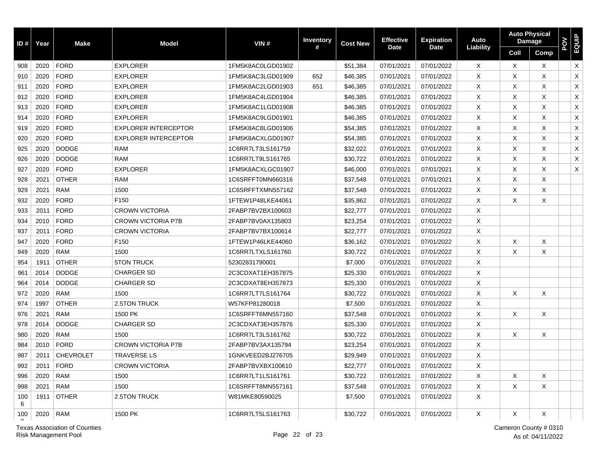| ID#      | Year | <b>Make</b>      | <b>Model</b>                | VIN#              | <b>Inventory</b> | <b>Cost New</b> | <b>Effective</b> | <b>Expiration</b> | Auto      | <b>Auto Physical</b> | Damage   | POV<br>EQUIP   |
|----------|------|------------------|-----------------------------|-------------------|------------------|-----------------|------------------|-------------------|-----------|----------------------|----------|----------------|
|          |      |                  |                             |                   | #                |                 | <b>Date</b>      | <b>Date</b>       | Liability | Coll                 | Comp     |                |
| 908      | 2020 | <b>FORD</b>      | <b>EXPLORER</b>             | 1FM5K8AC0LGD01902 |                  | \$51,384        | 07/01/2021       | 07/01/2022        | X         | X                    | $\times$ | X              |
| 910      | 2020 | <b>FORD</b>      | <b>EXPLORER</b>             | 1FM5K8AC3LGD01909 | 652              | \$46,385        | 07/01/2021       | 07/01/2022        | X         | X                    | $\times$ | $\pmb{\times}$ |
| 911      | 2020 | <b>FORD</b>      | <b>EXPLORER</b>             | 1FM5K8AC2LGD01903 | 651              | \$46,385        | 07/01/2021       | 07/01/2022        | X         | X                    | X        | X              |
| 912      | 2020 | <b>FORD</b>      | <b>EXPLORER</b>             | 1FM5K8AC4LGD01904 |                  | \$46,385        | 07/01/2021       | 07/01/2022        | X         | X                    | Χ        | $\mathsf X$    |
| 913      | 2020 | <b>FORD</b>      | <b>EXPLORER</b>             | 1FM5K8AC1LGD01908 |                  | \$46,385        | 07/01/2021       | 07/01/2022        | $\times$  | X                    | $\times$ | $\mathsf X$    |
| 914      | 2020 | <b>FORD</b>      | <b>EXPLORER</b>             | 1FM5K8AC9LGD01901 |                  | \$46,385        | 07/01/2021       | 07/01/2022        | $\times$  | X                    | $\times$ | X              |
| 919      | 2020 | <b>FORD</b>      | <b>EXPLORER INTERCEPTOR</b> | 1FM5K8AC8LGD01906 |                  | \$54,385        | 07/01/2021       | 07/01/2022        | X         | X                    | $\times$ | X              |
| 920      | 2020 | <b>FORD</b>      | <b>EXPLORER INTERCEPTOR</b> | 1FM5K8ACXLGD01907 |                  | \$54,385        | 07/01/2021       | 07/01/2022        | X         | X                    | X        | X              |
| 925      | 2020 | <b>DODGE</b>     | <b>RAM</b>                  | 1C6RR7LT3LS161759 |                  | \$32,022        | 07/01/2021       | 07/01/2022        | X         | X                    | X        | X              |
| 926      | 2020 | <b>DODGE</b>     | <b>RAM</b>                  | 1C6RR7LT9LS161765 |                  | \$30,722        | 07/01/2021       | 07/01/2022        | X         | X                    | X        | X              |
| 927      | 2020 | <b>FORD</b>      | <b>EXPLORER</b>             | 1FM5K8ACXLGC01907 |                  | \$46,000        | 07/01/2021       | 07/01/2021        | X         | X                    | X        | X              |
| 928      | 2021 | <b>OTHER</b>     | <b>RAM</b>                  | 1C6SRFFT0MN660316 |                  | \$37,548        | 07/01/2021       | 07/01/2021        | X         | X                    | X        |                |
| 929      | 2021 | <b>RAM</b>       | 1500                        | 1C6SRFFTXMN557162 |                  | \$37,548        | 07/01/2021       | 07/01/2022        | X         | X                    | X        |                |
| 932      | 2020 | <b>FORD</b>      | F150                        | 1FTEW1P48LKE44061 |                  | \$35,862        | 07/01/2021       | 07/01/2022        | X         | X                    | X        |                |
| 933      | 2011 | <b>FORD</b>      | <b>CROWN VICTORIA</b>       | 2FABP7BV2BX100603 |                  | \$22,777        | 07/01/2021       | 07/01/2022        | X         |                      |          |                |
| 934      | 2010 | <b>FORD</b>      | <b>CROWN VICTORIA P7B</b>   | 2FABP7BV0AX135803 |                  | \$23,254        | 07/01/2021       | 07/01/2022        | X         |                      |          |                |
| 937      | 2011 | <b>FORD</b>      | <b>CROWN VICTORIA</b>       | 2FABP7BV7BX100614 |                  | \$22,777        | 07/01/2021       | 07/01/2022        | X         |                      |          |                |
| 947      | 2020 | <b>FORD</b>      | F150                        | 1FTEW1P46LKE44060 |                  | \$36,162        | 07/01/2021       | 07/01/2022        | X         | X                    | X        |                |
| 949      | 2020 | <b>RAM</b>       | 1500                        | 1C6RR7LTXLS161760 |                  | \$30,722        | 07/01/2021       | 07/01/2022        | $\times$  | $\times$             | X        |                |
| 954      | 1911 | <b>OTHER</b>     | <b>5TON TRUCK</b>           | 52302831790001    |                  | \$7,000         | 07/01/2021       | 07/01/2022        | X         |                      |          |                |
| 961      | 2014 | <b>DODGE</b>     | <b>CHARGER SD</b>           | 2C3CDXAT1EH357875 |                  | \$25,330        | 07/01/2021       | 07/01/2022        | X         |                      |          |                |
| 964      | 2014 | <b>DODGE</b>     | <b>CHARGER SD</b>           | 2C3CDXAT8EH357873 |                  | \$25,330        | 07/01/2021       | 07/01/2022        | X         |                      |          |                |
| 972      | 2020 | <b>RAM</b>       | 1500                        | 1C6RR7LT7LS161764 |                  | \$30,722        | 07/01/2021       | 07/01/2022        | X         | X                    | X        |                |
| 974      | 1997 | <b>OTHER</b>     | 2.5TON TRUCK                | W57KFP81280018    |                  | \$7,500         | 07/01/2021       | 07/01/2022        | X         |                      |          |                |
| 976      | 2021 | <b>RAM</b>       | 1500 PK                     | 1C6SRFFT6MN557160 |                  | \$37,548        | 07/01/2021       | 07/01/2022        | X         | X                    | $\times$ |                |
| 978      | 2014 | <b>DODGE</b>     | <b>CHARGER SD</b>           | 2C3CDXAT3EH357876 |                  | \$25,330        | 07/01/2021       | 07/01/2022        | X         |                      |          |                |
| 980      | 2020 | <b>RAM</b>       | 1500                        | 1C6RR7LT3LS161762 |                  | \$30,722        | 07/01/2021       | 07/01/2022        | X         | X                    | X        |                |
| 984      | 2010 | <b>FORD</b>      | <b>CROWN VICTORIA P7B</b>   | 2FABP7BV3AX135794 |                  | \$23,254        | 07/01/2021       | 07/01/2022        | X         |                      |          |                |
| 987      | 2011 | <b>CHEVROLET</b> | <b>TRAVERSE LS</b>          | 1GNKVEED2BJ276705 |                  | \$29,949        | 07/01/2021       | 07/01/2022        | X         |                      |          |                |
| 992      | 2011 | <b>FORD</b>      | <b>CROWN VICTORIA</b>       | 2FABP7BVXBX100610 |                  | \$22,777        | 07/01/2021       | 07/01/2022        | X         |                      |          |                |
| 996      | 2020 | <b>RAM</b>       | 1500                        | 1C6RR7LT1LS161761 |                  | \$30,722        | 07/01/2021       | 07/01/2022        | X         | Χ                    | Х        |                |
| 998      | 2021 | <b>RAM</b>       | 1500                        | 1C6SRFFT8MN557161 |                  | \$37,548        | 07/01/2021       | 07/01/2022        | X         | X                    | X        |                |
| 100<br>6 | 1911 | <b>OTHER</b>     | 2.5TON TRUCK                | W81MKE80590025    |                  | \$7,500         | 07/01/2021       | 07/01/2022        | X         |                      |          |                |
| 100      | 2020 | <b>RAM</b>       | 1500 PK                     | 1C6RR7LT5LS161763 |                  | \$30,722        | 07/01/2021       | 07/01/2022        | Χ         | X                    | Χ        |                |